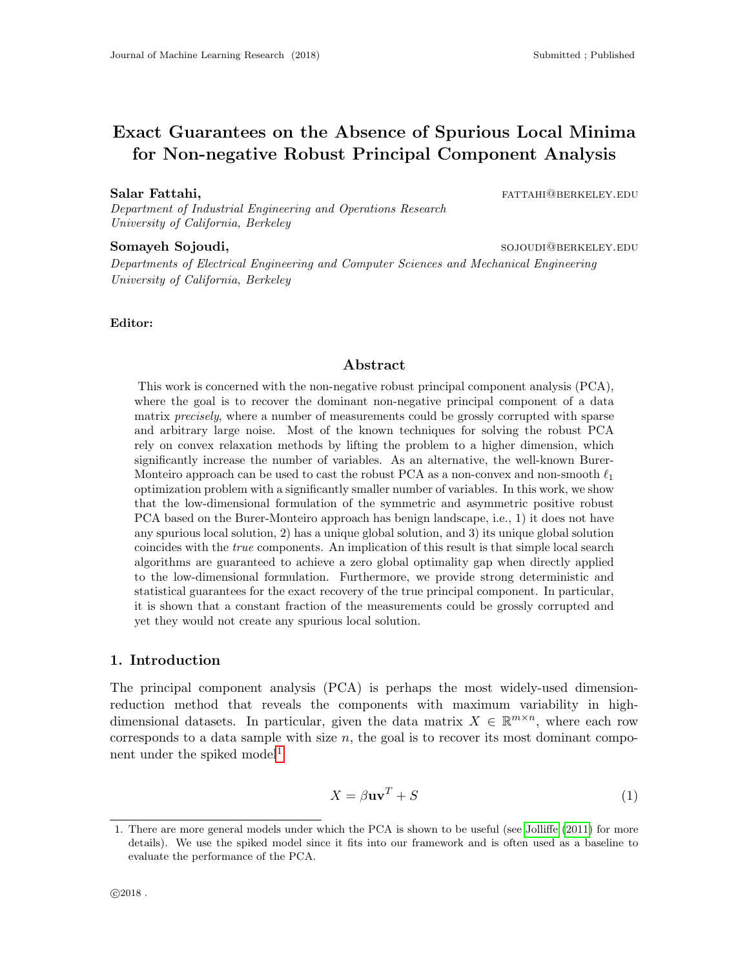# Exact Guarantees on the Absence of Spurious Local Minima for Non-negative Robust Principal Component Analysis

Department of Industrial Engineering and Operations Research University of California, Berkeley

#### Somayeh Sojoudi, solotal and the solotal solotal solotal solotal solotal solotal solotal solotal solotal solotal solotal solotal solotal solotal solotal solotal solotal solotal solotal solotal solotal solotal solotal solot

Salar Fattahi, fattahi, fattahi, fattahi, fattahi, fattahi, fattahi, fattahi, fattahi, fattahi, fattahi, fattahi, fattahi, fattahi, fattahi, fattahi, fattahi, fattahi, fattahi, fattahi, fattahi, fattahi, fattahi, fattahi,

Departments of Electrical Engineering and Computer Sciences and Mechanical Engineering University of California, Berkeley

#### Editor:

#### Abstract

This work is concerned with the non-negative robust principal component analysis (PCA), where the goal is to recover the dominant non-negative principal component of a data matrix *precisely*, where a number of measurements could be grossly corrupted with sparse and arbitrary large noise. Most of the known techniques for solving the robust PCA rely on convex relaxation methods by lifting the problem to a higher dimension, which significantly increase the number of variables. As an alternative, the well-known Burer-Monteiro approach can be used to cast the robust PCA as a non-convex and non-smooth  $\ell_1$ optimization problem with a significantly smaller number of variables. In this work, we show that the low-dimensional formulation of the symmetric and asymmetric positive robust PCA based on the Burer-Monteiro approach has benign landscape, i.e., 1) it does not have any spurious local solution, 2) has a unique global solution, and 3) its unique global solution coincides with the true components. An implication of this result is that simple local search algorithms are guaranteed to achieve a zero global optimality gap when directly applied to the low-dimensional formulation. Furthermore, we provide strong deterministic and statistical guarantees for the exact recovery of the true principal component. In particular, it is shown that a constant fraction of the measurements could be grossly corrupted and yet they would not create any spurious local solution.

#### 1. Introduction

The principal component analysis (PCA) is perhaps the most widely-used dimensionreduction method that reveals the components with maximum variability in highdimensional datasets. In particular, given the data matrix  $X \in \mathbb{R}^{m \times n}$ , where each row corresponds to a data sample with size  $n$ , the goal is to recover its most dominant compo-nent under the spiked model<sup>[1](#page-0-0)</sup>

<span id="page-0-1"></span>
$$
X = \beta \mathbf{u}\mathbf{v}^T + S \tag{1}
$$

<span id="page-0-0"></span><sup>1.</sup> There are more general models under which the PCA is shown to be useful (see [Jolliffe](#page-28-0) [\(2011\)](#page-28-0) for more details). We use the spiked model since it fits into our framework and is often used as a baseline to evaluate the performance of the PCA.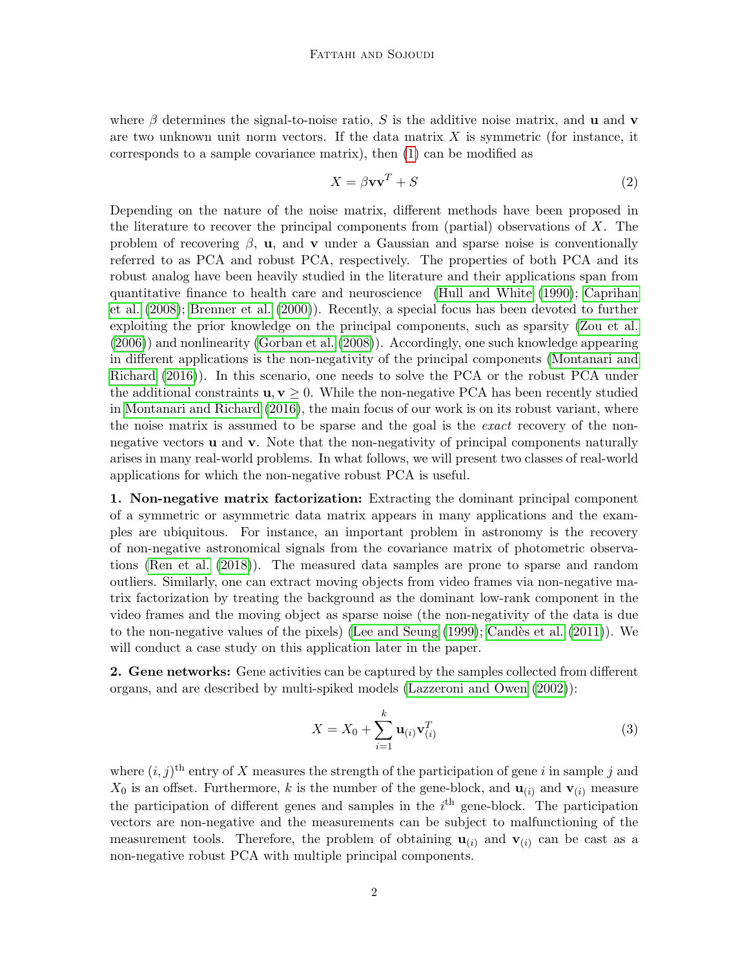where  $\beta$  determines the signal-to-noise ratio, S is the additive noise matrix, and **u** and **v** are two unknown unit norm vectors. If the data matrix  $X$  is symmetric (for instance, it corresponds to a sample covariance matrix), then [\(1\)](#page-0-1) can be modified as

$$
X = \beta \mathbf{v} \mathbf{v}^T + S \tag{2}
$$

Depending on the nature of the noise matrix, different methods have been proposed in the literature to recover the principal components from (partial) observations of  $X$ . The problem of recovering  $\beta$ , **u**, and **v** under a Gaussian and sparse noise is conventionally referred to as PCA and robust PCA, respectively. The properties of both PCA and its robust analog have been heavily studied in the literature and their applications span from quantitative finance to health care and neuroscience [\(Hull and White](#page-28-1) [\(1990\)](#page-28-1); [Caprihan](#page-27-0) [et al.](#page-27-0) [\(2008\)](#page-27-0); [Brenner et al.](#page-27-1) [\(2000\)](#page-27-1)). Recently, a special focus has been devoted to further exploiting the prior knowledge on the principal components, such as sparsity [\(Zou et al.](#page-30-0) [\(2006\)](#page-30-0)) and nonlinearity [\(Gorban et al.](#page-28-2) [\(2008\)](#page-28-2)). Accordingly, one such knowledge appearing in different applications is the non-negativity of the principal components [\(Montanari and](#page-29-0) [Richard](#page-29-0) [\(2016\)](#page-29-0)). In this scenario, one needs to solve the PCA or the robust PCA under the additional constraints  $\mathbf{u}, \mathbf{v} \geq 0$ . While the non-negative PCA has been recently studied in [Montanari and Richard](#page-29-0) [\(2016\)](#page-29-0), the main focus of our work is on its robust variant, where the noise matrix is assumed to be sparse and the goal is the *exact* recovery of the nonnegative vectors **u** and **v**. Note that the non-negativity of principal components naturally arises in many real-world problems. In what follows, we will present two classes of real-world applications for which the non-negative robust PCA is useful.

1. Non-negative matrix factorization: Extracting the dominant principal component of a symmetric or asymmetric data matrix appears in many applications and the examples are ubiquitous. For instance, an important problem in astronomy is the recovery of non-negative astronomical signals from the covariance matrix of photometric observations [\(Ren et al.](#page-29-1) [\(2018\)](#page-29-1)). The measured data samples are prone to sparse and random outliers. Similarly, one can extract moving objects from video frames via non-negative matrix factorization by treating the background as the dominant low-rank component in the video frames and the moving object as sparse noise (the non-negativity of the data is due to the non-negative values of the pixels) [\(Lee and Seung](#page-29-2)  $(1999)$ ; Candès et al.  $(2011)$ ). We will conduct a case study on this application later in the paper.

2. Gene networks: Gene activities can be captured by the samples collected from different organs, and are described by multi-spiked models [\(Lazzeroni and Owen](#page-29-3) [\(2002\)](#page-29-3)):

$$
X = X_0 + \sum_{i=1}^{k} \mathbf{u}_{(i)} \mathbf{v}_{(i)}^T
$$
 (3)

where  $(i, j)$ <sup>th</sup> entry of X measures the strength of the participation of gene i in sample j and  $X_0$  is an offset. Furthermore, k is the number of the gene-block, and  $\mathbf{u}_{(i)}$  and  $\mathbf{v}_{(i)}$  measure the participation of different genes and samples in the  $i<sup>th</sup>$  gene-block. The participation vectors are non-negative and the measurements can be subject to malfunctioning of the measurement tools. Therefore, the problem of obtaining  $\mathbf{u}_{(i)}$  and  $\mathbf{v}_{(i)}$  can be cast as a non-negative robust PCA with multiple principal components.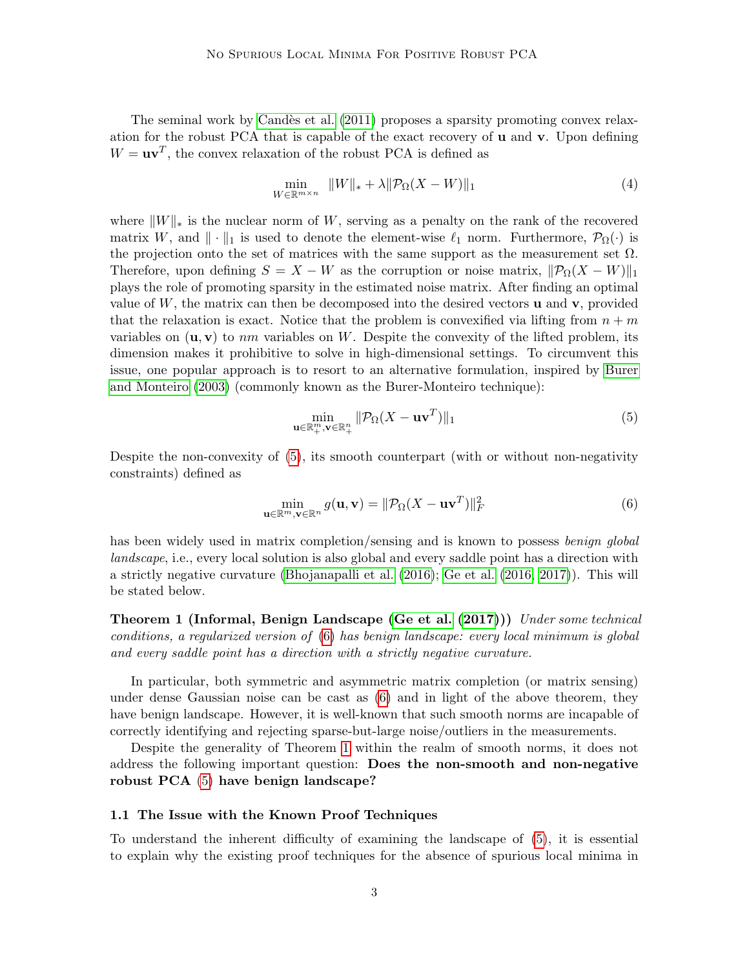The seminal work by Candès et al. [\(2011\)](#page-27-2) proposes a sparsity promoting convex relaxation for the robust PCA that is capable of the exact recovery of u and v. Upon defining  $W = \mathbf{u}\mathbf{v}^T$ , the convex relaxation of the robust PCA is defined as

$$
\min_{W \in \mathbb{R}^{m \times n}} \|W\|_{*} + \lambda \|\mathcal{P}_{\Omega}(X - W)\|_{1}
$$
\n<sup>(4)</sup>

where  $||W||_*$  is the nuclear norm of W, serving as a penalty on the rank of the recovered matrix W, and  $\|\cdot\|_1$  is used to denote the element-wise  $\ell_1$  norm. Furthermore,  $\mathcal{P}_{\Omega}(\cdot)$  is the projection onto the set of matrices with the same support as the measurement set  $\Omega$ . Therefore, upon defining  $S = X - W$  as the corruption or noise matrix,  $\|\mathcal{P}_{\Omega}(X - W)\|_1$ plays the role of promoting sparsity in the estimated noise matrix. After finding an optimal value of  $W$ , the matrix can then be decomposed into the desired vectors  $\bf{u}$  and  $\bf{v}$ , provided that the relaxation is exact. Notice that the problem is convexified via lifting from  $n + m$ variables on  $(\mathbf{u}, \mathbf{v})$  to nm variables on W. Despite the convexity of the lifted problem, its dimension makes it prohibitive to solve in high-dimensional settings. To circumvent this issue, one popular approach is to resort to an alternative formulation, inspired by [Burer](#page-27-3) [and Monteiro](#page-27-3) [\(2003\)](#page-27-3) (commonly known as the Burer-Monteiro technique):

<span id="page-2-1"></span><span id="page-2-0"></span>
$$
\min_{\mathbf{u}\in\mathbb{R}_+^m,\mathbf{v}\in\mathbb{R}_+^n} \|\mathcal{P}_{\Omega}(X - \mathbf{u}\mathbf{v}^T)\|_1\tag{5}
$$

Despite the non-convexity of [\(5\)](#page-2-0), its smooth counterpart (with or without non-negativity constraints) defined as

<span id="page-2-2"></span>
$$
\min_{\mathbf{u}\in\mathbb{R}^m,\mathbf{v}\in\mathbb{R}^n} g(\mathbf{u},\mathbf{v}) = \|\mathcal{P}_{\Omega}(X - \mathbf{u}\mathbf{v}^T)\|_F^2
$$
\n(6)

has been widely used in matrix completion/sensing and is known to possess benign global landscape, i.e., every local solution is also global and every saddle point has a direction with a strictly negative curvature [\(Bhojanapalli et al.](#page-27-4) [\(2016\)](#page-27-4); [Ge et al.](#page-28-3) [\(2016,](#page-28-3) [2017\)](#page-28-4)). This will be stated below.

Theorem 1 (Informal, Benign Landscape [\(Ge et al.](#page-28-4) [\(2017\)](#page-28-4))) Under some technical conditions, a regularized version of [\(6\)](#page-2-1) has benign landscape: every local minimum is global and every saddle point has a direction with a strictly negative curvature.

In particular, both symmetric and asymmetric matrix completion (or matrix sensing) under dense Gaussian noise can be cast as [\(6\)](#page-2-1) and in light of the above theorem, they have benign landscape. However, it is well-known that such smooth norms are incapable of correctly identifying and rejecting sparse-but-large noise/outliers in the measurements.

Despite the generality of Theorem [1](#page-2-2) within the realm of smooth norms, it does not address the following important question: Does the non-smooth and non-negative robust PCA [\(5\)](#page-2-0) have benign landscape?

# 1.1 The Issue with the Known Proof Techniques

To understand the inherent difficulty of examining the landscape of [\(5\)](#page-2-0), it is essential to explain why the existing proof techniques for the absence of spurious local minima in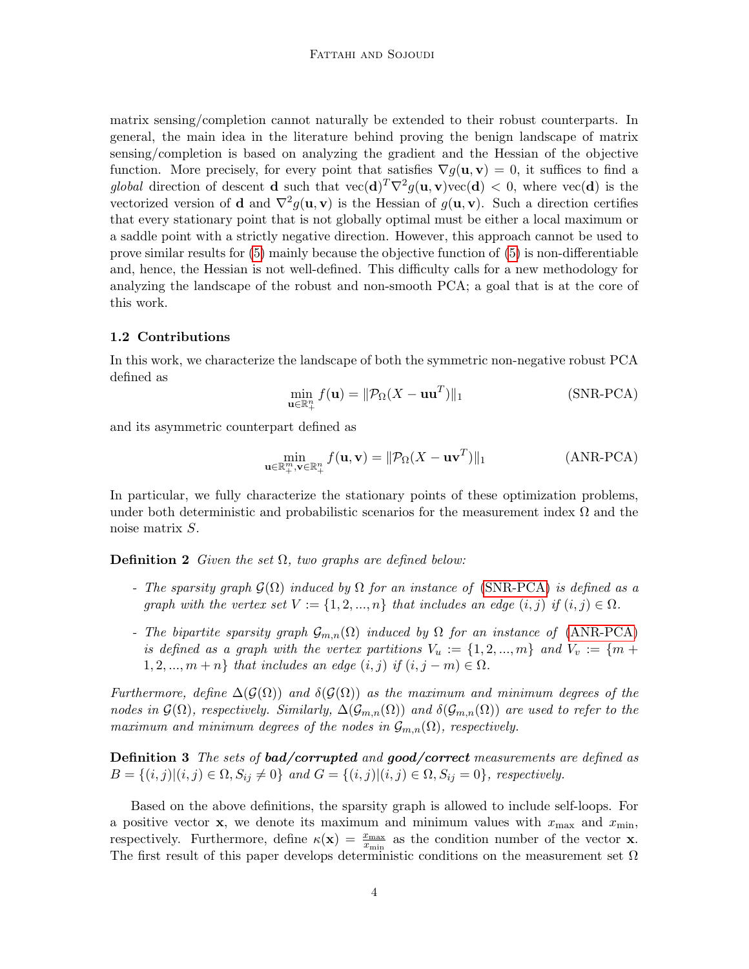matrix sensing/completion cannot naturally be extended to their robust counterparts. In general, the main idea in the literature behind proving the benign landscape of matrix sensing/completion is based on analyzing the gradient and the Hessian of the objective function. More precisely, for every point that satisfies  $\nabla q(\mathbf{u}, \mathbf{v}) = 0$ , it suffices to find a global direction of descent **d** such that  $\text{vec}(\mathbf{d})^T \nabla^2 g(\mathbf{u}, \mathbf{v}) \text{vec}(\mathbf{d}) < 0$ , where  $\text{vec}(\mathbf{d})$  is the vectorized version of **d** and  $\nabla^2 g(\mathbf{u}, \mathbf{v})$  is the Hessian of  $g(\mathbf{u}, \mathbf{v})$ . Such a direction certifies that every stationary point that is not globally optimal must be either a local maximum or a saddle point with a strictly negative direction. However, this approach cannot be used to prove similar results for [\(5\)](#page-2-0) mainly because the objective function of [\(5\)](#page-2-0) is non-differentiable and, hence, the Hessian is not well-defined. This difficulty calls for a new methodology for analyzing the landscape of the robust and non-smooth PCA; a goal that is at the core of this work.

#### 1.2 Contributions

In this work, we characterize the landscape of both the symmetric non-negative robust PCA defined as

<span id="page-3-1"></span><span id="page-3-0"></span>
$$
\min_{\mathbf{u}\in\mathbb{R}_{+}^{n}} f(\mathbf{u}) = \|\mathcal{P}_{\Omega}(X - \mathbf{u}\mathbf{u}^{T})\|_{1}
$$
 (SNR-PCA)

and its asymmetric counterpart defined as

$$
\min_{\mathbf{u}\in\mathbb{R}_{+}^{m},\mathbf{v}\in\mathbb{R}_{+}^{n}}f(\mathbf{u},\mathbf{v})=\|\mathcal{P}_{\Omega}(X-\mathbf{u}\mathbf{v}^{T})\|_{1}
$$
(ANR-PCA)

In particular, we fully characterize the stationary points of these optimization problems, under both deterministic and probabilistic scenarios for the measurement index  $\Omega$  and the noise matrix S.

**Definition 2** Given the set  $\Omega$ , two graphs are defined below:

- The sparsity graph  $\mathcal{G}(\Omega)$  induced by  $\Omega$  for an instance of [\(SNR-PCA\)](#page-3-0) is defined as a graph with the vertex set  $V := \{1, 2, ..., n\}$  that includes an edge  $(i, j)$  if  $(i, j) \in \Omega$ .
- The bipartite sparsity graph  $\mathcal{G}_{m,n}(\Omega)$  induced by  $\Omega$  for an instance of [\(ANR-PCA\)](#page-3-1) is defined as a graph with the vertex partitions  $V_u := \{1, 2, ..., m\}$  and  $V_v := \{m +$  $1, 2, ..., m+n$  that includes an edge  $(i, j)$  if  $(i, j-m) \in \Omega$ .

Furthermore, define  $\Delta(\mathcal{G}(\Omega))$  and  $\delta(\mathcal{G}(\Omega))$  as the maximum and minimum degrees of the nodes in  $\mathcal{G}(\Omega)$ , respectively. Similarly,  $\Delta(\mathcal{G}_{m,n}(\Omega))$  and  $\delta(\mathcal{G}_{m,n}(\Omega))$  are used to refer to the maximum and minimum degrees of the nodes in  $\mathcal{G}_{m,n}(\Omega)$ , respectively.

**Definition 3** The sets of **bad/corrupted** and **good/correct** measurements are defined as  $B = \{(i, j) | (i, j) \in \Omega, S_{ij} \neq 0\}$  and  $G = \{(i, j) | (i, j) \in \Omega, S_{ij} = 0\}$ , respectively.

Based on the above definitions, the sparsity graph is allowed to include self-loops. For a positive vector **x**, we denote its maximum and minimum values with  $x_{\text{max}}$  and  $x_{\text{min}}$ , respectively. Furthermore, define  $\kappa(\mathbf{x}) = \frac{x_{\text{max}}}{x_{\text{min}}}$  as the condition number of the vector  $\mathbf{x}$ . The first result of this paper develops deterministic conditions on the measurement set  $\Omega$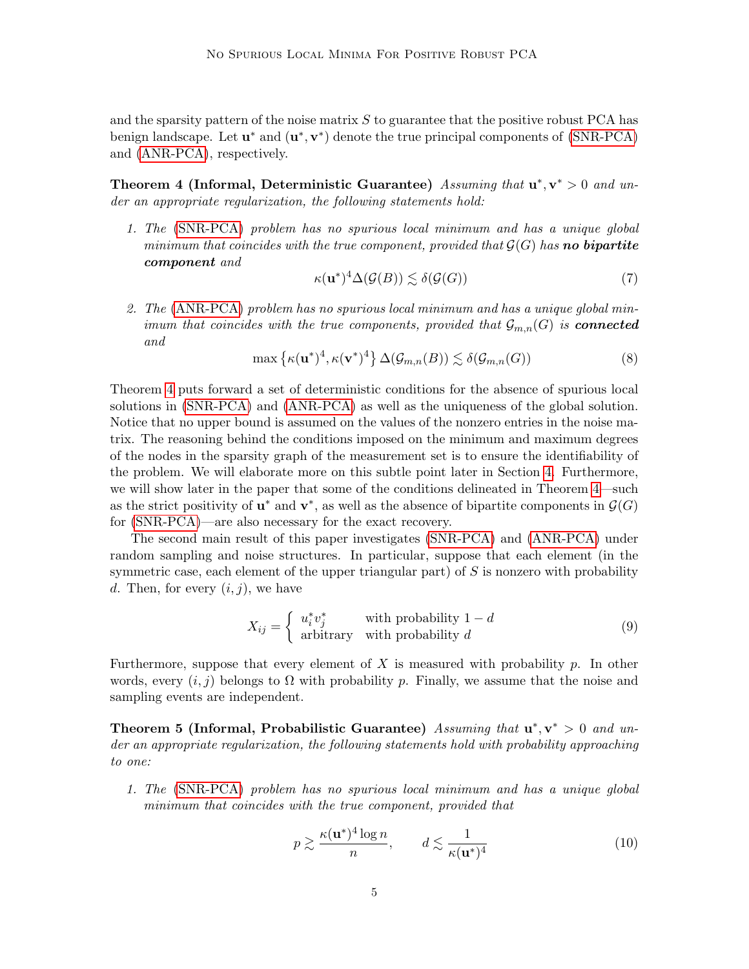and the sparsity pattern of the noise matrix  $S$  to guarantee that the positive robust PCA has benign landscape. Let  $\mathbf{u}^*$  and  $(\mathbf{u}^*, \mathbf{v}^*)$  denote the true principal components of [\(SNR-PCA\)](#page-3-0) and [\(ANR-PCA\)](#page-3-1), respectively.

<span id="page-4-0"></span>Theorem 4 (Informal, Deterministic Guarantee) Assuming that  $\mathbf{u}^*, \mathbf{v}^* > 0$  and under an appropriate regularization, the following statements hold:

1. The [\(SNR-PCA\)](#page-3-0) problem has no spurious local minimum and has a unique global minimum that coincides with the true component, provided that  $\mathcal{G}(G)$  has **no bipartite** component and

$$
\kappa(\mathbf{u}^*)^4 \Delta(\mathcal{G}(B)) \lesssim \delta(\mathcal{G}(G))\tag{7}
$$

2. The [\(ANR-PCA\)](#page-3-1) problem has no spurious local minimum and has a unique global minimum that coincides with the true components, provided that  $\mathcal{G}_{m,n}(G)$  is **connected** and

$$
\max\left\{\kappa(\mathbf{u}^*)^4, \kappa(\mathbf{v}^*)^4\right\} \Delta(\mathcal{G}_{m,n}(B)) \lesssim \delta(\mathcal{G}_{m,n}(G))\tag{8}
$$

Theorem [4](#page-4-0) puts forward a set of deterministic conditions for the absence of spurious local solutions in [\(SNR-PCA\)](#page-3-0) and [\(ANR-PCA\)](#page-3-1) as well as the uniqueness of the global solution. Notice that no upper bound is assumed on the values of the nonzero entries in the noise matrix. The reasoning behind the conditions imposed on the minimum and maximum degrees of the nodes in the sparsity graph of the measurement set is to ensure the identifiability of the problem. We will elaborate more on this subtle point later in Section [4.](#page-17-0) Furthermore, we will show later in the paper that some of the conditions delineated in Theorem [4—](#page-4-0)such as the strict positivity of  $\mathbf{u}^*$  and  $\mathbf{v}^*$ , as well as the absence of bipartite components in  $\mathcal{G}(G)$ for [\(SNR-PCA\)](#page-3-0)—are also necessary for the exact recovery.

The second main result of this paper investigates [\(SNR-PCA\)](#page-3-0) and [\(ANR-PCA\)](#page-3-1) under random sampling and noise structures. In particular, suppose that each element (in the symmetric case, each element of the upper triangular part) of  $S$  is nonzero with probability d. Then, for every  $(i, j)$ , we have

$$
X_{ij} = \begin{cases} u_i^* v_j^* & \text{with probability } 1 - d \\ \text{arbitrary} & \text{with probability } d \end{cases}
$$
 (9)

Furthermore, suppose that every element of  $X$  is measured with probability  $p$ . In other words, every  $(i, j)$  belongs to  $\Omega$  with probability p. Finally, we assume that the noise and sampling events are independent.

<span id="page-4-1"></span>Theorem 5 (Informal, Probabilistic Guarantee) Assuming that  $\mathbf{u}^*, \mathbf{v}^* > 0$  and under an appropriate regularization, the following statements hold with probability approaching to one:

1. The [\(SNR-PCA\)](#page-3-0) problem has no spurious local minimum and has a unique global minimum that coincides with the true component, provided that

$$
p \gtrsim \frac{\kappa(\mathbf{u}^*)^4 \log n}{n}, \qquad d \lesssim \frac{1}{\kappa(\mathbf{u}^*)^4} \tag{10}
$$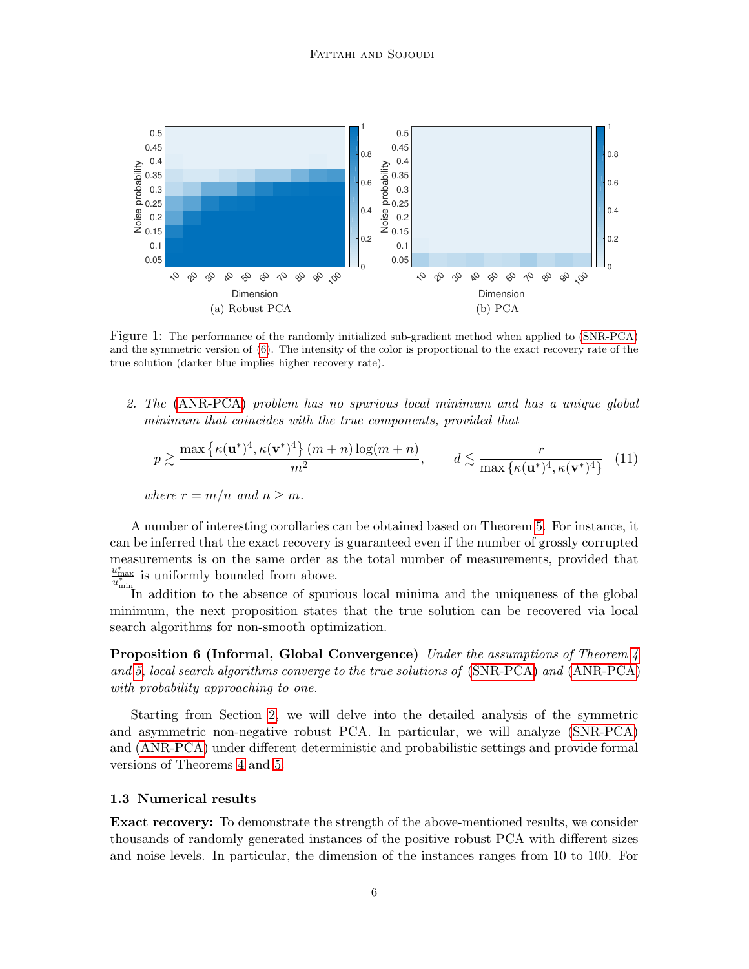<span id="page-5-0"></span>

Figure 1: The performance of the randomly initialized sub-gradient method when applied to [\(SNR-PCA\)](#page-3-0) and the symmetric version of [\(6\)](#page-2-1). The intensity of the color is proportional to the exact recovery rate of the true solution (darker blue implies higher recovery rate).

2. The [\(ANR-PCA\)](#page-3-1) problem has no spurious local minimum and has a unique global minimum that coincides with the true components, provided that

$$
p \gtrsim \frac{\max\left\{\kappa(\mathbf{u}^*)^4, \kappa(\mathbf{v}^*)^4\right\}(m+n)\log(m+n)}{m^2}, \qquad d \lesssim \frac{r}{\max\left\{\kappa(\mathbf{u}^*)^4, \kappa(\mathbf{v}^*)^4\right\}} \tag{11}
$$

where  $r = m/n$  and  $n > m$ .

A number of interesting corollaries can be obtained based on Theorem [5.](#page-4-1) For instance, it can be inferred that the exact recovery is guaranteed even if the number of grossly corrupted measurements is on the same order as the total number of measurements, provided that  $\frac{u_{\text{max}}^*}{u^*}$  is uniformly bounded from above.

 $\overline{u_{\min}^*}$  is unnormly bounded from above.<br>In addition to the absence of spurious local minima and the uniqueness of the global minimum, the next proposition states that the true solution can be recovered via local search algorithms for non-smooth optimization.

**Proposition 6 (Informal, Global Convergence)** Under the assumptions of Theorem [4](#page-4-0) and [5,](#page-4-1) local search algorithms converge to the true solutions of [\(SNR-PCA\)](#page-3-0) and [\(ANR-PCA\)](#page-3-1) with probability approaching to one.

Starting from Section [2,](#page-9-0) we will delve into the detailed analysis of the symmetric and asymmetric non-negative robust PCA. In particular, we will analyze [\(SNR-PCA\)](#page-3-0) and [\(ANR-PCA\)](#page-3-1) under different deterministic and probabilistic settings and provide formal versions of Theorems [4](#page-4-0) and [5.](#page-4-1)

#### 1.3 Numerical results

Exact recovery: To demonstrate the strength of the above-mentioned results, we consider thousands of randomly generated instances of the positive robust PCA with different sizes and noise levels. In particular, the dimension of the instances ranges from 10 to 100. For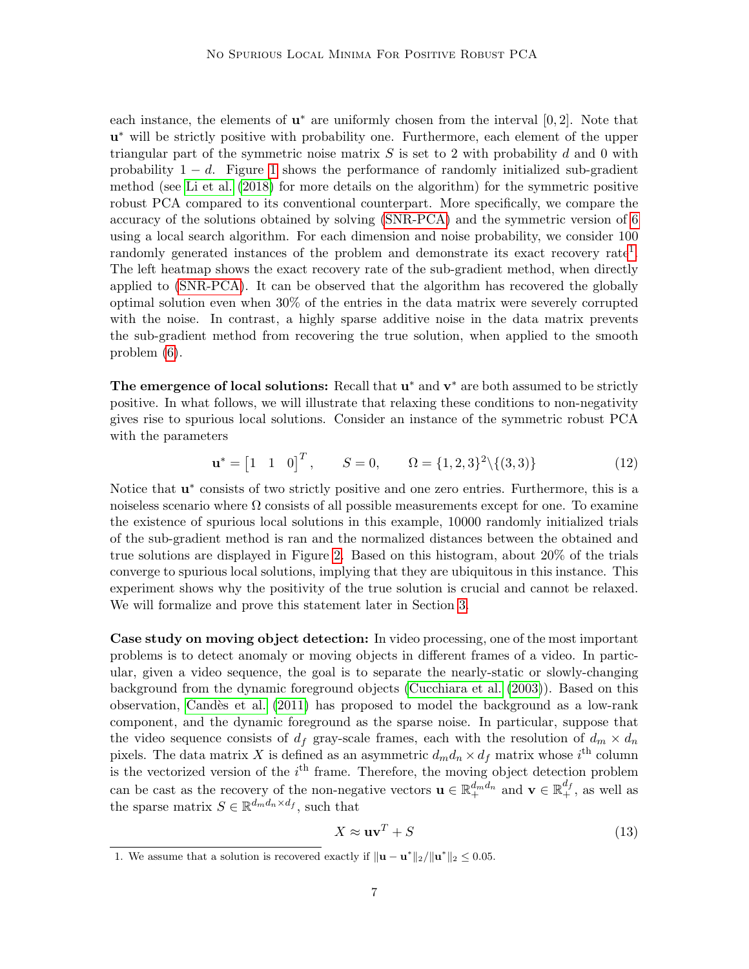each instance, the elements of  $\mathbf{u}^*$  are uniformly chosen from the interval [0, 2]. Note that u<sup>\*</sup> will be strictly positive with probability one. Furthermore, each element of the upper triangular part of the symmetric noise matrix  $S$  is set to 2 with probability  $d$  and 0 with probability  $1 - d$ . Figure [1](#page-5-0) shows the performance of randomly initialized sub-gradient method (see [Li et al.](#page-29-4) [\(2018\)](#page-29-4) for more details on the algorithm) for the symmetric positive robust PCA compared to its conventional counterpart. More specifically, we compare the accuracy of the solutions obtained by solving [\(SNR-PCA\)](#page-3-0) and the symmetric version of [6](#page-2-1) using a local search algorithm. For each dimension and noise probability, we consider 100 randomly generated instances of the problem and demonstrate its exact recovery rate<sup>[1](#page-6-0)</sup>. The left heatmap shows the exact recovery rate of the sub-gradient method, when directly applied to [\(SNR-PCA\)](#page-3-0). It can be observed that the algorithm has recovered the globally optimal solution even when 30% of the entries in the data matrix were severely corrupted with the noise. In contrast, a highly sparse additive noise in the data matrix prevents the sub-gradient method from recovering the true solution, when applied to the smooth problem [\(6\)](#page-2-1).

The emergence of local solutions: Recall that  $u^*$  and  $v^*$  are both assumed to be strictly positive. In what follows, we will illustrate that relaxing these conditions to non-negativity gives rise to spurious local solutions. Consider an instance of the symmetric robust PCA with the parameters

$$
\mathbf{u}^* = \begin{bmatrix} 1 & 1 & 0 \end{bmatrix}^T, \qquad S = 0, \qquad \Omega = \{1, 2, 3\}^2 \setminus \{(3, 3)\} \tag{12}
$$

Notice that  $\mathbf{u}^*$  consists of two strictly positive and one zero entries. Furthermore, this is a noiseless scenario where  $\Omega$  consists of all possible measurements except for one. To examine the existence of spurious local solutions in this example, 10000 randomly initialized trials of the sub-gradient method is ran and the normalized distances between the obtained and true solutions are displayed in Figure [2.](#page-7-0) Based on this histogram, about 20% of the trials converge to spurious local solutions, implying that they are ubiquitous in this instance. This experiment shows why the positivity of the true solution is crucial and cannot be relaxed. We will formalize and prove this statement later in Section [3.](#page-10-0)

Case study on moving object detection: In video processing, one of the most important problems is to detect anomaly or moving objects in different frames of a video. In particular, given a video sequence, the goal is to separate the nearly-static or slowly-changing background from the dynamic foreground objects [\(Cucchiara et al.](#page-27-5) [\(2003\)](#page-27-5)). Based on this observation, [Cand`es et al.](#page-27-2) [\(2011\)](#page-27-2) has proposed to model the background as a low-rank component, and the dynamic foreground as the sparse noise. In particular, suppose that the video sequence consists of  $d_f$  gray-scale frames, each with the resolution of  $d_m \times d_n$ pixels. The data matrix X is defined as an asymmetric  $d_m d_n \times d_f$  matrix whose  $i^{\text{th}}$  column is the vectorized version of the  $i<sup>th</sup>$  frame. Therefore, the moving object detection problem can be cast as the recovery of the non-negative vectors  $\mathbf{u} \in \mathbb{R}^{d_m d_n}$  and  $\mathbf{v} \in \mathbb{R}^{d_f}$ , as well as the sparse matrix  $S \in \mathbb{R}^{d_m d_n \times d_f}$ , such that

<span id="page-6-1"></span>
$$
X \approx \mathbf{u}\mathbf{v}^T + S \tag{13}
$$

<span id="page-6-0"></span><sup>1.</sup> We assume that a solution is recovered exactly if  $\|\mathbf{u} - \mathbf{u}^*\|_2 / \|\mathbf{u}^*\|_2 \leq 0.05$ .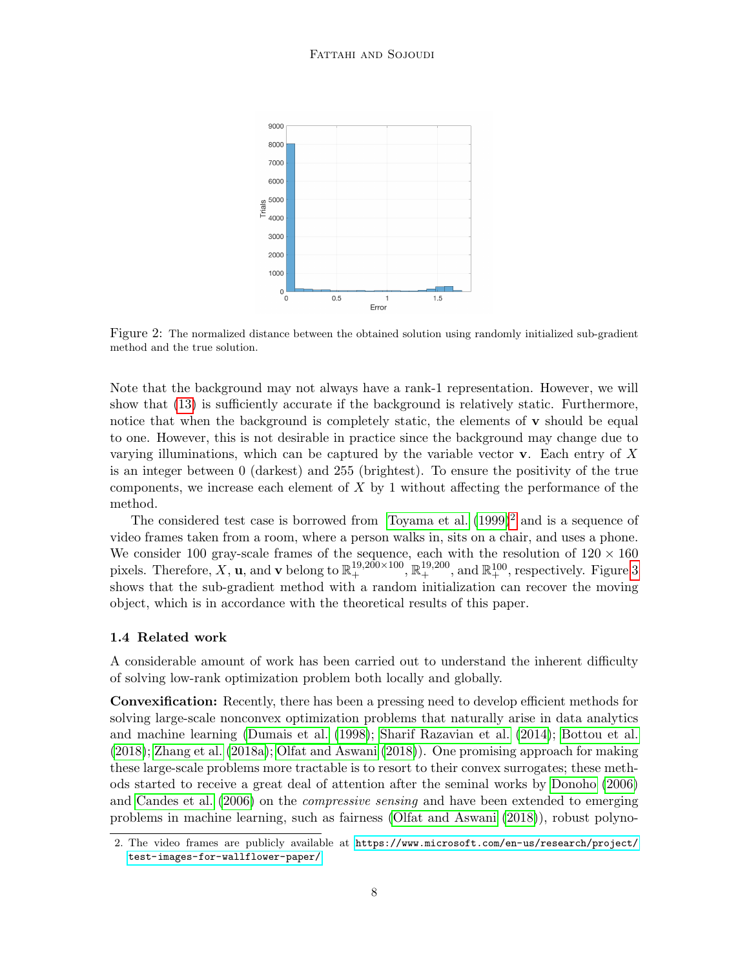<span id="page-7-0"></span>

Figure 2: The normalized distance between the obtained solution using randomly initialized sub-gradient method and the true solution.

Note that the background may not always have a rank-1 representation. However, we will show that [\(13\)](#page-6-1) is sufficiently accurate if the background is relatively static. Furthermore, notice that when the background is completely static, the elements of  $\bf{v}$  should be equal to one. However, this is not desirable in practice since the background may change due to varying illuminations, which can be captured by the variable vector  $\bf{v}$ . Each entry of X is an integer between 0 (darkest) and 255 (brightest). To ensure the positivity of the true components, we increase each element of  $X$  by 1 without affecting the performance of the method.

The considered test case is borrowed from [Toyama et al.](#page-29-5)  $(1999)^2$  $(1999)^2$  $(1999)^2$  and is a sequence of video frames taken from a room, where a person walks in, sits on a chair, and uses a phone. We consider 100 gray-scale frames of the sequence, each with the resolution of  $120 \times 160$ pixels. Therefore, X, **u**, and **v** belong to  $\mathbb{R}^{19,200\times100}_{+}$ ,  $\mathbb{R}^{19,200}_{+}$ , and  $\mathbb{R}^{100}_{+}$ , respectively. Figure [3](#page-8-0) shows that the sub-gradient method with a random initialization can recover the moving object, which is in accordance with the theoretical results of this paper.

#### 1.4 Related work

A considerable amount of work has been carried out to understand the inherent difficulty of solving low-rank optimization problem both locally and globally.

Convexification: Recently, there has been a pressing need to develop efficient methods for solving large-scale nonconvex optimization problems that naturally arise in data analytics and machine learning [\(Dumais et al.](#page-28-5) [\(1998\)](#page-28-5); [Sharif Razavian et al.](#page-29-6) [\(2014\)](#page-29-6); [Bottou et al.](#page-27-6) [\(2018\)](#page-27-6); [Zhang et al.](#page-30-1) [\(2018a\)](#page-30-1); [Olfat and Aswani](#page-29-7) [\(2018\)](#page-29-7)). One promising approach for making these large-scale problems more tractable is to resort to their convex surrogates; these methods started to receive a great deal of attention after the seminal works by [Donoho](#page-28-6) [\(2006\)](#page-28-6) and [Candes et al.](#page-27-7) [\(2006\)](#page-27-7) on the *compressive sensing* and have been extended to emerging problems in machine learning, such as fairness [\(Olfat and Aswani](#page-29-7) [\(2018\)](#page-29-7)), robust polyno-

<span id="page-7-1"></span><sup>2.</sup> The video frames are publicly available at [https://www.microsoft.com/en-us/research/project/](https://www.microsoft.com/en-us/research/project/test-images-for-wallflower-paper/) [test-images-for-wallflower-paper/](https://www.microsoft.com/en-us/research/project/test-images-for-wallflower-paper/).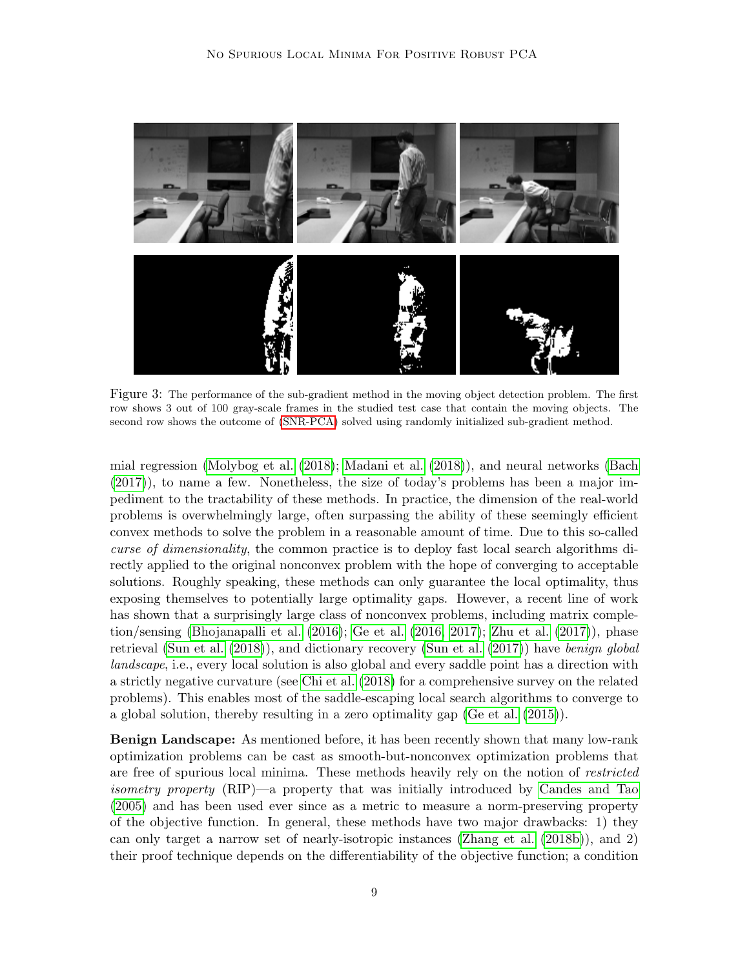<span id="page-8-0"></span>

Figure 3: The performance of the sub-gradient method in the moving object detection problem. The first row shows 3 out of 100 gray-scale frames in the studied test case that contain the moving objects. The second row shows the outcome of [\(SNR-PCA\)](#page-3-0) solved using randomly initialized sub-gradient method.

mial regression [\(Molybog et al.](#page-29-8) [\(2018\)](#page-29-8); [Madani et al.](#page-29-9) [\(2018\)](#page-29-9)), and neural networks [\(Bach](#page-27-8) [\(2017\)](#page-27-8)), to name a few. Nonetheless, the size of today's problems has been a major impediment to the tractability of these methods. In practice, the dimension of the real-world problems is overwhelmingly large, often surpassing the ability of these seemingly efficient convex methods to solve the problem in a reasonable amount of time. Due to this so-called curse of dimensionality, the common practice is to deploy fast local search algorithms directly applied to the original nonconvex problem with the hope of converging to acceptable solutions. Roughly speaking, these methods can only guarantee the local optimality, thus exposing themselves to potentially large optimality gaps. However, a recent line of work has shown that a surprisingly large class of nonconvex problems, including matrix completion/sensing [\(Bhojanapalli et al.](#page-27-4) [\(2016\)](#page-27-4); [Ge et al.](#page-28-3) [\(2016,](#page-28-3) [2017\)](#page-28-4); [Zhu et al.](#page-30-2) [\(2017\)](#page-30-2)), phase retrieval [\(Sun et al.](#page-29-11)  $(2018)$ ), and dictionary recovery (Sun et al.  $(2017)$ ) have *benign global* landscape, i.e., every local solution is also global and every saddle point has a direction with a strictly negative curvature (see [Chi et al.](#page-27-9) [\(2018\)](#page-27-9) for a comprehensive survey on the related problems). This enables most of the saddle-escaping local search algorithms to converge to a global solution, thereby resulting in a zero optimality gap [\(Ge et al.](#page-28-7) [\(2015\)](#page-28-7)).

Benign Landscape: As mentioned before, it has been recently shown that many low-rank optimization problems can be cast as smooth-but-nonconvex optimization problems that are free of spurious local minima. These methods heavily rely on the notion of restricted isometry property (RIP)—a property that was initially introduced by [Candes and Tao](#page-27-10) [\(2005\)](#page-27-10) and has been used ever since as a metric to measure a norm-preserving property of the objective function. In general, these methods have two major drawbacks: 1) they can only target a narrow set of nearly-isotropic instances [\(Zhang et al.](#page-30-3) [\(2018b\)](#page-30-3)), and 2) their proof technique depends on the differentiability of the objective function; a condition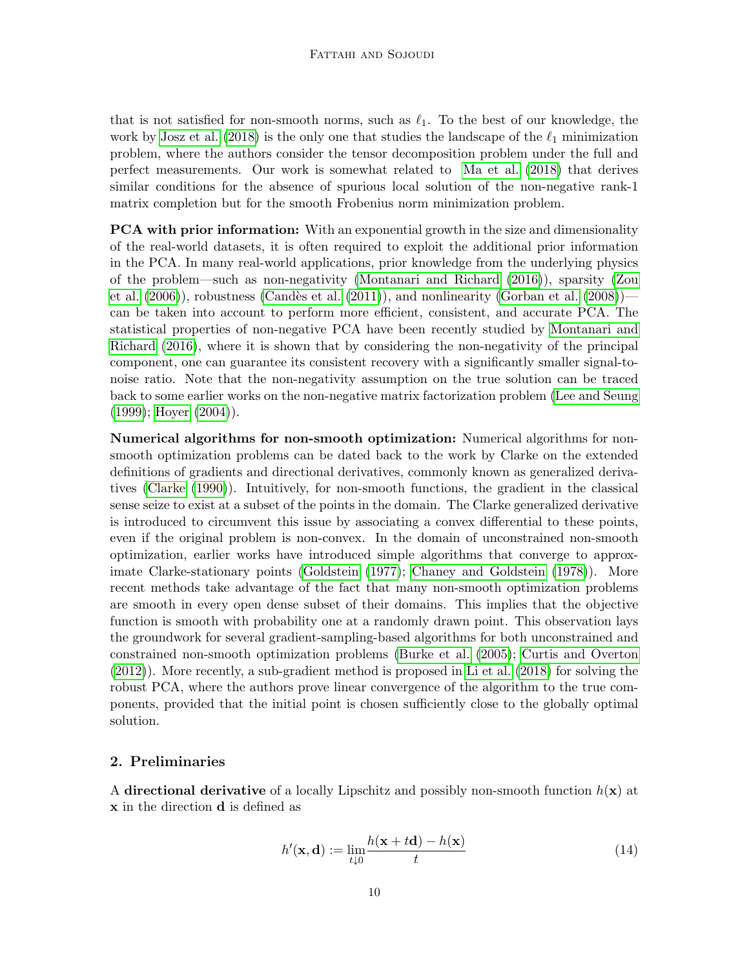that is not satisfied for non-smooth norms, such as  $\ell_1$ . To the best of our knowledge, the work by [Josz et al.](#page-28-8) [\(2018\)](#page-28-8) is the only one that studies the landscape of the  $\ell_1$  minimization problem, where the authors consider the tensor decomposition problem under the full and perfect measurements. Our work is somewhat related to [Ma et al.](#page-29-12) [\(2018\)](#page-29-12) that derives similar conditions for the absence of spurious local solution of the non-negative rank-1 matrix completion but for the smooth Frobenius norm minimization problem.

**PCA with prior information:** With an exponential growth in the size and dimensionality of the real-world datasets, it is often required to exploit the additional prior information in the PCA. In many real-world applications, prior knowledge from the underlying physics of the problem—such as non-negativity [\(Montanari and Richard](#page-29-0) [\(2016\)](#page-29-0)), sparsity [\(Zou](#page-30-0) [et al.](#page-30-0)  $(2006)$ , robustness (Candès et al.  $(2011)$ ), and nonlinearity [\(Gorban et al.](#page-28-2)  $(2008)$ ) can be taken into account to perform more efficient, consistent, and accurate PCA. The statistical properties of non-negative PCA have been recently studied by [Montanari and](#page-29-0) [Richard](#page-29-0) [\(2016\)](#page-29-0), where it is shown that by considering the non-negativity of the principal component, one can guarantee its consistent recovery with a significantly smaller signal-tonoise ratio. Note that the non-negativity assumption on the true solution can be traced back to some earlier works on the non-negative matrix factorization problem [\(Lee and Seung](#page-29-2) [\(1999\)](#page-29-2); [Hoyer](#page-28-9) [\(2004\)](#page-28-9)).

Numerical algorithms for non-smooth optimization: Numerical algorithms for nonsmooth optimization problems can be dated back to the work by Clarke on the extended definitions of gradients and directional derivatives, commonly known as generalized derivatives [\(Clarke](#page-27-11) [\(1990\)](#page-27-11)). Intuitively, for non-smooth functions, the gradient in the classical sense seize to exist at a subset of the points in the domain. The Clarke generalized derivative is introduced to circumvent this issue by associating a convex differential to these points, even if the original problem is non-convex. In the domain of unconstrained non-smooth optimization, earlier works have introduced simple algorithms that converge to approximate Clarke-stationary points [\(Goldstein](#page-28-10) [\(1977\)](#page-28-10); [Chaney and Goldstein](#page-27-12) [\(1978\)](#page-27-12)). More recent methods take advantage of the fact that many non-smooth optimization problems are smooth in every open dense subset of their domains. This implies that the objective function is smooth with probability one at a randomly drawn point. This observation lays the groundwork for several gradient-sampling-based algorithms for both unconstrained and constrained non-smooth optimization problems [\(Burke et al.](#page-27-13) [\(2005\)](#page-27-13); [Curtis and Overton](#page-28-11) [\(2012\)](#page-28-11)). More recently, a sub-gradient method is proposed in [Li et al.](#page-29-4) [\(2018\)](#page-29-4) for solving the robust PCA, where the authors prove linear convergence of the algorithm to the true components, provided that the initial point is chosen sufficiently close to the globally optimal solution.

# <span id="page-9-0"></span>2. Preliminaries

A directional derivative of a locally Lipschitz and possibly non-smooth function  $h(\mathbf{x})$  at x in the direction d is defined as

$$
h'(\mathbf{x}, \mathbf{d}) := \lim_{t \downarrow 0} \frac{h(\mathbf{x} + t\mathbf{d}) - h(\mathbf{x})}{t}
$$
(14)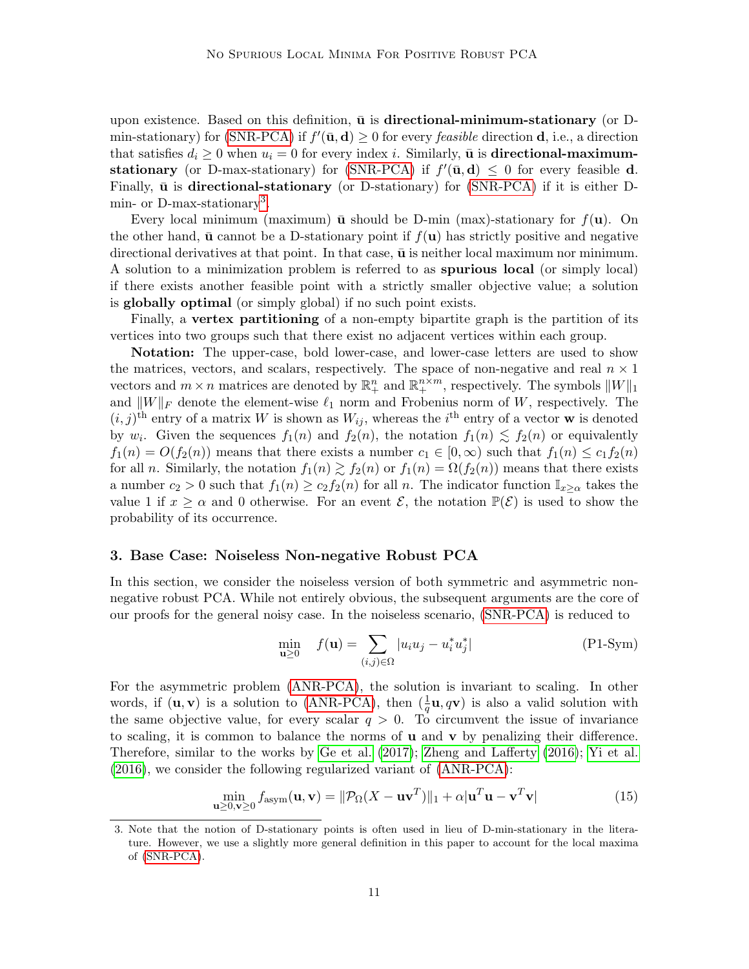upon existence. Based on this definition,  $\bar{u}$  is directional-minimum-stationary (or D-min-stationary) for [\(SNR-PCA\)](#page-3-0) if  $f'(\bar{\mathbf{u}}, \mathbf{d}) \geq 0$  for every *feasible* direction **d**, i.e., a direction that satisfies  $d_i \geq 0$  when  $u_i = 0$  for every index *i*. Similarly,  $\bar{u}$  is **directional-maximum-**stationary (or D-max-stationary) for [\(SNR-PCA\)](#page-3-0) if  $f'(\bar{\mathbf{u}}, \mathbf{d}) \leq 0$  for every feasible d. Finally,  $\bar{u}$  is directional-stationary (or D-stationary) for [\(SNR-PCA\)](#page-3-0) if it is either D-min- or D-max-stationary<sup>[3](#page-10-1)</sup>.

Every local minimum (maximum)  $\bar{u}$  should be D-min (max)-stationary for  $f(u)$ . On the other hand,  $\bar{u}$  cannot be a D-stationary point if  $f(u)$  has strictly positive and negative directional derivatives at that point. In that case,  $\bar{u}$  is neither local maximum nor minimum. A solution to a minimization problem is referred to as spurious local (or simply local) if there exists another feasible point with a strictly smaller objective value; a solution is globally optimal (or simply global) if no such point exists.

Finally, a vertex partitioning of a non-empty bipartite graph is the partition of its vertices into two groups such that there exist no adjacent vertices within each group.

Notation: The upper-case, bold lower-case, and lower-case letters are used to show the matrices, vectors, and scalars, respectively. The space of non-negative and real  $n \times 1$ vectors and  $m \times n$  matrices are denoted by  $\mathbb{R}^n_+$  and  $\mathbb{R}^{n \times m}_+$ , respectively. The symbols  $||W||_1$ and  $||W||_F$  denote the element-wise  $\ell_1$  norm and Frobenius norm of W, respectively. The  $(i, j)$ <sup>th</sup> entry of a matrix W is shown as  $W_{ij}$ , whereas the i<sup>th</sup> entry of a vector **w** is denoted by  $w_i$ . Given the sequences  $f_1(n)$  and  $f_2(n)$ , the notation  $f_1(n) \lesssim f_2(n)$  or equivalently  $f_1(n) = O(f_2(n))$  means that there exists a number  $c_1 \in [0, \infty)$  such that  $f_1(n) \leq c_1 f_2(n)$ for all *n*. Similarly, the notation  $f_1(n) \ge f_2(n)$  or  $f_1(n) = \Omega(f_2(n))$  means that there exists a number  $c_2 > 0$  such that  $f_1(n) \ge c_2 f_2(n)$  for all n. The indicator function  $\mathbb{I}_{x>\alpha}$  takes the value 1 if  $x \ge \alpha$  and 0 otherwise. For an event  $\mathcal{E}$ , the notation  $\mathbb{P}(\mathcal{E})$  is used to show the probability of its occurrence.

### <span id="page-10-0"></span>3. Base Case: Noiseless Non-negative Robust PCA

In this section, we consider the noiseless version of both symmetric and asymmetric nonnegative robust PCA. While not entirely obvious, the subsequent arguments are the core of our proofs for the general noisy case. In the noiseless scenario, [\(SNR-PCA\)](#page-3-0) is reduced to

<span id="page-10-3"></span><span id="page-10-2"></span>
$$
\min_{\mathbf{u}\geq 0} \quad f(\mathbf{u}) = \sum_{(i,j)\in\Omega} |u_i u_j - u_i^* u_j^*| \tag{P1-Sym}
$$

For the asymmetric problem [\(ANR-PCA\)](#page-3-1), the solution is invariant to scaling. In other words, if  $(\mathbf{u}, \mathbf{v})$  is a solution to [\(ANR-PCA\)](#page-3-1), then  $(\frac{1}{q}\mathbf{u}, q\mathbf{v})$  is also a valid solution with the same objective value, for every scalar  $q > 0$ . To circumvent the issue of invariance to scaling, it is common to balance the norms of  $\bf{u}$  and  $\bf{v}$  by penalizing their difference. Therefore, similar to the works by [Ge et al.](#page-28-4) [\(2017\)](#page-28-4); [Zheng and Lafferty](#page-30-4) [\(2016\)](#page-30-4); [Yi et al.](#page-30-5) [\(2016\)](#page-30-5), we consider the following regularized variant of [\(ANR-PCA\)](#page-3-1):

$$
\min_{\mathbf{u}\geq 0,\mathbf{v}\geq 0} f_{\text{asym}}(\mathbf{u}, \mathbf{v}) = \|\mathcal{P}_{\Omega}(X - \mathbf{u}\mathbf{v}^T)\|_1 + \alpha |\mathbf{u}^T \mathbf{u} - \mathbf{v}^T \mathbf{v}| \tag{15}
$$

<span id="page-10-1"></span><sup>3.</sup> Note that the notion of D-stationary points is often used in lieu of D-min-stationary in the literature. However, we use a slightly more general definition in this paper to account for the local maxima of [\(SNR-PCA\)](#page-3-0).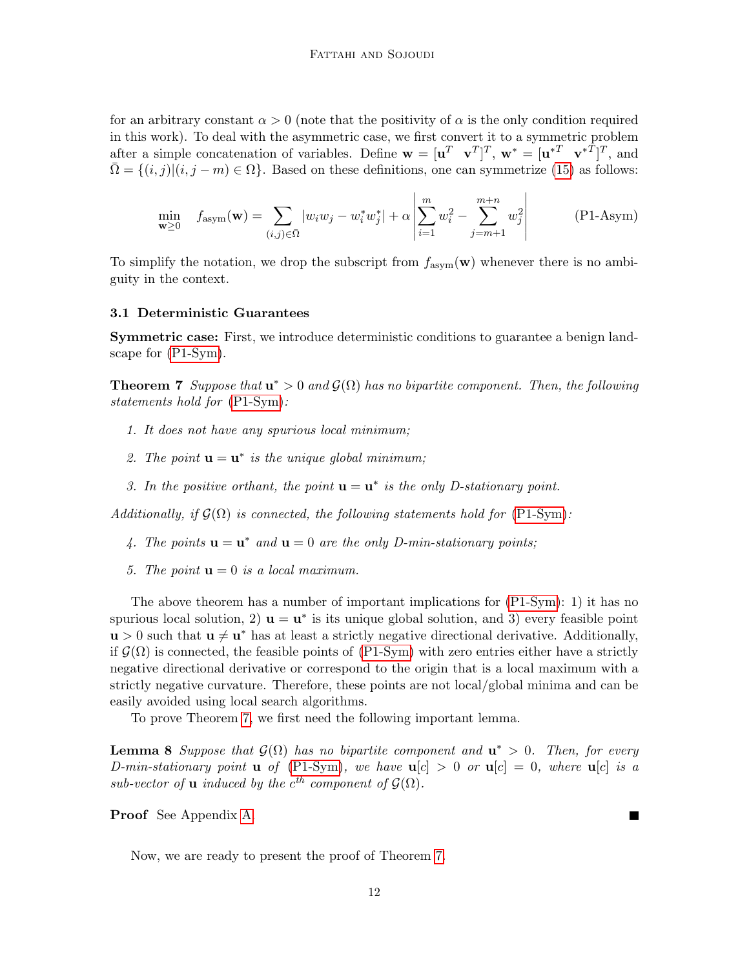for an arbitrary constant  $\alpha > 0$  (note that the positivity of  $\alpha$  is the only condition required in this work). To deal with the asymmetric case, we first convert it to a symmetric problem after a simple concatenation of variables. Define  $\mathbf{w} = [\mathbf{u}^T \ \mathbf{v}^T]^T$ ,  $\mathbf{w}^* = [\mathbf{u}^{*T} \ \mathbf{v}^{*T}]^T$ , and  $\overline{\Omega} = \{(i, j) | (i, j - m) \in \Omega \}$ . Based on these definitions, one can symmetrize [\(15\)](#page-10-2) as follows:

<span id="page-11-3"></span><span id="page-11-2"></span>
$$
\min_{\mathbf{w} \ge 0} \quad f_{\text{asym}}(\mathbf{w}) = \sum_{(i,j) \in \bar{\Omega}} |w_i w_j - w_i^* w_j^*| + \alpha \left| \sum_{i=1}^m w_i^2 - \sum_{j=m+1}^{m+n} w_j^2 \right| \tag{P1-Asym}
$$

To simplify the notation, we drop the subscript from  $f_{\text{asym}}(\mathbf{w})$  whenever there is no ambiguity in the context.

#### 3.1 Deterministic Guarantees

Symmetric case: First, we introduce deterministic conditions to guarantee a benign landscape for [\(P1-Sym\)](#page-10-3).

<span id="page-11-0"></span>**Theorem 7** Suppose that  $\mathbf{u}^* > 0$  and  $\mathcal{G}(\Omega)$  has no bipartite component. Then, the following statements hold for [\(P1-Sym\)](#page-10-3):

- 1. It does not have any spurious local minimum;
- 2. The point  $\mathbf{u} = \mathbf{u}^*$  is the unique global minimum;
- 3. In the positive orthant, the point  $\mathbf{u} = \mathbf{u}^*$  is the only D-stationary point.

Additionally, if  $G(\Omega)$  is connected, the following statements hold for [\(P1-Sym\)](#page-10-3):

- 4. The points  $\mathbf{u} = \mathbf{u}^*$  and  $\mathbf{u} = 0$  are the only D-min-stationary points;
- 5. The point  $\mathbf{u} = 0$  is a local maximum.

The above theorem has a number of important implications for [\(P1-Sym\)](#page-10-3): 1) it has no spurious local solution, 2)  $\mathbf{u} = \mathbf{u}^*$  is its unique global solution, and 3) every feasible point  $\mathbf{u} > 0$  such that  $\mathbf{u} \neq \mathbf{u}^*$  has at least a strictly negative directional derivative. Additionally, if  $\mathcal{G}(\Omega)$  is connected, the feasible points of [\(P1-Sym\)](#page-10-3) with zero entries either have a strictly negative directional derivative or correspond to the origin that is a local maximum with a strictly negative curvature. Therefore, these points are not local/global minima and can be easily avoided using local search algorithms.

To prove Theorem [7,](#page-11-0) we first need the following important lemma.

<span id="page-11-1"></span>**Lemma 8** Suppose that  $\mathcal{G}(\Omega)$  has no bipartite component and  $\mathbf{u}^* > 0$ . Then, for every D-min-stationary point **u** of [\(P1-Sym\)](#page-10-3), we have  $u[c] > 0$  or  $u[c] = 0$ , where  $u[c]$  is a sub-vector of **u** induced by the  $c^{th}$  component of  $\mathcal{G}(\Omega)$ .

Proof See Appendix [A.](#page-30-6)

Now, we are ready to present the proof of Theorem [7.](#page-11-0)

**The Second**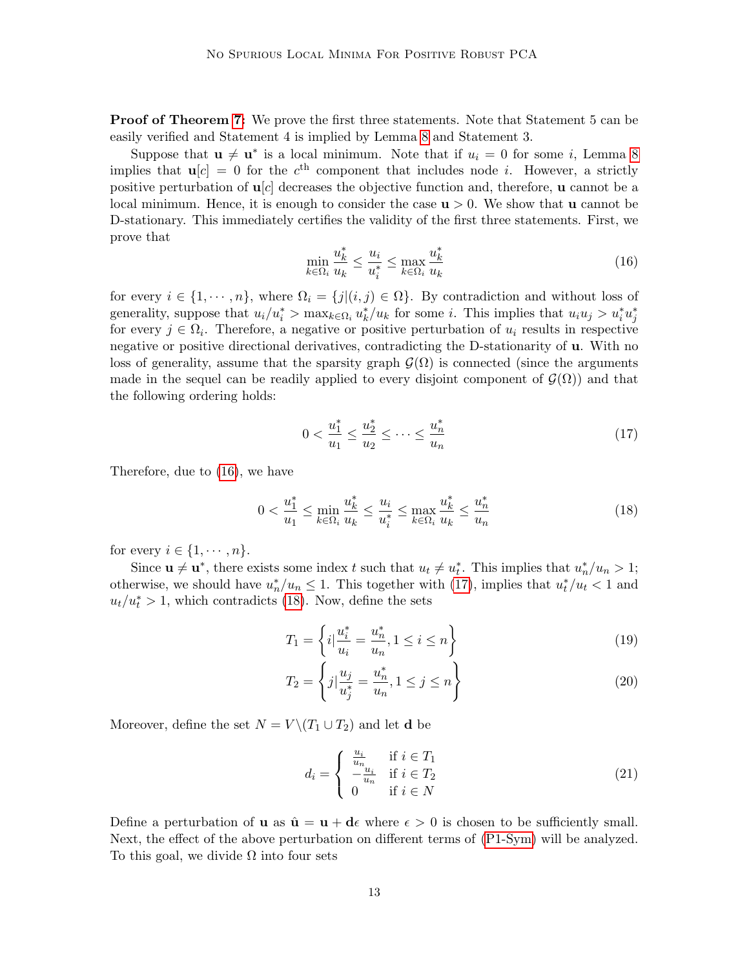**Proof of Theorem [7:](#page-11-0)** We prove the first three statements. Note that Statement 5 can be easily verified and Statement 4 is implied by Lemma [8](#page-11-1) and Statement 3.

Suppose that  $\mathbf{u} \neq \mathbf{u}^*$  is a local minimum. Note that if  $u_i = 0$  for some i, Lemma [8](#page-11-1) implies that  $u[c] = 0$  for the  $c<sup>th</sup>$  component that includes node *i*. However, a strictly positive perturbation of  $\mathbf{u}[c]$  decreases the objective function and, therefore, **u** cannot be a local minimum. Hence, it is enough to consider the case  $u > 0$ . We show that u cannot be D-stationary. This immediately certifies the validity of the first three statements. First, we prove that

$$
\min_{k \in \Omega_i} \frac{u_k^*}{u_k} \le \frac{u_i}{u_i^*} \le \max_{k \in \Omega_i} \frac{u_k^*}{u_k} \tag{16}
$$

for every  $i \in \{1, \dots, n\}$ , where  $\Omega_i = \{j | (i, j) \in \Omega\}$ . By contradiction and without loss of generality, suppose that  $u_i/u_i^* > \max_{k \in \Omega_i} u_k^*/u_k$  for some *i*. This implies that  $u_i u_j > u_i^* u_j^*$ for every  $j \in \Omega_i$ . Therefore, a negative or positive perturbation of  $u_i$  results in respective negative or positive directional derivatives, contradicting the D-stationarity of u. With no loss of generality, assume that the sparsity graph  $\mathcal{G}(\Omega)$  is connected (since the arguments made in the sequel can be readily applied to every disjoint component of  $\mathcal{G}(\Omega)$  and that the following ordering holds:

<span id="page-12-0"></span>
$$
0 < \frac{u_1^*}{u_1} \le \frac{u_2^*}{u_2} \le \dots \le \frac{u_n^*}{u_n} \tag{17}
$$

Therefore, due to [\(16\)](#page-11-2), we have

<span id="page-12-1"></span>
$$
0 < \frac{u_1^*}{u_1} \le \min_{k \in \Omega_i} \frac{u_k^*}{u_k} \le \frac{u_i}{u_i^*} \le \max_{k \in \Omega_i} \frac{u_k^*}{u_k} \le \frac{u_n^*}{u_n} \tag{18}
$$

for every  $i \in \{1, \cdots, n\}.$ 

Since  $\mathbf{u} \neq \mathbf{u}^*$ , there exists some index t such that  $u_t \neq u_t^*$ . This implies that  $u_n^*/u_n > 1$ ; otherwise, we should have  $u_n^*/u_n \leq 1$ . This together with [\(17\)](#page-12-0), implies that  $u_t^*/u_t < 1$  and  $u_t/u_t^* > 1$ , which contradicts [\(18\)](#page-12-1). Now, define the sets

<span id="page-12-2"></span>
$$
T_1 = \left\{ i \Big| \frac{u_i^*}{u_i} = \frac{u_n^*}{u_n}, 1 \le i \le n \right\} \tag{19}
$$

$$
T_2 = \left\{ j | \frac{u_j}{u_j^*} = \frac{u_n^*}{u_n}, 1 \le j \le n \right\}
$$
 (20)

Moreover, define the set  $N = V \setminus (T_1 \cup T_2)$  and let **d** be

<span id="page-12-4"></span><span id="page-12-3"></span>
$$
d_i = \begin{cases} \frac{u_i}{u_n} & \text{if } i \in T_1\\ -\frac{u_i}{u_n} & \text{if } i \in T_2\\ 0 & \text{if } i \in N \end{cases}
$$
 (21)

Define a perturbation of **u** as  $\hat{\mathbf{u}} = \mathbf{u} + \mathbf{d}\epsilon$  where  $\epsilon > 0$  is chosen to be sufficiently small. Next, the effect of the above perturbation on different terms of [\(P1-Sym\)](#page-10-3) will be analyzed. To this goal, we divide  $\Omega$  into four sets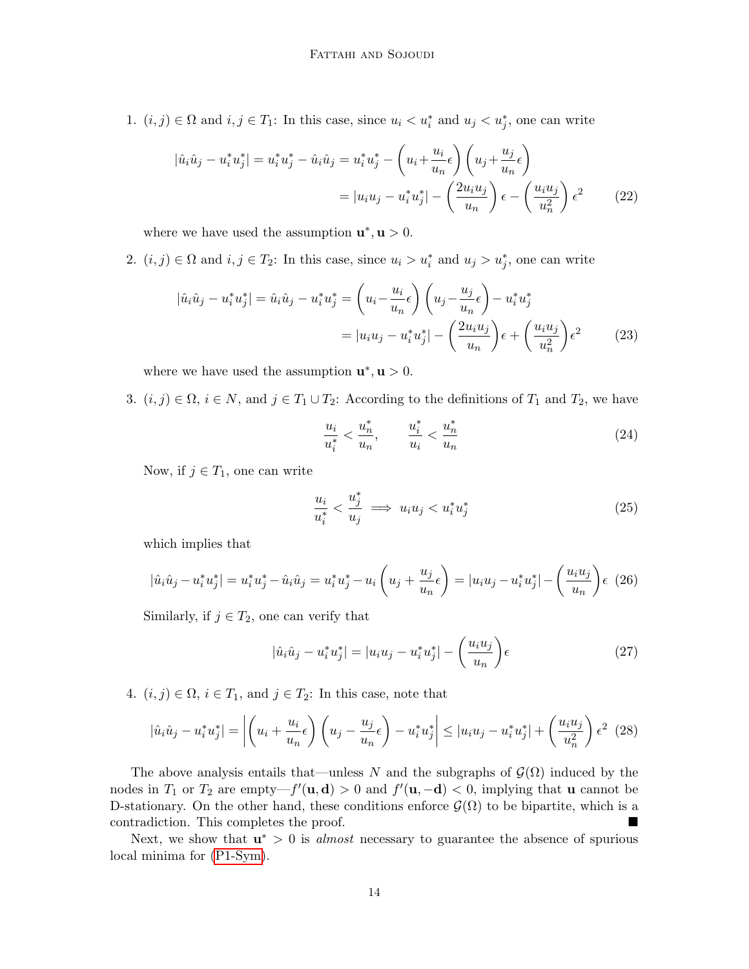1.  $(i, j) \in \Omega$  and  $i, j \in T_1$ : In this case, since  $u_i < u_i^*$  and  $u_j < u_j^*$ , one can write

$$
|\hat{u}_i\hat{u}_j - u_i^* u_j^*| = u_i^* u_j^* - \hat{u}_i \hat{u}_j = u_i^* u_j^* - \left(u_i + \frac{u_i}{u_n} \epsilon\right) \left(u_j + \frac{u_j}{u_n} \epsilon\right)
$$
  

$$
= |u_i u_j - u_i^* u_j^*| - \left(\frac{2u_i u_j}{u_n}\right) \epsilon - \left(\frac{u_i u_j}{u_n^2}\right) \epsilon^2
$$
(22)

where we have used the assumption  $\mathbf{u}^*, \mathbf{u} > 0$ .

2.  $(i, j) \in \Omega$  and  $i, j \in T_2$ : In this case, since  $u_i > u_i^*$  and  $u_j > u_j^*$ , one can write

$$
|\hat{u}_i\hat{u}_j - u_i^* u_j^*| = \hat{u}_i \hat{u}_j - u_i^* u_j^* = \left(u_i - \frac{u_i}{u_n}\epsilon\right) \left(u_j - \frac{u_j}{u_n}\epsilon\right) - u_i^* u_j^* = |u_i u_j - u_i^* u_j^*| - \left(\frac{2u_i u_j}{u_n}\right) \epsilon + \left(\frac{u_i u_j}{u_n^2}\right) \epsilon^2
$$
(23)

where we have used the assumption  $\mathbf{u}^*, \mathbf{u} > 0$ .

3.  $(i, j) \in \Omega$ ,  $i \in N$ , and  $j \in T_1 \cup T_2$ : According to the definitions of  $T_1$  and  $T_2$ , we have

$$
\frac{u_i}{u_i^*} < \frac{u_n^*}{u_n}, \qquad \frac{u_i^*}{u_i} < \frac{u_n^*}{u_n} \tag{24}
$$

Now, if  $j \in T_1$ , one can write

$$
\frac{u_i}{u_i^*} < \frac{u_j^*}{u_j} \implies u_i u_j < u_i^* u_j^* \tag{25}
$$

which implies that

$$
|\hat{u}_i\hat{u}_j - u_i^*u_j^*| = u_i^*u_j^* - \hat{u}_i\hat{u}_j = u_i^*u_j^* - u_i\left(u_j + \frac{u_j}{u_n}\epsilon\right) = |u_iu_j - u_i^*u_j^*| - \left(\frac{u_iu_j}{u_n}\right)\epsilon
$$
 (26)

Similarly, if  $j \in T_2$ , one can verify that

$$
|\hat{u}_i\hat{u}_j - u_i^*u_j^*| = |u_iu_j - u_i^*u_j^*| - \left(\frac{u_iu_j}{u_n}\right)\epsilon
$$
 (27)

4.  $(i, j) \in \Omega$ ,  $i \in T_1$ , and  $j \in T_2$ : In this case, note that

$$
|\hat{u}_i\hat{u}_j - u_i^*u_j^*| = \left| \left(u_i + \frac{u_i}{u_n}\epsilon\right) \left(u_j - \frac{u_j}{u_n}\epsilon\right) - u_i^*u_j^* \right| \leq |u_iu_j - u_i^*u_j^*| + \left(\frac{u_iu_j}{u_n^2}\right)\epsilon^2
$$
 (28)

The above analysis entails that—unless N and the subgraphs of  $\mathcal{G}(\Omega)$  induced by the nodes in  $T_1$  or  $T_2$  are empty— $f'(\mathbf{u}, \mathbf{d}) > 0$  and  $f'(\mathbf{u}, -\mathbf{d}) < 0$ , implying that **u** cannot be D-stationary. On the other hand, these conditions enforce  $\mathcal{G}(\Omega)$  to be bipartite, which is a contradiction. This completes the proof.

<span id="page-13-0"></span>Next, we show that  $\mathbf{u}^* > 0$  is *almost* necessary to guarantee the absence of spurious local minima for [\(P1-Sym\)](#page-10-3).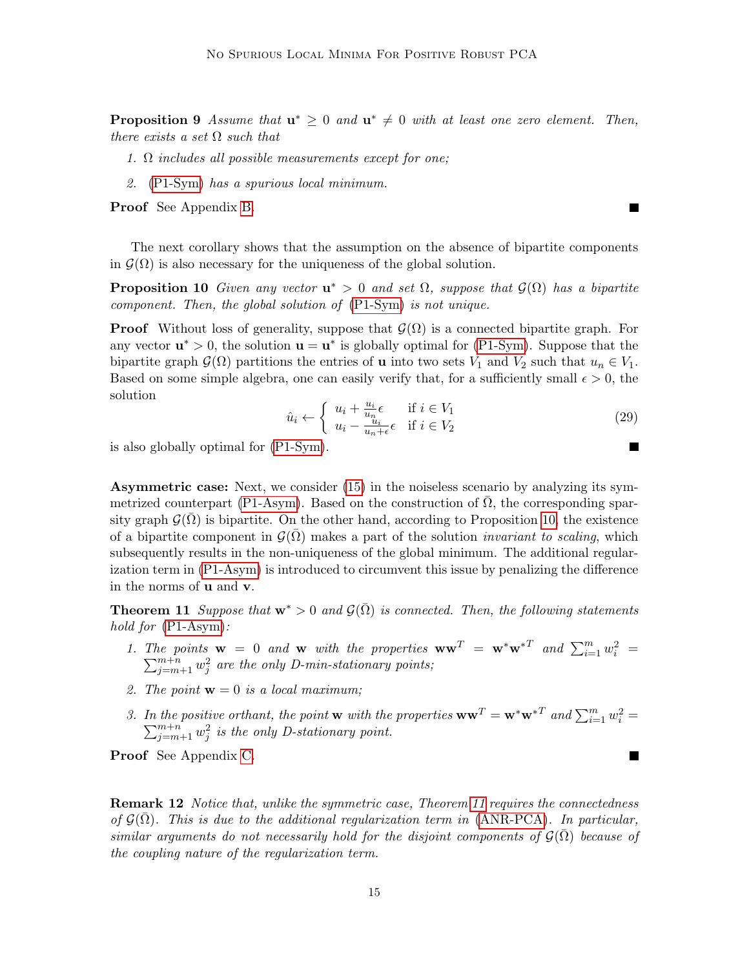**Proposition 9** Assume that  $\mathbf{u}^* \geq 0$  and  $\mathbf{u}^* \neq 0$  with at least one zero element. Then, there exists a set  $\Omega$  such that

- 1.  $\Omega$  includes all possible measurements except for one:
- 2. [\(P1-Sym\)](#page-10-3) has a spurious local minimum.

Proof See Appendix [B.](#page-30-7)

The next corollary shows that the assumption on the absence of bipartite components in  $\mathcal{G}(\Omega)$  is also necessary for the uniqueness of the global solution.

<span id="page-14-0"></span>**Proposition 10** Given any vector  $\mathbf{u}^* > 0$  and set  $\Omega$ , suppose that  $\mathcal{G}(\Omega)$  has a bipartite component. Then, the global solution of [\(P1-Sym\)](#page-10-3) is not unique.

**Proof** Without loss of generality, suppose that  $\mathcal{G}(\Omega)$  is a connected bipartite graph. For any vector  $\mathbf{u}^* > 0$ , the solution  $\mathbf{u} = \mathbf{u}^*$  is globally optimal for [\(P1-Sym\)](#page-10-3). Suppose that the bipartite graph  $\mathcal{G}(\Omega)$  partitions the entries of **u** into two sets  $V_1$  and  $V_2$  such that  $u_n \in V_1$ . Based on some simple algebra, one can easily verify that, for a sufficiently small  $\epsilon > 0$ , the solution

$$
\hat{u}_i \leftarrow \begin{cases} u_i + \frac{u_i}{u_n} \epsilon & \text{if } i \in V_1 \\ u_i - \frac{u_i}{u_n + \epsilon} \epsilon & \text{if } i \in V_2 \end{cases}
$$
\n
$$
(29)
$$

is also globally optimal for [\(P1-Sym\)](#page-10-3).

Asymmetric case: Next, we consider [\(15\)](#page-10-2) in the noiseless scenario by analyzing its sym-metrized counterpart [\(P1-Asym\)](#page-11-3). Based on the construction of  $\overline{\Omega}$ , the corresponding sparsity graph  $\mathcal{G}(\Omega)$  is bipartite. On the other hand, according to Proposition [10,](#page-14-0) the existence of a bipartite component in  $\mathcal{G}(\Omega)$  makes a part of the solution *invariant to scaling*, which subsequently results in the non-uniqueness of the global minimum. The additional regularization term in [\(P1-Asym\)](#page-11-3) is introduced to circumvent this issue by penalizing the difference in the norms of u and v.

<span id="page-14-1"></span>**Theorem 11** Suppose that  $\mathbf{w}^* > 0$  and  $\mathcal{G}(\bar{\Omega})$  is connected. Then, the following statements hold for  $(P1-Asym)$ :

- 1. The points  $\mathbf{w} = 0$  and  $\mathbf{w}$  with the properties  $\mathbf{w}\mathbf{w}^T = \mathbf{w}^*\mathbf{w}^{*T}$  and  $\sum_{i=1}^m w_i^2$  $\sum$ ie points  $\mathbf{w} = 0$  and  $\mathbf{w}$  with the properties  $\mathbf{w}\mathbf{w}^T = \mathbf{w}^*\mathbf{w}^{*T}$  and  $\sum_{i=1}^m w_i^2 = \sum_{j=m+1}^{m+n} w_j^2$  are the only D-min-stationary points;
- 2. The point  $\mathbf{w} = 0$  is a local maximum;
- 3. In the positive orthant, the point **w** with the properties  $\mathbf{w}\mathbf{w}^T = \mathbf{w}^*\mathbf{w}^{*T}$  and  $\sum_{i=1}^m w_i^2 =$  $\sum_{j=m+1}^{m+n} w_j^2$  is the only D-stationary point.

Proof See Appendix [C.](#page-31-0)

**Remark 12** Notice that, unlike the symmetric case, Theorem [11](#page-14-1) requires the connectedness of  $\mathcal{G}(\overline{\Omega})$ . This is due to the additional regularization term in [\(ANR-PCA\)](#page-3-1). In particular, similar arguments do not necessarily hold for the disjoint components of  $\mathcal{G}(\Omega)$  because of the coupling nature of the regularization term.

 $\blacksquare$ 

 $\blacksquare$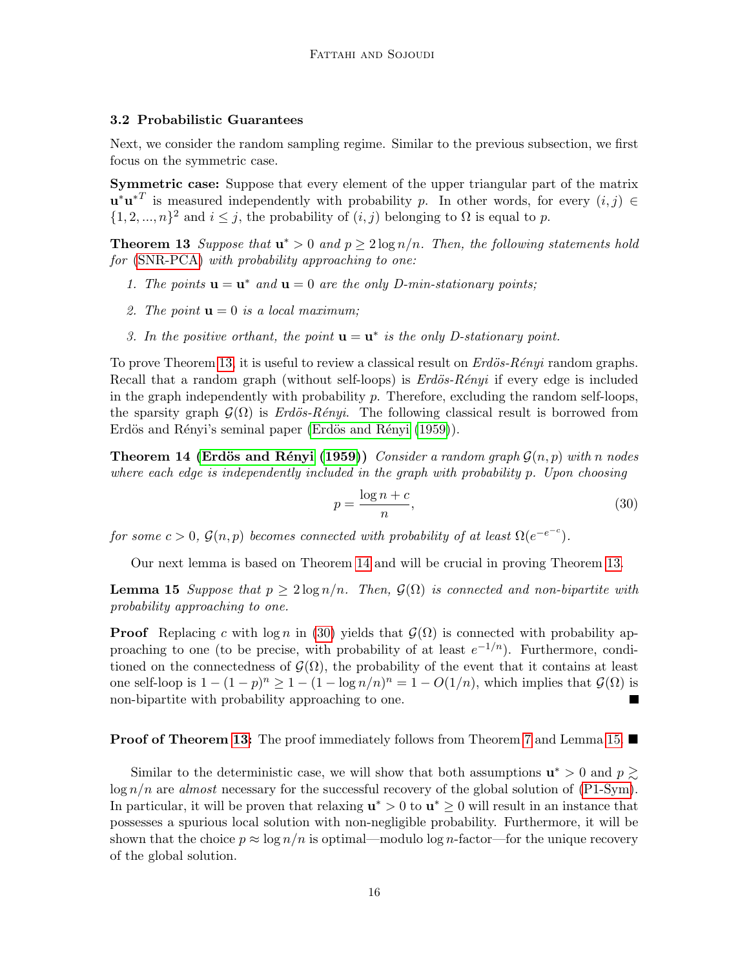# 3.2 Probabilistic Guarantees

Next, we consider the random sampling regime. Similar to the previous subsection, we first focus on the symmetric case.

Symmetric case: Suppose that every element of the upper triangular part of the matrix  $\mathbf{u}^*\mathbf{u}^{*T}$  is measured independently with probability p. In other words, for every  $(i, j) \in$  $\{1, 2, ..., n\}^2$  and  $i \leq j$ , the probability of  $(i, j)$  belonging to  $\Omega$  is equal to p.

<span id="page-15-0"></span>**Theorem 13** Suppose that  $\mathbf{u}^* > 0$  and  $p \geq 2 \log n/n$ . Then, the following statements hold for [\(SNR-PCA\)](#page-3-0) with probability approaching to one:

- 1. The points  $\mathbf{u} = \mathbf{u}^*$  and  $\mathbf{u} = 0$  are the only D-min-stationary points;
- 2. The point  $\mathbf{u} = 0$  is a local maximum;
- 3. In the positive orthant, the point  $\mathbf{u} = \mathbf{u}^*$  is the only D-stationary point.

To prove Theorem [13,](#page-15-0) it is useful to review a classical result on  $Erd\ddot{o}s-R\acute{e}nyi$  random graphs. Recall that a random graph (without self-loops) is  $Erd\ddot{o}s-R\acute{e}nyi$  if every edge is included in the graph independently with probability p. Therefore, excluding the random self-loops, the sparsity graph  $\mathcal{G}(\Omega)$  is Erdös-Rényi. The following classical result is borrowed from Erdös and Rényi's seminal paper (Erdös and Rényi [\(1959\)](#page-28-12)).

<span id="page-15-1"></span>**Theorem 14 (Erdös and Rényi [\(1959\)](#page-28-12))** Consider a random graph  $\mathcal{G}(n, p)$  with n nodes where each edge is independently included in the graph with probability p. Upon choosing

<span id="page-15-2"></span>
$$
p = \frac{\log n + c}{n},\tag{30}
$$

for some  $c > 0$ ,  $\mathcal{G}(n, p)$  becomes connected with probability of at least  $\Omega(e^{-e^{-c}})$ .

Our next lemma is based on Theorem [14](#page-15-1) and will be crucial in proving Theorem [13.](#page-15-0)

<span id="page-15-3"></span>**Lemma 15** Suppose that  $p \geq 2 \log n/n$ . Then,  $\mathcal{G}(\Omega)$  is connected and non-bipartite with probability approaching to one.

**Proof** Replacing c with  $\log n$  in [\(30\)](#page-15-2) yields that  $\mathcal{G}(\Omega)$  is connected with probability approaching to one (to be precise, with probability of at least  $e^{-1/n}$ ). Furthermore, conditioned on the connectedness of  $\mathcal{G}(\Omega)$ , the probability of the event that it contains at least one self-loop is  $1 - (1 - p)^n \ge 1 - (1 - \log n/n)^n = 1 - O(1/n)$ , which implies that  $\mathcal{G}(\Omega)$  is non-bipartite with probability approaching to one. **The Second Second** 

### **Proof of Theorem [13:](#page-15-0)** The proof immediately follows from Theorem [7](#page-11-0) and Lemma [15.](#page-15-3)  $\blacksquare$

<span id="page-15-4"></span>Similar to the deterministic case, we will show that both assumptions  $\mathbf{u}^* > 0$  and  $p \geq 0$  $\log n/n$  are *almost* necessary for the successful recovery of the global solution of [\(P1-Sym\)](#page-10-3). In particular, it will be proven that relaxing  $\mathbf{u}^* > 0$  to  $\mathbf{u}^* \geq 0$  will result in an instance that possesses a spurious local solution with non-negligible probability. Furthermore, it will be shown that the choice  $p \approx \log n/n$  is optimal—modulo log n-factor—for the unique recovery of the global solution.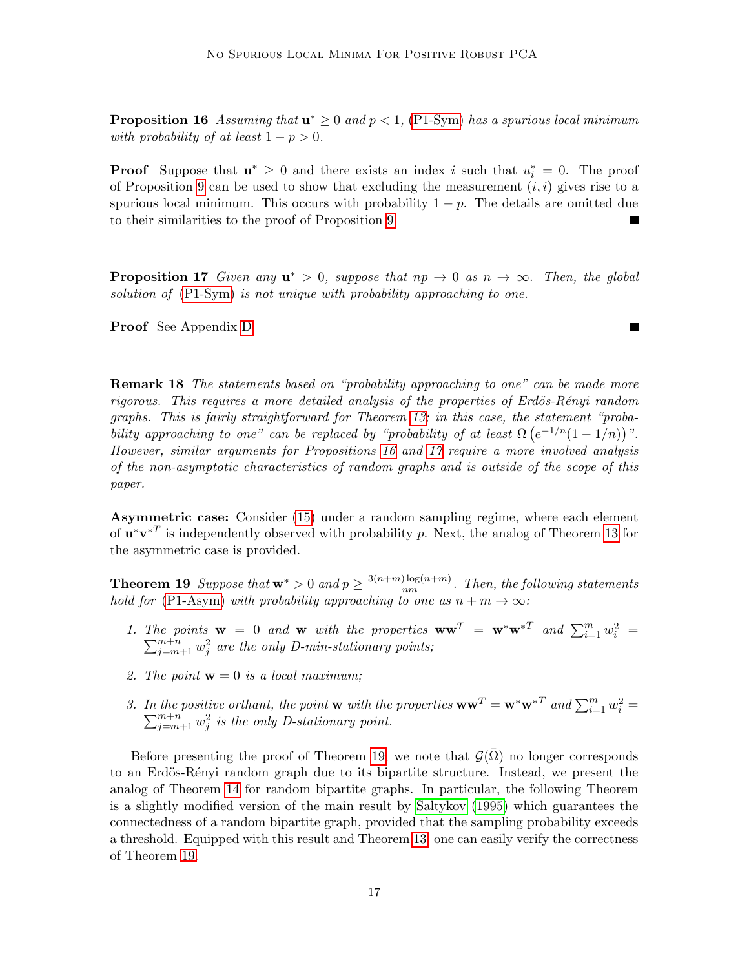**Proposition 16** Assuming that  $\mathbf{u}^* \geq 0$  and  $p < 1$ , [\(P1-Sym\)](#page-10-3) has a spurious local minimum with probability of at least  $1 - p > 0$ .

**Proof** Suppose that  $\mathbf{u}^* \geq 0$  and there exists an index i such that  $u_i^* = 0$ . The proof of Proposition [9](#page-13-0) can be used to show that excluding the measurement  $(i, i)$  gives rise to a spurious local minimum. This occurs with probability  $1 - p$ . The details are omitted due to their similarities to the proof of Proposition [9.](#page-13-0)

<span id="page-16-0"></span>**Proposition 17** Given any  $u^* > 0$ , suppose that  $np \to 0$  as  $n \to \infty$ . Then, the global solution of [\(P1-Sym\)](#page-10-3) is not unique with probability approaching to one.

Proof See Appendix [D.](#page-34-0)

**Remark 18** The statements based on "probability approaching to one" can be made more  $rigorous.$  This requires a more detailed analysis of the properties of Erdös-Rényi random graphs. This is fairly straightforward for Theorem [13;](#page-15-0) in this case, the statement "probability approaching to one" can be replaced by "probability of at least  $\Omega(e^{-1/n}(1-1/n))^n$ ". However, similar arguments for Propositions [16](#page-15-4) and [17](#page-16-0) require a more involved analysis of the non-asymptotic characteristics of random graphs and is outside of the scope of this paper.

Asymmetric case: Consider [\(15\)](#page-10-2) under a random sampling regime, where each element of  $\mathbf{u}^*\mathbf{v}^{*T}$  is independently observed with probability p. Next, the analog of Theorem [13](#page-15-0) for the asymmetric case is provided.

<span id="page-16-1"></span>**Theorem 19** Suppose that  $\mathbf{w}^* > 0$  and  $p \geq \frac{3(n+m)\log(n+m)}{nm}$  $\frac{\log(n+m)}{nm}$ . Then, the following statements hold for [\(P1-Asym\)](#page-11-3) with probability approaching to one as  $n + m \rightarrow \infty$ :

- 1. The points  $\mathbf{w} = 0$  and  $\mathbf{w}$  with the properties  $\mathbf{w}\mathbf{w}^T = \mathbf{w}^*\mathbf{w}^{*T}$  and  $\sum_{i=1}^m w_i^2$  $\sum$ ie points  $\mathbf{w} = 0$  and  $\mathbf{w}$  with the properties  $\mathbf{w}\mathbf{w}^T = \mathbf{w}^*\mathbf{w}^{*T}$  and  $\sum_{i=1}^m w_i^2 = \sum_{j=m+1}^{m+n} w_j^2$  are the only D-min-stationary points;
- 2. The point  $\mathbf{w} = 0$  is a local maximum;
- 3. In the positive orthant, the point **w** with the properties  $\mathbf{w}\mathbf{w}^T = \mathbf{w}^*\mathbf{w}^{*T}$  and  $\sum_{i=1}^m w_i^2 =$  $\sum_{j=m+1}^{m+n} w_j^2$  is the only D-stationary point.

<span id="page-16-2"></span>Before presenting the proof of Theorem [19,](#page-16-1) we note that  $\mathcal{G}(\overline{\Omega})$  no longer corresponds to an Erdös-Rényi random graph due to its bipartite structure. Instead, we present the analog of Theorem [14](#page-15-1) for random bipartite graphs. In particular, the following Theorem is a slightly modified version of the main result by [Saltykov](#page-29-13) [\(1995\)](#page-29-13) which guarantees the connectedness of a random bipartite graph, provided that the sampling probability exceeds a threshold. Equipped with this result and Theorem [13,](#page-15-0) one can easily verify the correctness of Theorem [19.](#page-16-1)

 $\blacksquare$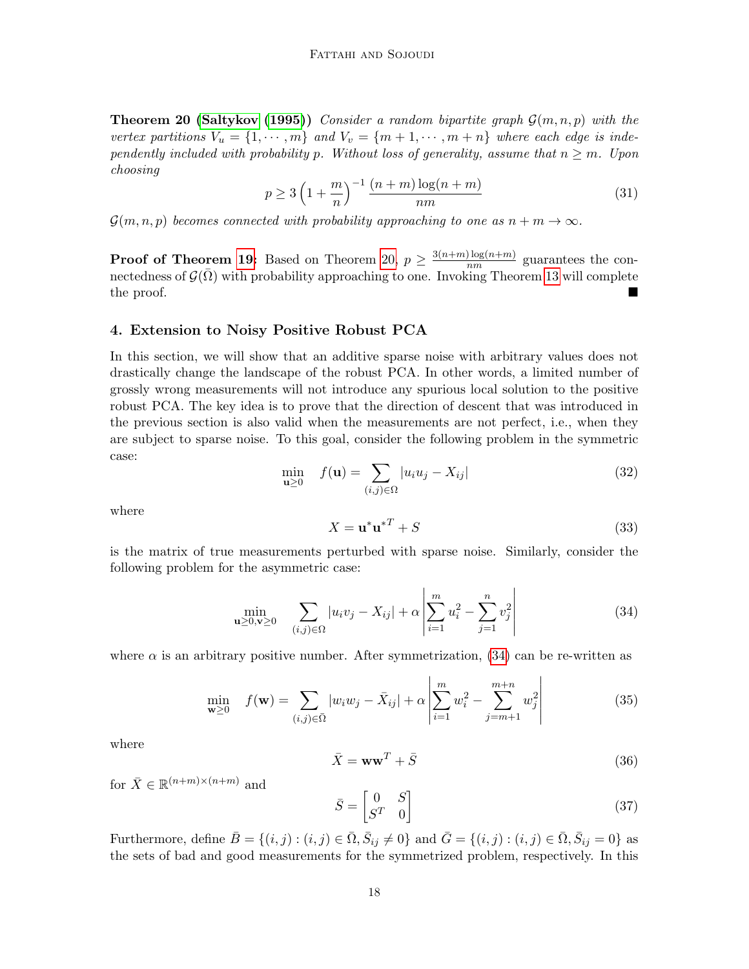**Theorem 20 [\(Saltykov](#page-29-13) [\(1995\)](#page-29-13))** Consider a random bipartite graph  $\mathcal{G}(m,n,p)$  with the vertex partitions  $V_u = \{1, \dots, m\}$  and  $V_v = \{m+1, \dots, m+n\}$  where each edge is independently included with probability p. Without loss of generality, assume that  $n \geq m$ . Upon choosing

$$
p \ge 3\left(1 + \frac{m}{n}\right)^{-1} \frac{(n+m)\log(n+m)}{nm} \tag{31}
$$

 $\mathcal{G}(m, n, p)$  becomes connected with probability approaching to one as  $n + m \to \infty$ .

**Proof of Theorem [19:](#page-16-1)** Based on Theorem [20,](#page-16-2)  $p \geq \frac{3(n+m)\log(n+m)}{nm}$  $\frac{n_{\text{mg}}(n+m)}{nm}$  guarantees the connectedness of  $\mathcal{G}(\bar{\Omega})$  with probability approaching to one. Invoking Theorem [13](#page-15-0) will complete the proof.

#### <span id="page-17-0"></span>4. Extension to Noisy Positive Robust PCA

In this section, we will show that an additive sparse noise with arbitrary values does not drastically change the landscape of the robust PCA. In other words, a limited number of grossly wrong measurements will not introduce any spurious local solution to the positive robust PCA. The key idea is to prove that the direction of descent that was introduced in the previous section is also valid when the measurements are not perfect, i.e., when they are subject to sparse noise. To this goal, consider the following problem in the symmetric case:

<span id="page-17-2"></span>
$$
\min_{\mathbf{u}\geq 0} \quad f(\mathbf{u}) = \sum_{(i,j)\in\Omega} |u_i u_j - X_{ij}| \tag{32}
$$

where

$$
X = \mathbf{u}^* \mathbf{u}^{*T} + S \tag{33}
$$

is the matrix of true measurements perturbed with sparse noise. Similarly, consider the following problem for the asymmetric case:

<span id="page-17-1"></span>
$$
\min_{\mathbf{u}\geq 0,\mathbf{v}\geq 0} \quad \sum_{(i,j)\in\Omega} |u_i v_j - X_{ij}| + \alpha \left| \sum_{i=1}^m u_i^2 - \sum_{j=1}^n v_j^2 \right| \tag{34}
$$

where  $\alpha$  is an arbitrary positive number. After symmetrization, [\(34\)](#page-17-1) can be re-written as

<span id="page-17-3"></span>
$$
\min_{\mathbf{w} \ge 0} \quad f(\mathbf{w}) = \sum_{(i,j) \in \bar{\Omega}} |w_i w_j - \bar{X}_{ij}| + \alpha \left| \sum_{i=1}^m w_i^2 - \sum_{j=m+1}^{m+n} w_j^2 \right| \tag{35}
$$

where

<span id="page-17-4"></span>
$$
\bar{X} = \mathbf{w}\mathbf{w}^T + \bar{S}
$$
 (36)

for  $\bar{X} \in \mathbb{R}^{(n+m)\times(n+m)}$  and

<span id="page-17-5"></span>
$$
\bar{S} = \begin{bmatrix} 0 & S \\ S^T & 0 \end{bmatrix} \tag{37}
$$

Furthermore, define  $\bar{B} = \{(i, j) : (i, j) \in \bar{\Omega}, \bar{S}_{ij} \neq 0\}$  and  $\bar{G} = \{(i, j) : (i, j) \in \bar{\Omega}, \bar{S}_{ij} = 0\}$  as the sets of bad and good measurements for the symmetrized problem, respectively. In this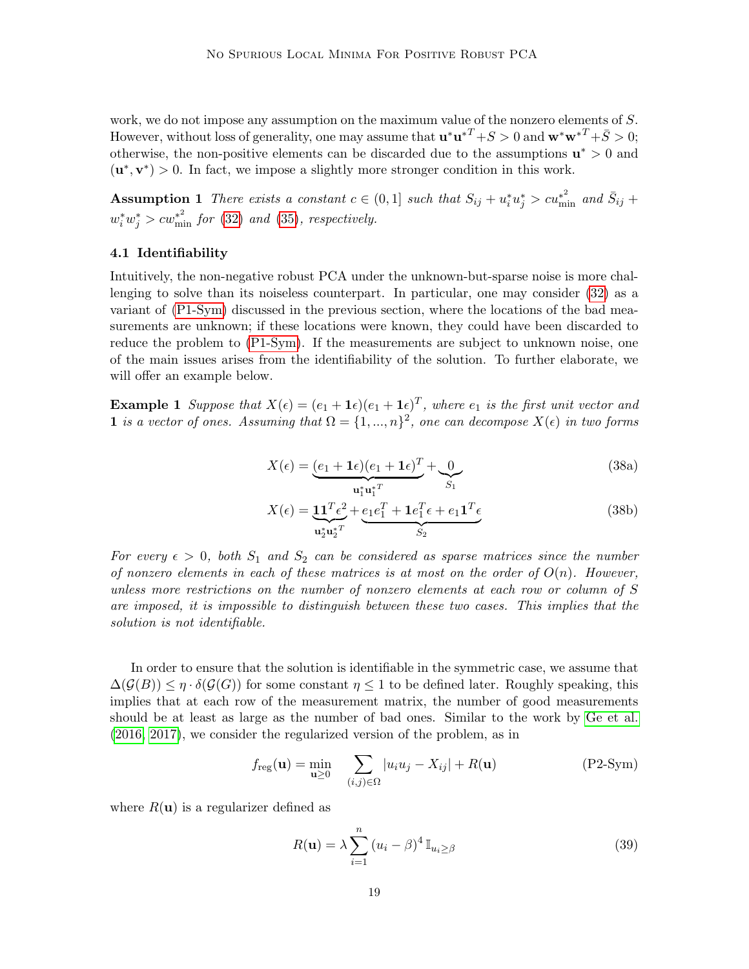work, we do not impose any assumption on the maximum value of the nonzero elements of S. However, without loss of generality, one may assume that  $\mathbf{u}^*\mathbf{u}^{*T} + S > 0$  and  $\mathbf{w}^*\mathbf{w}^{*T} + \bar{S} > 0$ ; otherwise, the non-positive elements can be discarded due to the assumptions  $\mathbf{u}^* > 0$  and  $(\mathbf{u}^*, \mathbf{v}^*) > 0$ . In fact, we impose a slightly more stronger condition in this work.

<span id="page-18-0"></span>**Assumption 1** There exists a constant  $c \in (0,1]$  such that  $S_{ij} + u_i^* u_j^* > cu_{\min}^{*2}$  and  $\bar{S}_{ij}$  +  $w_i^* w_j^* > c w_{\min}^{*^2}$  for [\(32\)](#page-17-2) and [\(35\)](#page-17-3), respectively.

# 4.1 Identifiability

Intuitively, the non-negative robust PCA under the unknown-but-sparse noise is more challenging to solve than its noiseless counterpart. In particular, one may consider [\(32\)](#page-17-2) as a variant of [\(P1-Sym\)](#page-10-3) discussed in the previous section, where the locations of the bad measurements are unknown; if these locations were known, they could have been discarded to reduce the problem to [\(P1-Sym\)](#page-10-3). If the measurements are subject to unknown noise, one of the main issues arises from the identifiability of the solution. To further elaborate, we will offer an example below.

**Example 1** Suppose that  $X(\epsilon) = (e_1 + \mathbf{1}\epsilon)(e_1 + \mathbf{1}\epsilon)^T$ , where  $e_1$  is the first unit vector and 1 is a vector of ones. Assuming that  $\Omega = \{1, ..., n\}^2$ , one can decompose  $X(\epsilon)$  in two forms

$$
X(\epsilon) = \underbrace{(e_1 + \mathbf{1}\epsilon)(e_1 + \mathbf{1}\epsilon)^T}_{\mathbf{u}_1^* \mathbf{u}_1^{*T}} + \underbrace{0}_{S_1}
$$
\n(38a)

$$
X(\epsilon) = \underbrace{\mathbf{1}\mathbf{1}^T\epsilon^2}_{\mathbf{u}_2^* \mathbf{u}_2^{*T}} + \underbrace{e_1e_1^T + \mathbf{1}e_1^T\epsilon + e_1\mathbf{1}^T\epsilon}_{S_2}
$$
(38b)

For every  $\epsilon > 0$ , both  $S_1$  and  $S_2$  can be considered as sparse matrices since the number of nonzero elements in each of these matrices is at most on the order of  $O(n)$ . However, unless more restrictions on the number of nonzero elements at each row or column of S are imposed, it is impossible to distinguish between these two cases. This implies that the solution is not identifiable.

In order to ensure that the solution is identifiable in the symmetric case, we assume that  $\Delta(\mathcal{G}(B)) \leq \eta \cdot \delta(\mathcal{G}(G))$  for some constant  $\eta \leq 1$  to be defined later. Roughly speaking, this implies that at each row of the measurement matrix, the number of good measurements should be at least as large as the number of bad ones. Similar to the work by [Ge et al.](#page-28-3) [\(2016,](#page-28-3) [2017\)](#page-28-4), we consider the regularized version of the problem, as in

$$
f_{\text{reg}}(\mathbf{u}) = \min_{\mathbf{u} \ge 0} \sum_{(i,j) \in \Omega} |u_i u_j - X_{ij}| + R(\mathbf{u})
$$
 (P2-Sym)

where  $R(\mathbf{u})$  is a regularizer defined as

<span id="page-18-1"></span>
$$
R(\mathbf{u}) = \lambda \sum_{i=1}^{n} (u_i - \beta)^4 \mathbb{I}_{u_i \ge \beta}
$$
 (39)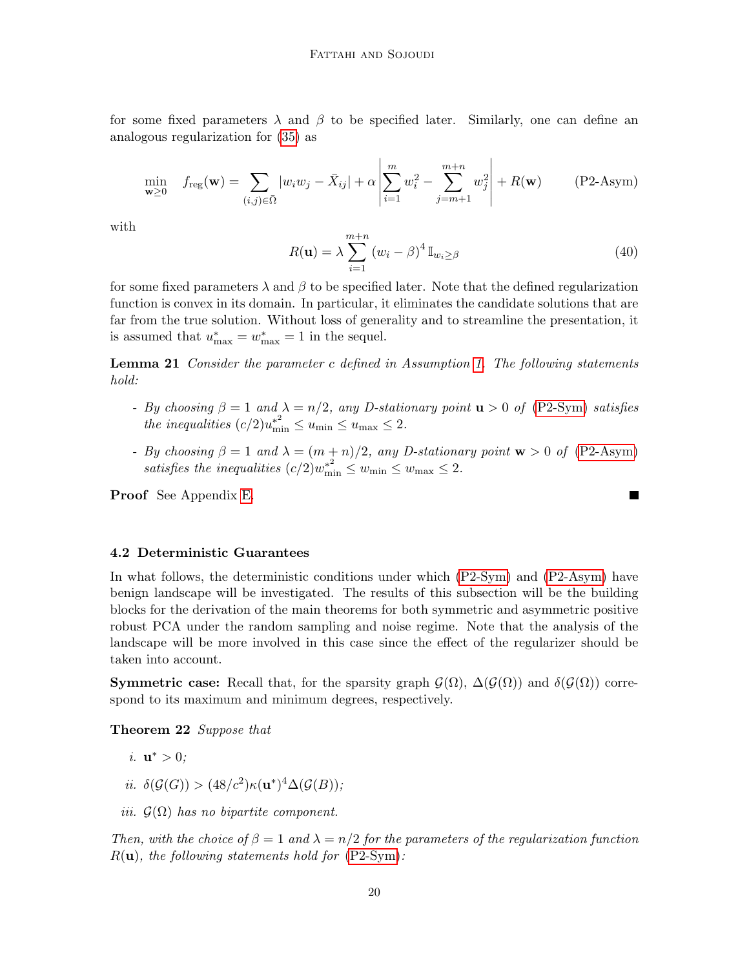for some fixed parameters  $\lambda$  and  $\beta$  to be specified later. Similarly, one can define an analogous regularization for [\(35\)](#page-17-3) as

$$
\min_{\mathbf{w} \ge 0} \quad f_{\text{reg}}(\mathbf{w}) = \sum_{(i,j) \in \bar{\Omega}} |w_i w_j - \bar{X}_{ij}| + \alpha \left| \sum_{i=1}^m w_i^2 - \sum_{j=m+1}^{m+n} w_j^2 \right| + R(\mathbf{w}) \tag{P2-Asym}
$$

with

<span id="page-19-2"></span><span id="page-19-0"></span>
$$
R(\mathbf{u}) = \lambda \sum_{i=1}^{m+n} (w_i - \beta)^4 \mathbb{I}_{w_i \ge \beta}
$$
 (40)

for some fixed parameters  $\lambda$  and  $\beta$  to be specified later. Note that the defined regularization function is convex in its domain. In particular, it eliminates the candidate solutions that are far from the true solution. Without loss of generality and to streamline the presentation, it is assumed that  $u_{\text{max}}^* = w_{\text{max}}^* = 1$  in the sequel.

**Lemma 21** Consider the parameter c defined in Assumption [1.](#page-18-0) The following statements hold:

- By choosing  $\beta = 1$  and  $\lambda = n/2$ , any D-stationary point  $\mathbf{u} > 0$  of [\(P2-Sym\)](#page-18-1) satisfies the inequalities  $(c/2)u_{\min}^{*^2} \le u_{\min} \le u_{\max} \le 2$ .
- By choosing  $\beta = 1$  and  $\lambda = (m + n)/2$ , any D-stationary point  $\mathbf{w} > 0$  of [\(P2-Asym\)](#page-19-0) satisfies the inequalities  $(c/2)w_{\min}^{*^2} \leq w_{\min} \leq w_{\max} \leq 2$ .

Proof See Appendix [E.](#page-36-0)

# 4.2 Deterministic Guarantees

In what follows, the deterministic conditions under which [\(P2-Sym\)](#page-18-1) and [\(P2-Asym\)](#page-19-0) have benign landscape will be investigated. The results of this subsection will be the building blocks for the derivation of the main theorems for both symmetric and asymmetric positive robust PCA under the random sampling and noise regime. Note that the analysis of the landscape will be more involved in this case since the effect of the regularizer should be taken into account.

**Symmetric case:** Recall that, for the sparsity graph  $\mathcal{G}(\Omega)$ ,  $\Delta(\mathcal{G}(\Omega))$  and  $\delta(\mathcal{G}(\Omega))$  correspond to its maximum and minimum degrees, respectively.

<span id="page-19-1"></span>Theorem 22 Suppose that

- *i*.  $\mathbf{u}^* > 0$ ;
- ii.  $\delta(\mathcal{G}(G)) > (48/c^2) \kappa(\mathbf{u}^*)^4 \Delta(\mathcal{G}(B));$
- iii.  $\mathcal{G}(\Omega)$  has no bipartite component.

Then, with the choice of  $\beta = 1$  and  $\lambda = n/2$  for the parameters of the regularization function  $R(\mathbf{u})$ , the following statements hold for  $(P2-Sym)$ :

**In the Second State**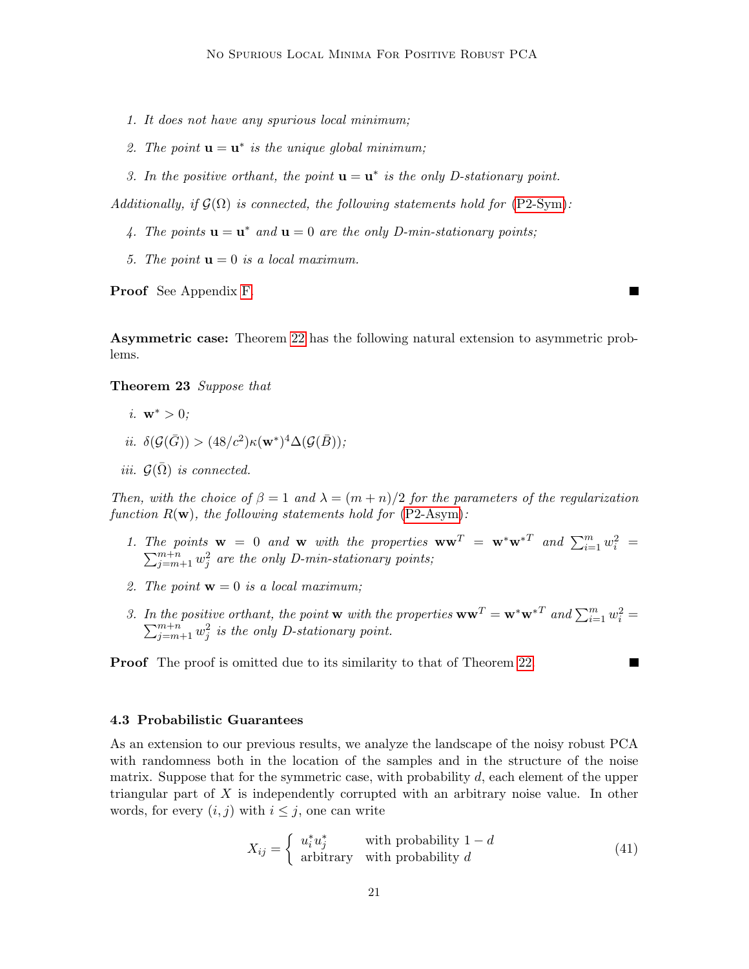- 1. It does not have any spurious local minimum;
- 2. The point  $\mathbf{u} = \mathbf{u}^*$  is the unique global minimum;
- 3. In the positive orthant, the point  $\mathbf{u} = \mathbf{u}^*$  is the only D-stationary point.

Additionally, if  $G(\Omega)$  is connected, the following statements hold for [\(P2-Sym\)](#page-18-1):

- 4. The points  $\mathbf{u} = \mathbf{u}^*$  and  $\mathbf{u} = 0$  are the only D-min-stationary points;
- 5. The point  $\mathbf{u} = 0$  is a local maximum.

Proof See Appendix [F.](#page-37-0)

Asymmetric case: Theorem [22](#page-19-1) has the following natural extension to asymmetric problems.

#### Theorem 23 Suppose that

- i.  $w^* > 0$ :
- ii.  $\delta(\mathcal{G}(\bar{G})) > (48/c^2) \kappa(\mathbf{w}^*)^4 \Delta(\mathcal{G}(\bar{B}));$
- iii.  $\mathcal{G}(\bar{\Omega})$  is connected.

Then, with the choice of  $\beta = 1$  and  $\lambda = (m + n)/2$  for the parameters of the regularization function  $R(\mathbf{w})$ , the following statements hold for  $(P2\text{-Asym})$ :

- 1. The points  $\mathbf{w} = 0$  and  $\mathbf{w}$  with the properties  $\mathbf{w}\mathbf{w}^T = \mathbf{w}^*\mathbf{w}^{*T}$  and  $\sum_{i=1}^m w_i^2$  $\sum$ ie points  $\mathbf{w} = 0$  and  $\mathbf{w}$  with the properties  $\mathbf{w}\mathbf{w}^T = \mathbf{w}^*\mathbf{w}^{*T}$  and  $\sum_{i=1}^m w_i^2 = \sum_{j=m+1}^{m+n} w_j^2$  are the only D-min-stationary points;
- 2. The point  $\mathbf{w} = 0$  is a local maximum;
- 3. In the positive orthant, the point **w** with the properties  $\mathbf{w}\mathbf{w}^T = \mathbf{w}^*\mathbf{w}^{*T}$  and  $\sum_{i=1}^m w_i^2 =$  $\sum_{j=m+1}^{m+n} w_j^2$  is the only D-stationary point.

**Proof** The proof is omitted due to its similarity to that of Theorem [22.](#page-19-1)

# 4.3 Probabilistic Guarantees

As an extension to our previous results, we analyze the landscape of the noisy robust PCA with randomness both in the location of the samples and in the structure of the noise matrix. Suppose that for the symmetric case, with probability  $d$ , each element of the upper triangular part of X is independently corrupted with an arbitrary noise value. In other words, for every  $(i, j)$  with  $i \leq j$ , one can write

$$
X_{ij} = \begin{cases} u_i^* u_j^* & \text{with probability } 1 - d \\ \text{arbitrary} & \text{with probability } d \end{cases} \tag{41}
$$

П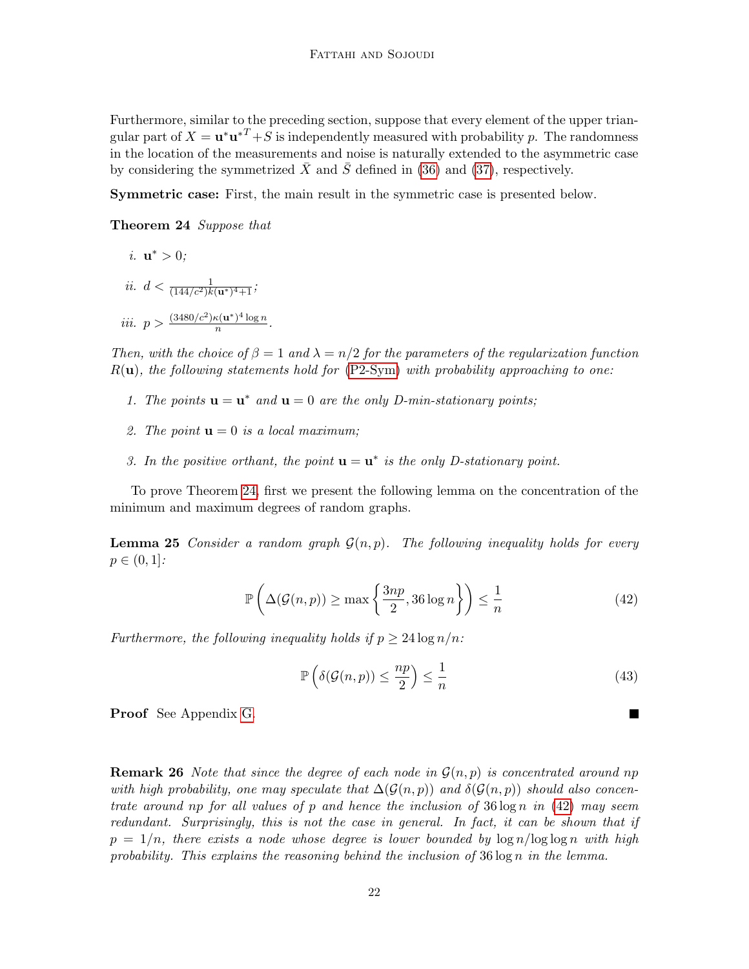Furthermore, similar to the preceding section, suppose that every element of the upper triangular part of  $X = \mathbf{u}^* \mathbf{u}^{*T} + S$  is independently measured with probability p. The randomness in the location of the measurements and noise is naturally extended to the asymmetric case by considering the symmetrized  $\bar{X}$  and  $\bar{S}$  defined in [\(36\)](#page-17-4) and [\(37\)](#page-17-5), respectively.

Symmetric case: First, the main result in the symmetric case is presented below.

#### Theorem 24 Suppose that

<span id="page-21-0"></span>*i.* 
$$
\mathbf{u}^* > 0
$$
;  
\n*ii.*  $d < \frac{1}{(144/c^2)k(\mathbf{u}^*)^4 + 1}$ ;  
\n*iii.*  $p > \frac{(3480/c^2)\kappa(\mathbf{u}^*)^4 \log n}{n}$ .

Then, with the choice of  $\beta = 1$  and  $\lambda = n/2$  for the parameters of the regularization function  $R(\mathbf{u})$ , the following statements hold for  $(P2-Sym)$  with probability approaching to one:

- 1. The points  $\mathbf{u} = \mathbf{u}^*$  and  $\mathbf{u} = 0$  are the only D-min-stationary points;
- 2. The point  $\mathbf{u} = 0$  is a local maximum;
- 3. In the positive orthant, the point  $\mathbf{u} = \mathbf{u}^*$  is the only D-stationary point.

To prove Theorem [24,](#page-21-0) first we present the following lemma on the concentration of the minimum and maximum degrees of random graphs.

<span id="page-21-2"></span>**Lemma 25** Consider a random graph  $\mathcal{G}(n, p)$ . The following inequality holds for every  $p \in (0,1]$ :

$$
\mathbb{P}\left(\Delta(\mathcal{G}(n,p)) \ge \max\left\{\frac{3np}{2}, 36\log n\right\}\right) \le \frac{1}{n} \tag{42}
$$

Furthermore, the following inequality holds if  $p \geq 24 \log n/n$ :

$$
\mathbb{P}\left(\delta(\mathcal{G}(n,p)) \le \frac{np}{2}\right) \le \frac{1}{n} \tag{43}
$$

<span id="page-21-1"></span>П

Proof See Appendix [G.](#page-39-0)

**Remark 26** Note that since the degree of each node in  $\mathcal{G}(n, p)$  is concentrated around np with high probability, one may speculate that  $\Delta(\mathcal{G}(n, p))$  and  $\delta(\mathcal{G}(n, p))$  should also concentrate around np for all values of p and hence the inclusion of  $36 \log n$  in  $(42)$  may seem redundant. Surprisingly, this is not the case in general. In fact, it can be shown that if  $p = 1/n$ , there exists a node whose degree is lower bounded by  $\log n / \log \log n$  with high probability. This explains the reasoning behind the inclusion of  $36 \log n$  in the lemma.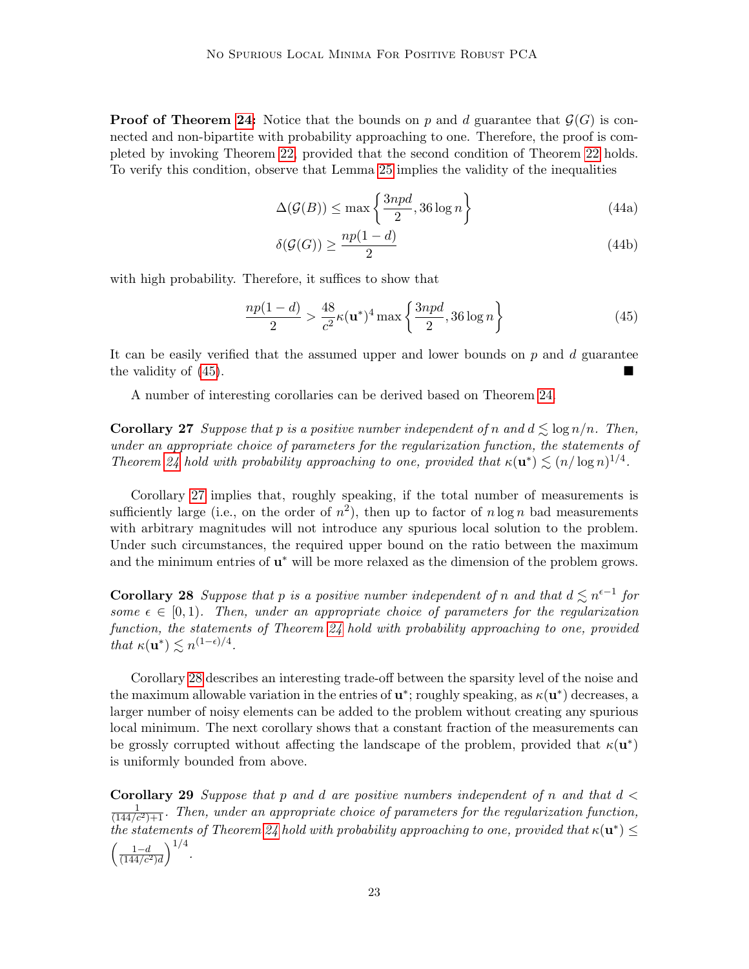**Proof of Theorem [24:](#page-21-0)** Notice that the bounds on p and d guarantee that  $\mathcal{G}(G)$  is connected and non-bipartite with probability approaching to one. Therefore, the proof is completed by invoking Theorem [22,](#page-19-1) provided that the second condition of Theorem [22](#page-19-1) holds. To verify this condition, observe that Lemma [25](#page-21-2) implies the validity of the inequalities

$$
\Delta(\mathcal{G}(B)) \le \max\left\{\frac{3npd}{2}, 36\log n\right\} \tag{44a}
$$

$$
\delta(\mathcal{G}(G)) \ge \frac{np(1-d)}{2} \tag{44b}
$$

with high probability. Therefore, it suffices to show that

<span id="page-22-0"></span>
$$
\frac{np(1-d)}{2} > \frac{48}{c^2} \kappa(\mathbf{u}^*)^4 \max\left\{\frac{3npd}{2}, 36\log n\right\}
$$
(45)

It can be easily verified that the assumed upper and lower bounds on  $p$  and  $d$  guarantee the validity of [\(45\)](#page-22-0).

A number of interesting corollaries can be derived based on Theorem [24.](#page-21-0)

<span id="page-22-1"></span>**Corollary 27** Suppose that p is a positive number independent of n and  $d \leq \log n/n$ . Then, under an appropriate choice of parameters for the regularization function, the statements of Theorem [24](#page-21-0) hold with probability approaching to one, provided that  $\kappa(\mathbf{u}^*) \lesssim (n/\log n)^{1/4}$ .

Corollary [27](#page-22-1) implies that, roughly speaking, if the total number of measurements is sufficiently large (i.e., on the order of  $n^2$ ), then up to factor of  $n \log n$  bad measurements with arbitrary magnitudes will not introduce any spurious local solution to the problem. Under such circumstances, the required upper bound on the ratio between the maximum and the minimum entries of  $\mathbf{u}^*$  will be more relaxed as the dimension of the problem grows.

<span id="page-22-2"></span>**Corollary 28** Suppose that p is a positive number independent of n and that  $d \leq n^{\epsilon-1}$  for some  $\epsilon \in [0,1)$ . Then, under an appropriate choice of parameters for the regularization function, the statements of Theorem [24](#page-21-0) hold with probability approaching to one, provided that  $\kappa(\mathbf{u}^*) \lesssim n^{(1-\epsilon)/4}$ .

Corollary [28](#page-22-2) describes an interesting trade-off between the sparsity level of the noise and the maximum allowable variation in the entries of  $\mathbf{u}^*$ ; roughly speaking, as  $\kappa(\mathbf{u}^*)$  decreases, a larger number of noisy elements can be added to the problem without creating any spurious local minimum. The next corollary shows that a constant fraction of the measurements can be grossly corrupted without affecting the landscape of the problem, provided that  $\kappa(\mathbf{u}^*)$ is uniformly bounded from above.

**Corollary 29** Suppose that p and d are positive numbers independent of n and that  $d <$  $\frac{1}{(144/c^2)+1}$ . Then, under an appropriate choice of parameters for the regularization function, the statements of Theorem [24](#page-21-0) hold with probability approaching to one, provided that  $\kappa(\mathbf{u}^*) \leq$  $\left(\frac{1-d}{(144/c^2)d}\right)^{1/4}.$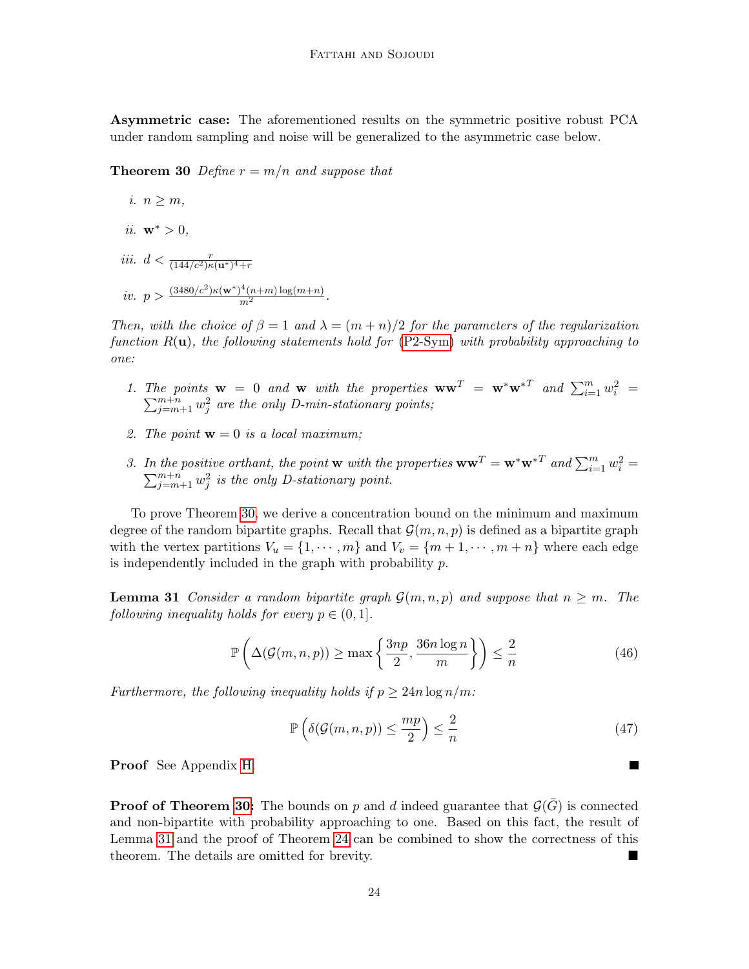Asymmetric case: The aforementioned results on the symmetric positive robust PCA under random sampling and noise will be generalized to the asymmetric case below.

<span id="page-23-0"></span>**Theorem 30** Define  $r = m/n$  and suppose that

*i.* 
$$
n \ge m
$$
,  
\n*ii.*  $\mathbf{w}^* > 0$ ,  
\n*iii.*  $d < \frac{r}{(144/c^2)\kappa(\mathbf{u}^*)^4 + r}$   
\n*iv.*  $p > \frac{(3480/c^2)\kappa(\mathbf{w}^*)^4(n+m)\log(m+n)}{m^2}$ .

Then, with the choice of  $\beta = 1$  and  $\lambda = (m + n)/2$  for the parameters of the regularization function  $R(\mathbf{u})$ , the following statements hold for [\(P2-Sym\)](#page-18-1) with probability approaching to one:

- 1. The points  $\mathbf{w} = 0$  and  $\mathbf{w}$  with the properties  $\mathbf{w}\mathbf{w}^T = \mathbf{w}^*\mathbf{w}^{*T}$  and  $\sum_{i=1}^m w_i^2 =$  $\sum_{j=m+1}^{m+n} w_j^2$  are the only D-min-stationary points;
- 2. The point  $\mathbf{w} = 0$  is a local maximum;
- 3. In the positive orthant, the point **w** with the properties  $\mathbf{w}\mathbf{w}^T = \mathbf{w}^*\mathbf{w}^{*T}$  and  $\sum_{i=1}^m w_i^2$  $\sum$ the positive orthant, the point **w** with the properties  $\mathbf{w}\mathbf{w}^T = \mathbf{w}^*\mathbf{w}^{*T}$  and  $\sum_{i=1}^m w_i^2 = \sum_{j=m+1}^{m+n} w_j^2$  is the only D-stationary point.

To prove Theorem [30,](#page-23-0) we derive a concentration bound on the minimum and maximum degree of the random bipartite graphs. Recall that  $\mathcal{G}(m, n, p)$  is defined as a bipartite graph with the vertex partitions  $V_u = \{1, \dots, m\}$  and  $V_v = \{m+1, \dots, m+n\}$  where each edge is independently included in the graph with probability  $p$ .

<span id="page-23-1"></span>**Lemma 31** Consider a random bipartite graph  $\mathcal{G}(m, n, p)$  and suppose that  $n \geq m$ . The following inequality holds for every  $p \in (0,1]$ .

$$
\mathbb{P}\left(\Delta(\mathcal{G}(m,n,p)) \ge \max\left\{\frac{3np}{2}, \frac{36n\log n}{m}\right\}\right) \le \frac{2}{n} \tag{46}
$$

Furthermore, the following inequality holds if  $p \geq 24n \log n/m$ :

$$
\mathbb{P}\left(\delta(\mathcal{G}(m,n,p)) \le \frac{mp}{2}\right) \le \frac{2}{n} \tag{47}
$$

Proof See Appendix [H.](#page-40-0)

**Proof of Theorem [30:](#page-23-0)** The bounds on p and d indeed guarantee that  $\mathcal{G}(\bar{G})$  is connected and non-bipartite with probability approaching to one. Based on this fact, the result of Lemma [31](#page-23-1) and the proof of Theorem [24](#page-21-0) can be combined to show the correctness of this theorem. The details are omitted for brevity.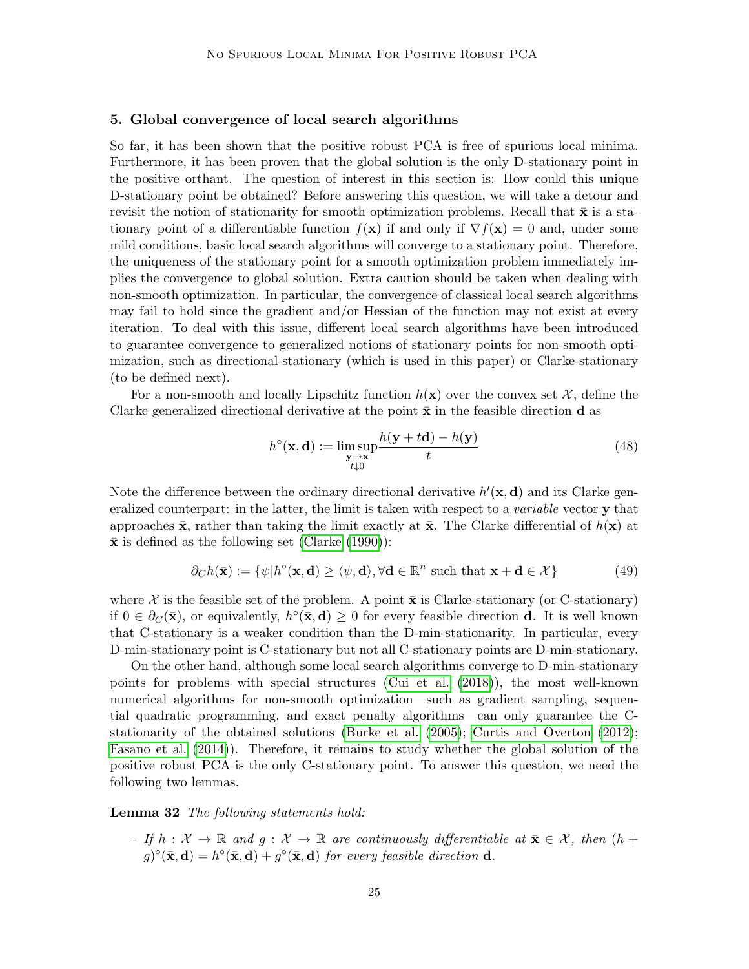#### 5. Global convergence of local search algorithms

So far, it has been shown that the positive robust PCA is free of spurious local minima. Furthermore, it has been proven that the global solution is the only D-stationary point in the positive orthant. The question of interest in this section is: How could this unique D-stationary point be obtained? Before answering this question, we will take a detour and revisit the notion of stationarity for smooth optimization problems. Recall that  $\bar{x}$  is a stationary point of a differentiable function  $f(x)$  if and only if  $\nabla f(x) = 0$  and, under some mild conditions, basic local search algorithms will converge to a stationary point. Therefore, the uniqueness of the stationary point for a smooth optimization problem immediately implies the convergence to global solution. Extra caution should be taken when dealing with non-smooth optimization. In particular, the convergence of classical local search algorithms may fail to hold since the gradient and/or Hessian of the function may not exist at every iteration. To deal with this issue, different local search algorithms have been introduced to guarantee convergence to generalized notions of stationary points for non-smooth optimization, such as directional-stationary (which is used in this paper) or Clarke-stationary (to be defined next).

For a non-smooth and locally Lipschitz function  $h(\mathbf{x})$  over the convex set X, define the Clarke generalized directional derivative at the point  $\bar{x}$  in the feasible direction d as

$$
h^{\circ}(\mathbf{x}, \mathbf{d}) := \limsup_{\substack{\mathbf{y} \to \mathbf{x} \\ t \downarrow 0}} \frac{h(\mathbf{y} + t\mathbf{d}) - h(\mathbf{y})}{t}
$$
(48)

Note the difference between the ordinary directional derivative  $h'(\mathbf{x}, \mathbf{d})$  and its Clarke generalized counterpart: in the latter, the limit is taken with respect to a *variable* vector **y** that approaches  $\bar{\mathbf{x}}$ , rather than taking the limit exactly at  $\bar{\mathbf{x}}$ . The Clarke differential of  $h(\mathbf{x})$  at  $\bar{x}$  is defined as the following set [\(Clarke](#page-27-11) [\(1990\)](#page-27-11)):

$$
\partial_C h(\bar{\mathbf{x}}) := \{ \psi | h^{\circ}(\mathbf{x}, \mathbf{d}) \ge \langle \psi, \mathbf{d} \rangle, \forall \mathbf{d} \in \mathbb{R}^n \text{ such that } \mathbf{x} + \mathbf{d} \in \mathcal{X} \}
$$
(49)

where X is the feasible set of the problem. A point  $\bar{\mathbf{x}}$  is Clarke-stationary (or C-stationary) if  $0 \in \partial_C(\bar{\mathbf{x}})$ , or equivalently,  $h^{\circ}(\bar{\mathbf{x}}, \mathbf{d}) \geq 0$  for every feasible direction **d**. It is well known that C-stationary is a weaker condition than the D-min-stationarity. In particular, every D-min-stationary point is C-stationary but not all C-stationary points are D-min-stationary.

On the other hand, although some local search algorithms converge to D-min-stationary points for problems with special structures [\(Cui et al.](#page-28-13) [\(2018\)](#page-28-13)), the most well-known numerical algorithms for non-smooth optimization—such as gradient sampling, sequential quadratic programming, and exact penalty algorithms—can only guarantee the Cstationarity of the obtained solutions [\(Burke et al.](#page-27-13) [\(2005\)](#page-27-13); [Curtis and Overton](#page-28-11) [\(2012\)](#page-28-11); [Fasano et al.](#page-28-14) [\(2014\)](#page-28-14)). Therefore, it remains to study whether the global solution of the positive robust PCA is the only C-stationary point. To answer this question, we need the following two lemmas.

<span id="page-24-0"></span>Lemma 32 The following statements hold:

- If  $h: \mathcal{X} \to \mathbb{R}$  and  $g: \mathcal{X} \to \mathbb{R}$  are continuously differentiable at  $\bar{\mathbf{x}} \in \mathcal{X}$ , then  $(h +$  $g)^{\circ}(\bar{\mathbf{x}}, \mathbf{d}) = h^{\circ}(\bar{\mathbf{x}}, \mathbf{d}) + g^{\circ}(\bar{\mathbf{x}}, \mathbf{d})$  for every feasible direction **d**.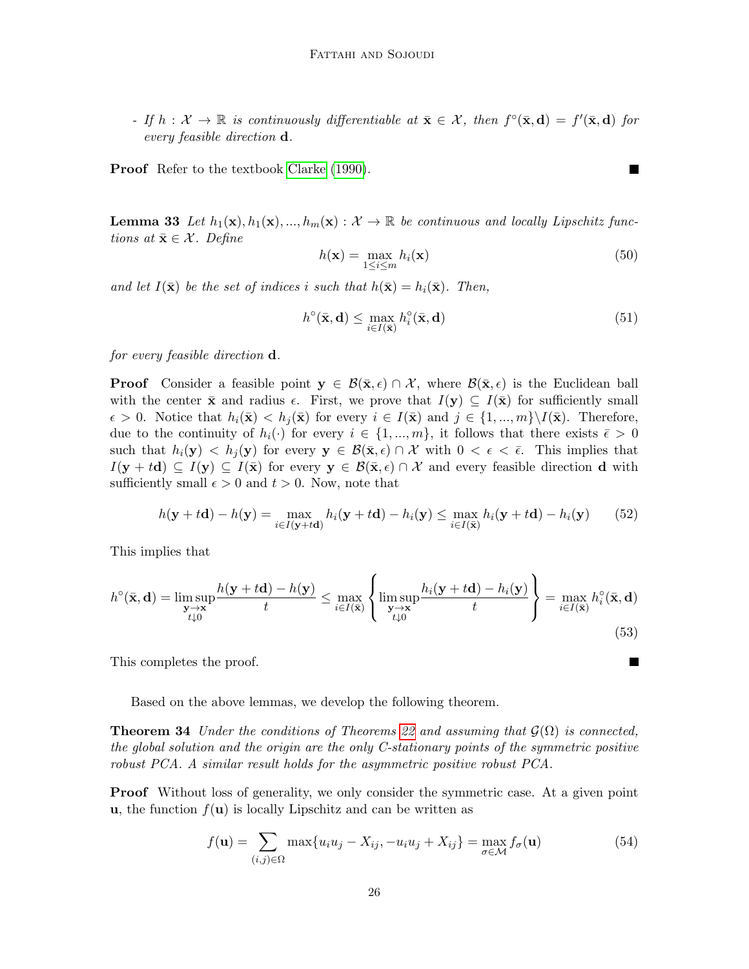- If  $h: \mathcal{X} \to \mathbb{R}$  is continuously differentiable at  $\bar{\mathbf{x}} \in \mathcal{X}$ , then  $f^{\circ}(\bar{\mathbf{x}}, \mathbf{d}) = f'(\bar{\mathbf{x}}, \mathbf{d})$  for every feasible direction d.

<span id="page-25-0"></span>Proof Refer to the textbook [Clarke](#page-27-11) [\(1990\)](#page-27-11).

**Lemma 33** Let  $h_1(\mathbf{x}), h_1(\mathbf{x}), ..., h_m(\mathbf{x}) : \mathcal{X} \to \mathbb{R}$  be continuous and locally Lipschitz functions at  $\bar{\mathbf{x}} \in \mathcal{X}$ . Define

$$
h(\mathbf{x}) = \max_{1 \le i \le m} h_i(\mathbf{x})
$$
\n(50)

and let  $I(\bar{\mathbf{x}})$  be the set of indices i such that  $h(\bar{\mathbf{x}}) = h_i(\bar{\mathbf{x}})$ . Then,

$$
h^{\circ}(\bar{\mathbf{x}}, \mathbf{d}) \le \max_{i \in I(\bar{\mathbf{x}})} h_i^{\circ}(\bar{\mathbf{x}}, \mathbf{d})
$$
(51)

for every feasible direction d.

**Proof** Consider a feasible point  $y \in \mathcal{B}(\bar{x}, \epsilon) \cap \mathcal{X}$ , where  $\mathcal{B}(\bar{x}, \epsilon)$  is the Euclidean ball with the center  $\bar{\mathbf{x}}$  and radius  $\epsilon$ . First, we prove that  $I(\mathbf{y}) \subseteq I(\bar{\mathbf{x}})$  for sufficiently small  $\epsilon > 0$ . Notice that  $h_i(\bar{\mathbf{x}}) < h_j(\bar{\mathbf{x}})$  for every  $i \in I(\bar{\mathbf{x}})$  and  $j \in \{1, ..., m\} \setminus I(\bar{\mathbf{x}})$ . Therefore, due to the continuity of  $h_i(\cdot)$  for every  $i \in \{1, ..., m\}$ , it follows that there exists  $\bar{\epsilon} > 0$ such that  $h_i(\mathbf{y}) < h_j(\mathbf{y})$  for every  $\mathbf{y} \in \mathcal{B}(\bar{\mathbf{x}}, \epsilon) \cap \mathcal{X}$  with  $0 < \epsilon < \bar{\epsilon}$ . This implies that  $I(\mathbf{y} + t\mathbf{d}) \subseteq I(\mathbf{y}) \subseteq I(\bar{\mathbf{x}})$  for every  $\mathbf{y} \in \mathcal{B}(\bar{\mathbf{x}}, \epsilon) \cap \mathcal{X}$  and every feasible direction d with sufficiently small  $\epsilon > 0$  and  $t > 0$ . Now, note that

$$
h(\mathbf{y} + t\mathbf{d}) - h(\mathbf{y}) = \max_{i \in I(\mathbf{y} + t\mathbf{d})} h_i(\mathbf{y} + t\mathbf{d}) - h_i(\mathbf{y}) \le \max_{i \in I(\bar{\mathbf{x}})} h_i(\mathbf{y} + t\mathbf{d}) - h_i(\mathbf{y}) \tag{52}
$$

This implies that

$$
h^{\circ}(\bar{\mathbf{x}}, \mathbf{d}) = \limsup_{\substack{\mathbf{y} \to \mathbf{x} \\ t \downarrow 0}} \frac{h(\mathbf{y} + t\mathbf{d}) - h(\mathbf{y})}{t} \le \max_{i \in I(\bar{\mathbf{x}})} \left\{ \limsup_{\substack{\mathbf{y} \to \mathbf{x} \\ t \downarrow 0}} \frac{h_i(\mathbf{y} + t\mathbf{d}) - h_i(\mathbf{y})}{t} \right\} = \max_{i \in I(\bar{\mathbf{x}})} h_i^{\circ}(\bar{\mathbf{x}}, \mathbf{d})
$$
(53)

This completes the proof.

Based on the above lemmas, we develop the following theorem.

**Theorem 34** Under the conditions of Theorems [22](#page-19-1) and assuming that  $\mathcal{G}(\Omega)$  is connected, the global solution and the origin are the only C-stationary points of the symmetric positive robust PCA. A similar result holds for the asymmetric positive robust PCA.

**Proof** Without loss of generality, we only consider the symmetric case. At a given point **u**, the function  $f(\mathbf{u})$  is locally Lipschitz and can be written as

$$
f(\mathbf{u}) = \sum_{(i,j)\in\Omega} \max\{u_i u_j - X_{ij}, -u_i u_j + X_{ij}\} = \max_{\sigma \in \mathcal{M}} f_\sigma(\mathbf{u})
$$
(54)

 $\blacksquare$ 

**The State**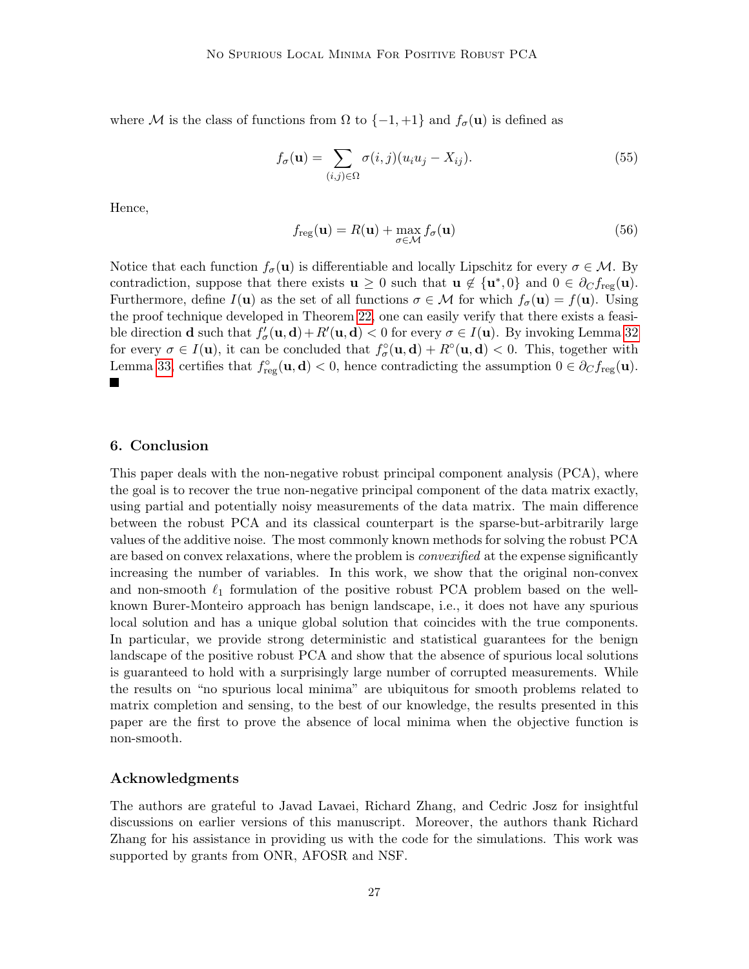where M is the class of functions from  $\Omega$  to  $\{-1, +1\}$  and  $f_{\sigma}(\mathbf{u})$  is defined as

$$
f_{\sigma}(\mathbf{u}) = \sum_{(i,j)\in\Omega} \sigma(i,j)(u_i u_j - X_{ij}).
$$
\n(55)

Hence,

$$
f_{\text{reg}}(\mathbf{u}) = R(\mathbf{u}) + \max_{\sigma \in \mathcal{M}} f_{\sigma}(\mathbf{u})
$$
\n(56)

Notice that each function  $f_{\sigma}(\mathbf{u})$  is differentiable and locally Lipschitz for every  $\sigma \in \mathcal{M}$ . By contradiction, suppose that there exists  $\mathbf{u} \geq 0$  such that  $\mathbf{u} \notin {\mathbf{u}^*,0}$  and  $0 \in \partial_C f_{\text{reg}}(\mathbf{u})$ . Furthermore, define  $I(\mathbf{u})$  as the set of all functions  $\sigma \in \mathcal{M}$  for which  $f_{\sigma}(\mathbf{u}) = f(\mathbf{u})$ . Using the proof technique developed in Theorem [22,](#page-19-1) one can easily verify that there exists a feasible direction **d** such that  $f'_{\sigma}(\mathbf{u}, \mathbf{d}) + R'(\mathbf{u}, \mathbf{d}) < 0$  for every  $\sigma \in I(\mathbf{u})$ . By invoking Lemma [32](#page-24-0) for every  $\sigma \in I(\mathbf{u})$ , it can be concluded that  $f_{\sigma}^{\circ}(\mathbf{u}, \mathbf{d}) + R^{\circ}(\mathbf{u}, \mathbf{d}) < 0$ . This, together with Lemma [33,](#page-25-0) certifies that  $f_{reg}^{\circ}(\mathbf{u}, \mathbf{d}) < 0$ , hence contradicting the assumption  $0 \in \partial_C f_{reg}(\mathbf{u})$ . Ш

# 6. Conclusion

This paper deals with the non-negative robust principal component analysis (PCA), where the goal is to recover the true non-negative principal component of the data matrix exactly, using partial and potentially noisy measurements of the data matrix. The main difference between the robust PCA and its classical counterpart is the sparse-but-arbitrarily large values of the additive noise. The most commonly known methods for solving the robust PCA are based on convex relaxations, where the problem is *convexified* at the expense significantly increasing the number of variables. In this work, we show that the original non-convex and non-smooth  $\ell_1$  formulation of the positive robust PCA problem based on the wellknown Burer-Monteiro approach has benign landscape, i.e., it does not have any spurious local solution and has a unique global solution that coincides with the true components. In particular, we provide strong deterministic and statistical guarantees for the benign landscape of the positive robust PCA and show that the absence of spurious local solutions is guaranteed to hold with a surprisingly large number of corrupted measurements. While the results on "no spurious local minima" are ubiquitous for smooth problems related to matrix completion and sensing, to the best of our knowledge, the results presented in this paper are the first to prove the absence of local minima when the objective function is non-smooth.

#### Acknowledgments

The authors are grateful to Javad Lavaei, Richard Zhang, and Cedric Josz for insightful discussions on earlier versions of this manuscript. Moreover, the authors thank Richard Zhang for his assistance in providing us with the code for the simulations. This work was supported by grants from ONR, AFOSR and NSF.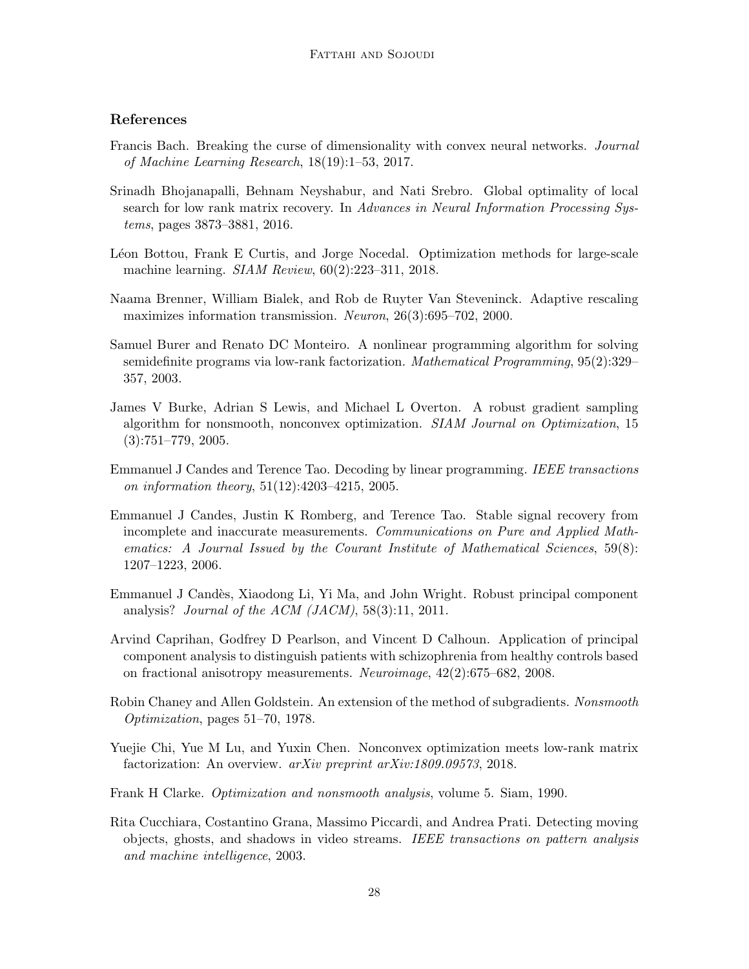# References

- <span id="page-27-8"></span>Francis Bach. Breaking the curse of dimensionality with convex neural networks. Journal of Machine Learning Research, 18(19):1–53, 2017.
- <span id="page-27-4"></span>Srinadh Bhojanapalli, Behnam Neyshabur, and Nati Srebro. Global optimality of local search for low rank matrix recovery. In Advances in Neural Information Processing Systems, pages 3873–3881, 2016.
- <span id="page-27-6"></span>Léon Bottou, Frank E Curtis, and Jorge Nocedal. Optimization methods for large-scale machine learning. SIAM Review, 60(2):223–311, 2018.
- <span id="page-27-1"></span>Naama Brenner, William Bialek, and Rob de Ruyter Van Steveninck. Adaptive rescaling maximizes information transmission. Neuron, 26(3):695–702, 2000.
- <span id="page-27-3"></span>Samuel Burer and Renato DC Monteiro. A nonlinear programming algorithm for solving semidefinite programs via low-rank factorization. Mathematical Programming, 95(2):329– 357, 2003.
- <span id="page-27-13"></span>James V Burke, Adrian S Lewis, and Michael L Overton. A robust gradient sampling algorithm for nonsmooth, nonconvex optimization. SIAM Journal on Optimization, 15  $(3):751–779, 2005.$
- <span id="page-27-10"></span>Emmanuel J Candes and Terence Tao. Decoding by linear programming. IEEE transactions on information theory, 51(12):4203–4215, 2005.
- <span id="page-27-7"></span>Emmanuel J Candes, Justin K Romberg, and Terence Tao. Stable signal recovery from incomplete and inaccurate measurements. Communications on Pure and Applied Mathematics: A Journal Issued by the Courant Institute of Mathematical Sciences, 59(8): 1207–1223, 2006.
- <span id="page-27-2"></span>Emmanuel J Cand`es, Xiaodong Li, Yi Ma, and John Wright. Robust principal component analysis? Journal of the ACM  $(JACM)$ , 58(3):11, 2011.
- <span id="page-27-0"></span>Arvind Caprihan, Godfrey D Pearlson, and Vincent D Calhoun. Application of principal component analysis to distinguish patients with schizophrenia from healthy controls based on fractional anisotropy measurements. Neuroimage, 42(2):675–682, 2008.
- <span id="page-27-12"></span>Robin Chaney and Allen Goldstein. An extension of the method of subgradients. Nonsmooth Optimization, pages 51–70, 1978.
- <span id="page-27-9"></span>Yuejie Chi, Yue M Lu, and Yuxin Chen. Nonconvex optimization meets low-rank matrix factorization: An overview. *arXiv preprint arXiv:1809.09573*, 2018.
- <span id="page-27-11"></span>Frank H Clarke. Optimization and nonsmooth analysis, volume 5. Siam, 1990.
- <span id="page-27-5"></span>Rita Cucchiara, Costantino Grana, Massimo Piccardi, and Andrea Prati. Detecting moving objects, ghosts, and shadows in video streams. IEEE transactions on pattern analysis and machine intelligence, 2003.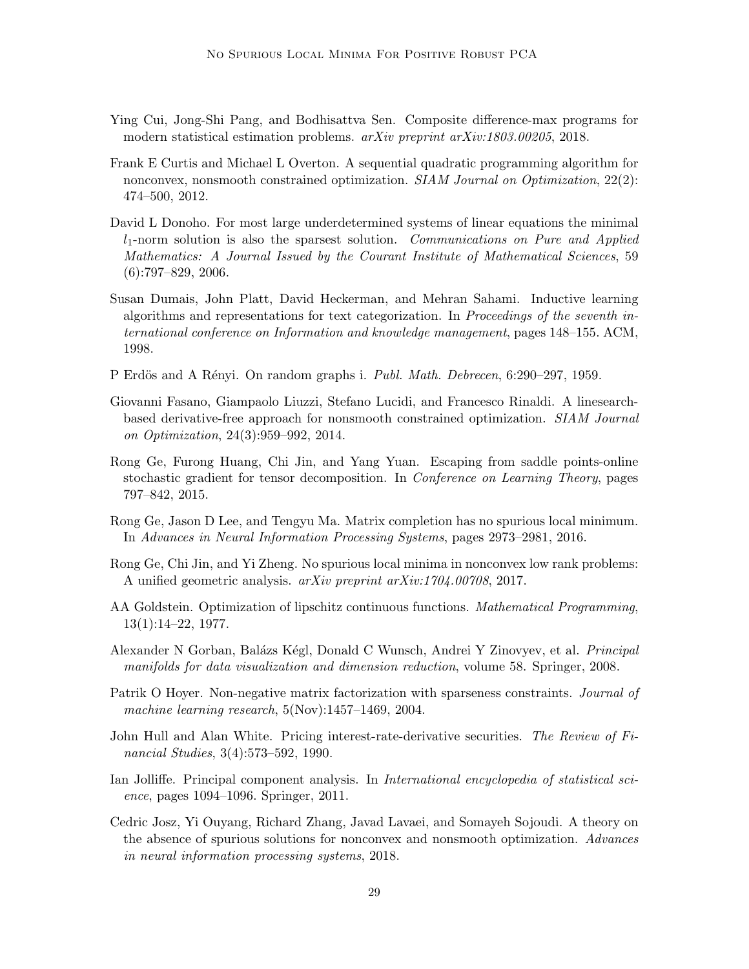- <span id="page-28-13"></span>Ying Cui, Jong-Shi Pang, and Bodhisattva Sen. Composite difference-max programs for modern statistical estimation problems. arXiv preprint arXiv:1803.00205, 2018.
- <span id="page-28-11"></span>Frank E Curtis and Michael L Overton. A sequential quadratic programming algorithm for nonconvex, nonsmooth constrained optimization. SIAM Journal on Optimization, 22(2): 474–500, 2012.
- <span id="page-28-6"></span>David L Donoho. For most large underdetermined systems of linear equations the minimal  $l_1$ -norm solution is also the sparsest solution. Communications on Pure and Applied Mathematics: A Journal Issued by the Courant Institute of Mathematical Sciences, 59  $(6):797-829, 2006.$
- <span id="page-28-5"></span>Susan Dumais, John Platt, David Heckerman, and Mehran Sahami. Inductive learning algorithms and representations for text categorization. In Proceedings of the seventh international conference on Information and knowledge management, pages 148–155. ACM, 1998.
- <span id="page-28-12"></span>P Erdös and A Rényi. On random graphs i. Publ. Math. Debrecen, 6:290–297, 1959.
- <span id="page-28-14"></span>Giovanni Fasano, Giampaolo Liuzzi, Stefano Lucidi, and Francesco Rinaldi. A linesearchbased derivative-free approach for nonsmooth constrained optimization. SIAM Journal on Optimization, 24(3):959–992, 2014.
- <span id="page-28-7"></span>Rong Ge, Furong Huang, Chi Jin, and Yang Yuan. Escaping from saddle points-online stochastic gradient for tensor decomposition. In Conference on Learning Theory, pages 797–842, 2015.
- <span id="page-28-3"></span>Rong Ge, Jason D Lee, and Tengyu Ma. Matrix completion has no spurious local minimum. In Advances in Neural Information Processing Systems, pages 2973–2981, 2016.
- <span id="page-28-4"></span>Rong Ge, Chi Jin, and Yi Zheng. No spurious local minima in nonconvex low rank problems: A unified geometric analysis. arXiv preprint arXiv:1704.00708, 2017.
- <span id="page-28-10"></span>AA Goldstein. Optimization of lipschitz continuous functions. *Mathematical Programming*, 13(1):14–22, 1977.
- <span id="page-28-2"></span>Alexander N Gorban, Balázs Kégl, Donald C Wunsch, Andrei Y Zinovyev, et al. *Principal* manifolds for data visualization and dimension reduction, volume 58. Springer, 2008.
- <span id="page-28-9"></span>Patrik O Hoyer. Non-negative matrix factorization with sparseness constraints. *Journal of* machine learning research, 5(Nov):1457–1469, 2004.
- <span id="page-28-1"></span>John Hull and Alan White. Pricing interest-rate-derivative securities. The Review of Financial Studies, 3(4):573–592, 1990.
- <span id="page-28-0"></span>Ian Jolliffe. Principal component analysis. In *International encyclopedia of statistical sci*ence, pages 1094–1096. Springer, 2011.
- <span id="page-28-8"></span>Cedric Josz, Yi Ouyang, Richard Zhang, Javad Lavaei, and Somayeh Sojoudi. A theory on the absence of spurious solutions for nonconvex and nonsmooth optimization. Advances in neural information processing systems, 2018.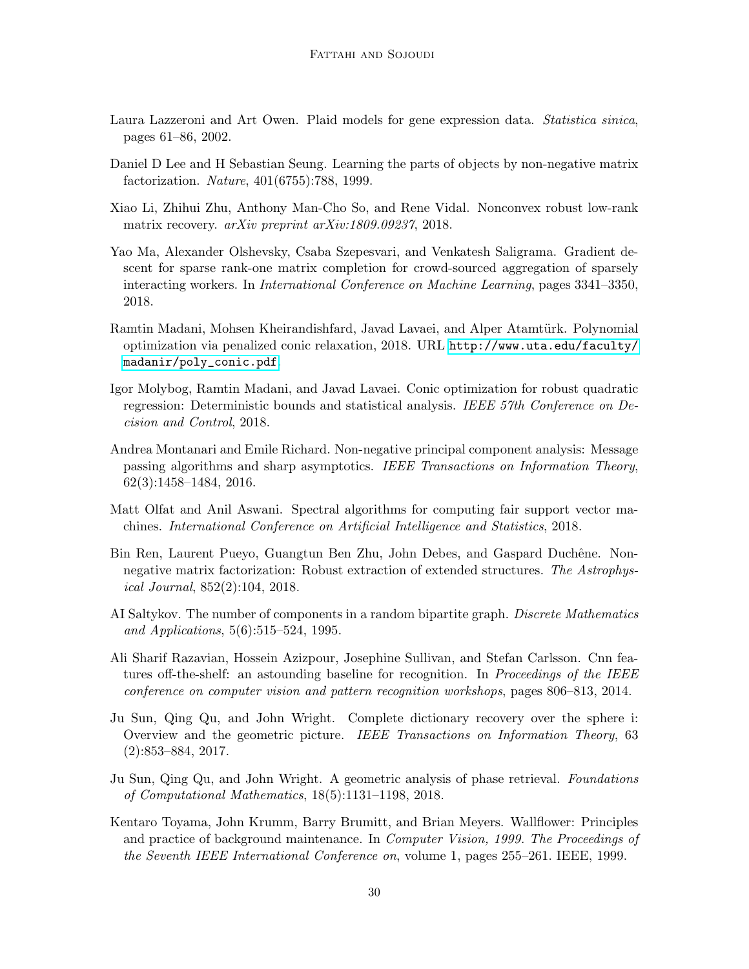- <span id="page-29-3"></span>Laura Lazzeroni and Art Owen. Plaid models for gene expression data. Statistica sinica, pages 61–86, 2002.
- <span id="page-29-2"></span>Daniel D Lee and H Sebastian Seung. Learning the parts of objects by non-negative matrix factorization. Nature, 401(6755):788, 1999.
- <span id="page-29-4"></span>Xiao Li, Zhihui Zhu, Anthony Man-Cho So, and Rene Vidal. Nonconvex robust low-rank matrix recovery. arXiv preprint arXiv:1809.09237, 2018.
- <span id="page-29-12"></span>Yao Ma, Alexander Olshevsky, Csaba Szepesvari, and Venkatesh Saligrama. Gradient descent for sparse rank-one matrix completion for crowd-sourced aggregation of sparsely interacting workers. In International Conference on Machine Learning, pages 3341–3350, 2018.
- <span id="page-29-9"></span>Ramtin Madani, Mohsen Kheirandishfard, Javad Lavaei, and Alper Atamtürk. Polynomial optimization via penalized conic relaxation, 2018. URL [http://www.uta.edu/faculty/](http://www.uta.edu/faculty/madanir/poly_conic.pdf) [madanir/poly\\_conic.pdf](http://www.uta.edu/faculty/madanir/poly_conic.pdf).
- <span id="page-29-8"></span>Igor Molybog, Ramtin Madani, and Javad Lavaei. Conic optimization for robust quadratic regression: Deterministic bounds and statistical analysis. IEEE 57th Conference on Decision and Control, 2018.
- <span id="page-29-0"></span>Andrea Montanari and Emile Richard. Non-negative principal component analysis: Message passing algorithms and sharp asymptotics. IEEE Transactions on Information Theory, 62(3):1458–1484, 2016.
- <span id="page-29-7"></span>Matt Olfat and Anil Aswani. Spectral algorithms for computing fair support vector machines. International Conference on Artificial Intelligence and Statistics, 2018.
- <span id="page-29-1"></span>Bin Ren, Laurent Pueyo, Guangtun Ben Zhu, John Debes, and Gaspard Duchêne. Nonnegative matrix factorization: Robust extraction of extended structures. The Astrophysical Journal, 852(2):104, 2018.
- <span id="page-29-13"></span>AI Saltykov. The number of components in a random bipartite graph. Discrete Mathematics and Applications, 5(6):515–524, 1995.
- <span id="page-29-6"></span>Ali Sharif Razavian, Hossein Azizpour, Josephine Sullivan, and Stefan Carlsson. Cnn features off-the-shelf: an astounding baseline for recognition. In *Proceedings of the IEEE* conference on computer vision and pattern recognition workshops, pages 806–813, 2014.
- <span id="page-29-11"></span>Ju Sun, Qing Qu, and John Wright. Complete dictionary recovery over the sphere i: Overview and the geometric picture. IEEE Transactions on Information Theory, 63 (2):853–884, 2017.
- <span id="page-29-10"></span>Ju Sun, Qing Qu, and John Wright. A geometric analysis of phase retrieval. Foundations of Computational Mathematics, 18(5):1131–1198, 2018.
- <span id="page-29-5"></span>Kentaro Toyama, John Krumm, Barry Brumitt, and Brian Meyers. Wallflower: Principles and practice of background maintenance. In Computer Vision, 1999. The Proceedings of the Seventh IEEE International Conference on, volume 1, pages 255–261. IEEE, 1999.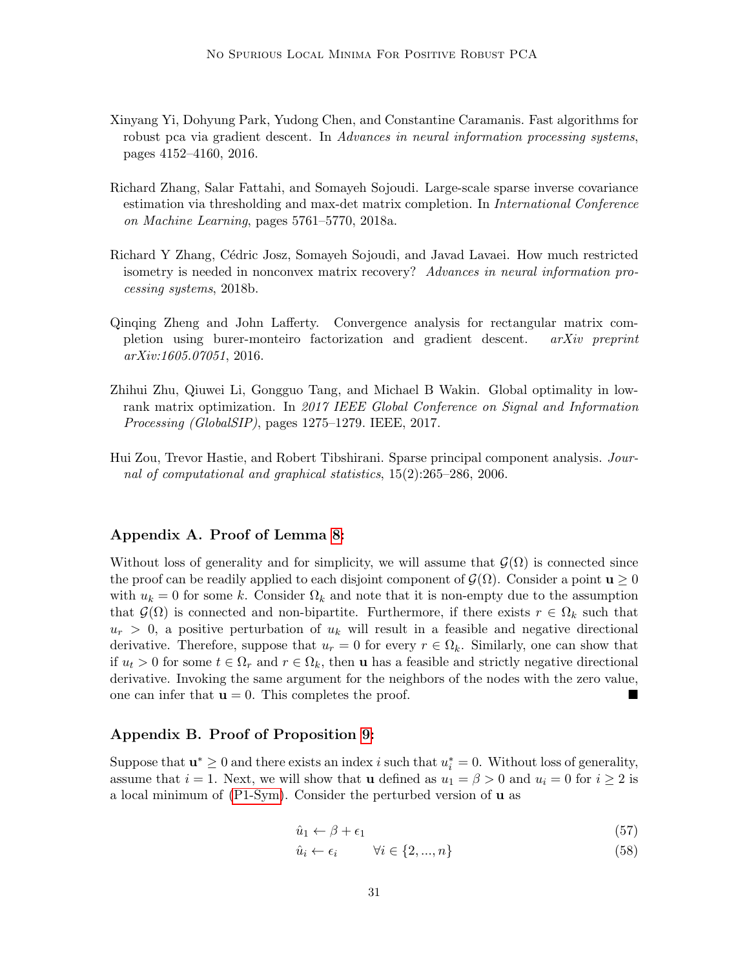- <span id="page-30-5"></span>Xinyang Yi, Dohyung Park, Yudong Chen, and Constantine Caramanis. Fast algorithms for robust pca via gradient descent. In Advances in neural information processing systems, pages 4152–4160, 2016.
- <span id="page-30-1"></span>Richard Zhang, Salar Fattahi, and Somayeh Sojoudi. Large-scale sparse inverse covariance estimation via thresholding and max-det matrix completion. In International Conference on Machine Learning, pages 5761–5770, 2018a.
- <span id="page-30-3"></span>Richard Y Zhang, C´edric Josz, Somayeh Sojoudi, and Javad Lavaei. How much restricted isometry is needed in nonconvex matrix recovery? Advances in neural information processing systems, 2018b.
- <span id="page-30-4"></span>Qinqing Zheng and John Lafferty. Convergence analysis for rectangular matrix completion using burer-monteiro factorization and gradient descent. arXiv preprint arXiv:1605.07051, 2016.
- <span id="page-30-2"></span>Zhihui Zhu, Qiuwei Li, Gongguo Tang, and Michael B Wakin. Global optimality in lowrank matrix optimization. In 2017 IEEE Global Conference on Signal and Information Processing (GlobalSIP), pages 1275–1279. IEEE, 2017.
- <span id="page-30-0"></span>Hui Zou, Trevor Hastie, and Robert Tibshirani. Sparse principal component analysis. Journal of computational and graphical statistics, 15(2):265–286, 2006.

#### <span id="page-30-6"></span>Appendix A. Proof of Lemma [8:](#page-11-1)

Without loss of generality and for simplicity, we will assume that  $\mathcal{G}(\Omega)$  is connected since the proof can be readily applied to each disjoint component of  $\mathcal{G}(\Omega)$ . Consider a point  $\mathbf{u} \geq 0$ with  $u_k = 0$  for some k. Consider  $\Omega_k$  and note that it is non-empty due to the assumption that  $\mathcal{G}(\Omega)$  is connected and non-bipartite. Furthermore, if there exists  $r \in \Omega_k$  such that  $u_r > 0$ , a positive perturbation of  $u_k$  will result in a feasible and negative directional derivative. Therefore, suppose that  $u_r = 0$  for every  $r \in \Omega_k$ . Similarly, one can show that if  $u_t > 0$  for some  $t \in \Omega_r$  and  $r \in \Omega_k$ , then **u** has a feasible and strictly negative directional derivative. Invoking the same argument for the neighbors of the nodes with the zero value, one can infer that  $\mathbf{u} = 0$ . This completes the proof.

# <span id="page-30-7"></span>Appendix B. Proof of Proposition [9:](#page-13-0)

Suppose that  $\mathbf{u}^* \geq 0$  and there exists an index i such that  $u_i^* = 0$ . Without loss of generality, assume that  $i = 1$ . Next, we will show that **u** defined as  $u_1 = \beta > 0$  and  $u_i = 0$  for  $i \ge 2$  is a local minimum of [\(P1-Sym\)](#page-10-3). Consider the perturbed version of u as

$$
\hat{u}_1 \leftarrow \beta + \epsilon_1 \tag{57}
$$

$$
\hat{u}_i \leftarrow \epsilon_i \qquad \forall i \in \{2, ..., n\} \tag{58}
$$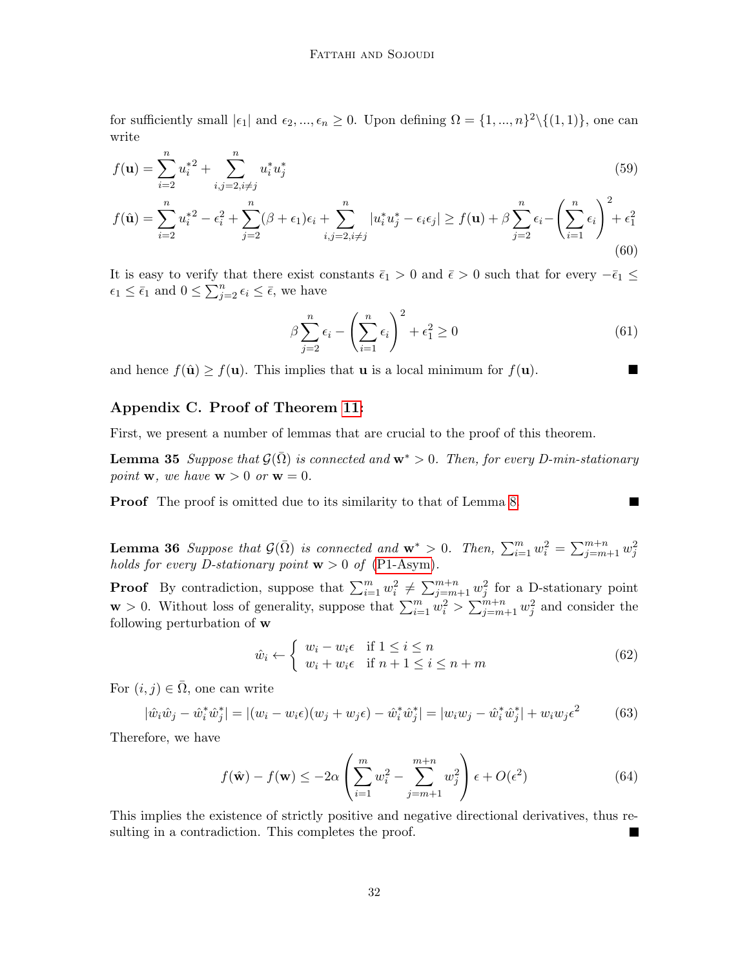for sufficiently small  $|\epsilon_1|$  and  $\epsilon_2, ..., \epsilon_n \geq 0$ . Upon defining  $\Omega = \{1, ..., n\}^2 \setminus \{(1, 1)\}$ , one can write

$$
f(\mathbf{u}) = \sum_{i=2}^{n} u_i^* + \sum_{i,j=2, i \neq j}^{n} u_i^* u_j^* \tag{59}
$$

$$
f(\hat{\mathbf{u}}) = \sum_{i=2}^{n} u_i^{*2} - \epsilon_i^2 + \sum_{j=2}^{n} (\beta + \epsilon_1)\epsilon_i + \sum_{i,j=2, i \neq j}^{n} |u_i^* u_j^* - \epsilon_i \epsilon_j| \ge f(\mathbf{u}) + \beta \sum_{j=2}^{n} \epsilon_i - \left(\sum_{i=1}^{n} \epsilon_i\right)^2 + \epsilon_1^2
$$
\n(60)

It is easy to verify that there exist constants  $\bar{\epsilon}_1 > 0$  and  $\bar{\epsilon} > 0$  such that for every  $-\bar{\epsilon}_1 \leq$  $\epsilon_1 \leq \bar{\epsilon}_1$  and  $0 \leq \sum_{j=2}^n \epsilon_j \leq \bar{\epsilon}$ , we have

$$
\beta \sum_{j=2}^{n} \epsilon_i - \left(\sum_{i=1}^{n} \epsilon_i\right)^2 + \epsilon_1^2 \ge 0
$$
\n(61)

П

and hence  $f(\hat{\mathbf{u}}) \geq f(\mathbf{u})$ . This implies that **u** is a local minimum for  $f(\mathbf{u})$ .

# <span id="page-31-0"></span>Appendix C. Proof of Theorem [11:](#page-14-1)

<span id="page-31-1"></span>First, we present a number of lemmas that are crucial to the proof of this theorem.

**Lemma 35** Suppose that  $\mathcal{G}(\overline{\Omega})$  is connected and  $\mathbf{w}^* > 0$ . Then, for every D-min-stationary point **w**, we have  $\mathbf{w} > 0$  or  $\mathbf{w} = 0$ .

<span id="page-31-2"></span>**Proof** The proof is omitted due to its similarity to that of Lemma [8.](#page-11-1)

**Lemma 36** Suppose that  $\mathcal{G}(\bar{\Omega})$  is connected and  $\mathbf{w}^* > 0$ . Then,  $\sum_{i=1}^{m} w_i^2 = \sum_{j=m+1}^{m+n} w_j^2$ holds for every D-stationary point  $w > 0$  of [\(P1-Asym\)](#page-11-3).

**Proof** By contradiction, suppose that  $\sum_{i=1}^{m} w_i^2 \neq \sum_{j=m+1}^{m+n} w_j^2$  for a D-stationary point **w** > 0. Without loss of generality, suppose that  $\sum_{i=1}^{m} w_i^2 > \sum_{j=m+1}^{m+n} w_j^2$  and consider the following perturbation of w

$$
\hat{w}_i \leftarrow \begin{cases} w_i - w_i \epsilon & \text{if } 1 \le i \le n \\ w_i + w_i \epsilon & \text{if } n+1 \le i \le n+m \end{cases} \tag{62}
$$

For  $(i, j) \in \overline{\Omega}$ , one can write

$$
|\hat{w}_i \hat{w}_j - \hat{w}_i^* \hat{w}_j^*| = |(w_i - w_i \epsilon)(w_j + w_j \epsilon) - \hat{w}_i^* \hat{w}_j^*| = |w_i w_j - \hat{w}_i^* \hat{w}_j^*| + w_i w_j \epsilon^2
$$
(63)

Therefore, we have

$$
f(\hat{\mathbf{w}}) - f(\mathbf{w}) \le -2\alpha \left( \sum_{i=1}^{m} w_i^2 - \sum_{j=m+1}^{m+n} w_j^2 \right) \epsilon + O(\epsilon^2)
$$
 (64)

<span id="page-31-3"></span>This implies the existence of strictly positive and negative directional derivatives, thus resulting in a contradiction. This completes the proof.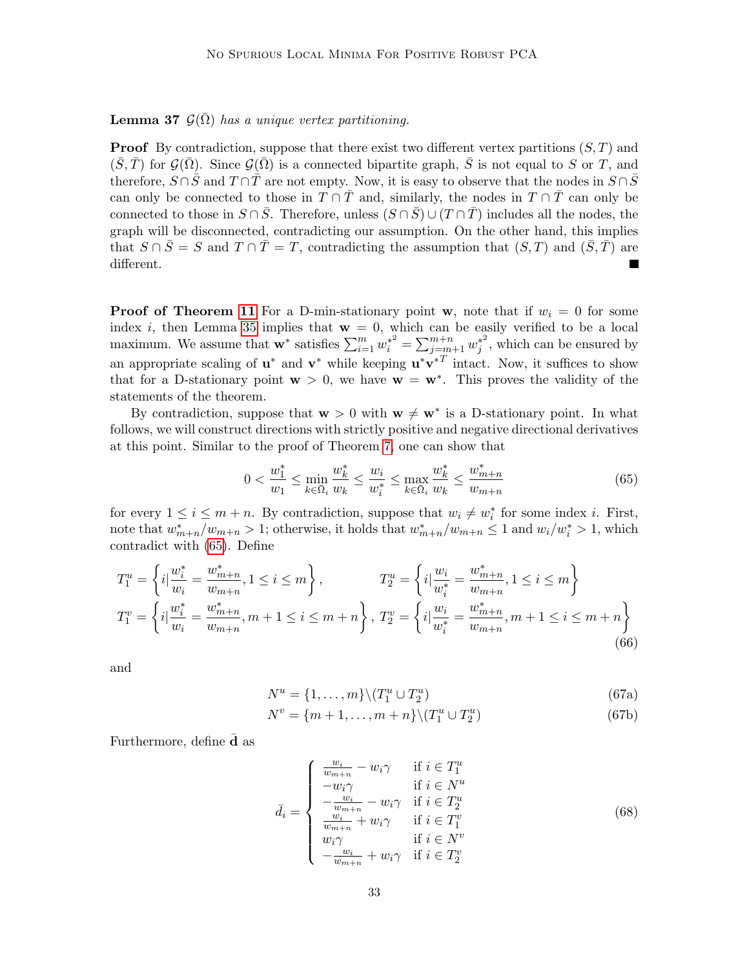**Lemma 37**  $\mathcal{G}(\bar{\Omega})$  has a unique vertex partitioning.

**Proof** By contradiction, suppose that there exist two different vertex partitions  $(S, T)$  and  $(\bar{S}, \bar{T})$  for  $\mathcal{G}(\bar{\Omega})$ . Since  $\mathcal{G}(\bar{\Omega})$  is a connected bipartite graph,  $\bar{S}$  is not equal to S or T, and therefore,  $S \cap \overline{S}$  and  $T \cap \overline{T}$  are not empty. Now, it is easy to observe that the nodes in  $S \cap \overline{S}$ can only be connected to those in  $T \cap \overline{T}$  and, similarly, the nodes in  $T \cap \overline{T}$  can only be connected to those in  $S \cap \overline{S}$ . Therefore, unless  $(S \cap \overline{S}) \cup (T \cap \overline{T})$  includes all the nodes, the graph will be disconnected, contradicting our assumption. On the other hand, this implies that  $S \cap \overline{S} = S$  and  $T \cap \overline{T} = T$ , contradicting the assumption that  $(S, T)$  and  $(\overline{S}, \overline{T})$  are different.

**Proof of Theorem [11](#page-14-1)** For a D-min-stationary point w, note that if  $w_i = 0$  for some index i, then Lemma [35](#page-31-1) implies that  $w = 0$ , which can be easily verified to be a local maximum. We assume that  $\mathbf{w}^*$  satisfies  $\sum_{i=1}^m w_i^{*^2} = \sum_{j=m+1}^{m+n} w_j^{*^2}$  $j^*$ , which can be ensured by an appropriate scaling of  $\mathbf{u}^*$  and  $\mathbf{v}^*$  while keeping  $\mathbf{u}^*\mathbf{v}^{*T}$  intact. Now, it suffices to show that for a D-stationary point  $w > 0$ , we have  $w = w^*$ . This proves the validity of the statements of the theorem.

By contradiction, suppose that  $w > 0$  with  $w \neq w^*$  is a D-stationary point. In what follows, we will construct directions with strictly positive and negative directional derivatives at this point. Similar to the proof of Theorem [7,](#page-11-0) one can show that

<span id="page-32-0"></span>
$$
0 < \frac{w_1^*}{w_1} \le \min_{k \in \bar{\Omega}_i} \frac{w_k^*}{w_k} \le \frac{w_i}{w_i^*} \le \max_{k \in \bar{\Omega}_i} \frac{w_k^*}{w_k} \le \frac{w_{m+n}^*}{w_{m+n}} \tag{65}
$$

for every  $1 \leq i \leq m+n$ . By contradiction, suppose that  $w_i \neq w_i^*$  for some index *i*. First, note that  $w_{m+n}^* / w_{m+n} > 1$ ; otherwise, it holds that  $w_{m+n}^* / w_{m+n} \leq 1$  and  $w_i/w_i^* > 1$ , which contradict with [\(65\)](#page-32-0). Define

$$
T_1^u = \left\{ i \Big| \frac{w_i^*}{w_i} = \frac{w_{m+n}^*}{w_{m+n}}, 1 \le i \le m \right\}, \qquad T_2^u = \left\{ i \Big| \frac{w_i}{w_i^*} = \frac{w_{m+n}^*}{w_{m+n}}, 1 \le i \le m \right\}
$$
  

$$
T_1^v = \left\{ i \Big| \frac{w_i^*}{w_i} = \frac{w_{m+n}^*}{w_{m+n}}, m+1 \le i \le m+n \right\}, T_2^v = \left\{ i \Big| \frac{w_i}{w_i^*} = \frac{w_{m+n}^*}{w_{m+n}}, m+1 \le i \le m+n \right\}
$$
  
(66)

and

$$
N^u = \{1, \dots, m\} \backslash (T_1^u \cup T_2^u) \tag{67a}
$$

$$
N^{v} = \{m+1, \dots, m+n\} \backslash (T_1^u \cup T_2^u) \tag{67b}
$$

Furthermore, define **d** as

$$
\bar{d}_{i} = \begin{cases}\n\frac{w_{i}}{w_{m+n}} - w_{i}\gamma & \text{if } i \in T_{1}^{u} \\
-w_{i}\gamma & \text{if } i \in N^{u} \\
-\frac{w_{i}}{w_{m+n}} - w_{i}\gamma & \text{if } i \in T_{2}^{u} \\
\frac{w_{i}}{w_{m+n}} + w_{i}\gamma & \text{if } i \in T_{1}^{v} \\
w_{i}\gamma & \text{if } i \in N^{v} \\
-\frac{w_{i}}{w_{m+n}} + w_{i}\gamma & \text{if } i \in T_{2}^{v}\n\end{cases}
$$
\n(68)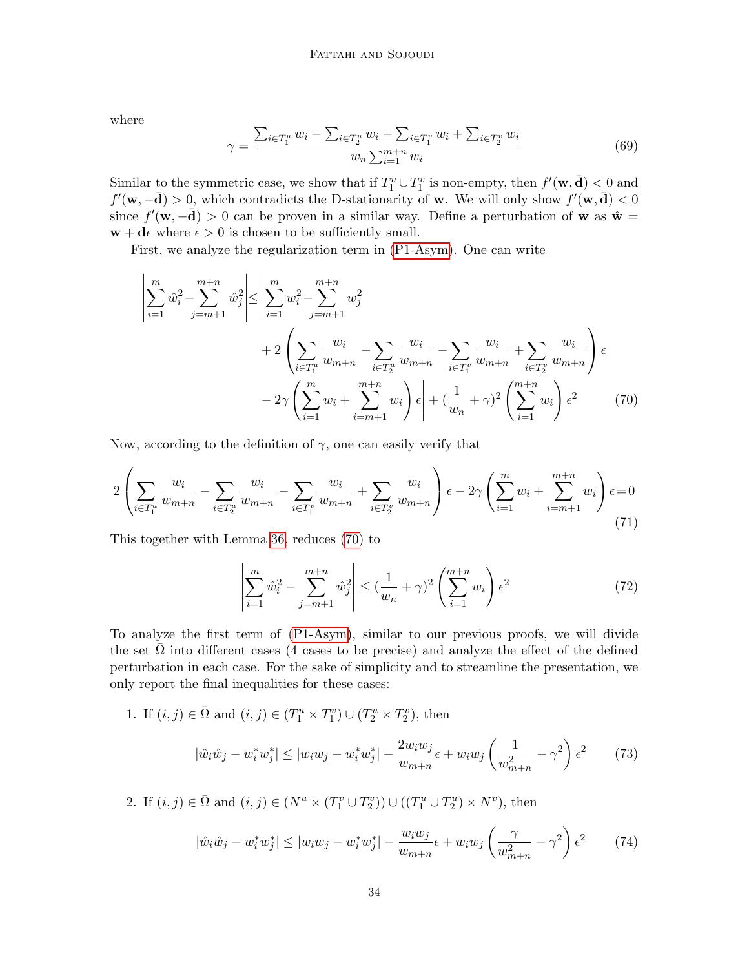where

 $\overline{1}$ 

$$
\gamma = \frac{\sum_{i \in T_1^u} w_i - \sum_{i \in T_2^u} w_i - \sum_{i \in T_1^v} w_i + \sum_{i \in T_2^v} w_i}{w_n \sum_{i=1}^{m+n} w_i}
$$
(69)

Similar to the symmetric case, we show that if  $T_1^u \cup T_1^v$  is non-empty, then  $f'(\mathbf{w}, \mathbf{d}) < 0$  and  $f'(\mathbf{w}, -\mathbf{d}) > 0$ , which contradicts the D-stationarity of **w**. We will only show  $f'(\mathbf{w}, \mathbf{d}) < 0$ since  $f'(\mathbf{w}, -\bar{\mathbf{d}}) > 0$  can be proven in a similar way. Define a perturbation of **w** as  $\hat{\mathbf{w}} =$  $\mathbf{w} + \mathbf{d}\epsilon$  where  $\epsilon > 0$  is chosen to be sufficiently small.

First, we analyze the regularization term in [\(P1-Asym\)](#page-11-3). One can write

$$
\left| \sum_{i=1}^{m} \hat{w}_i^2 - \sum_{j=m+1}^{m+n} \hat{w}_j^2 \right| \le \left| \sum_{i=1}^{m} w_i^2 - \sum_{j=m+1}^{m+n} w_j^2 \right|
$$
  
+2
$$
\left( \sum_{i \in T_1^u} \frac{w_i}{w_{m+n}} - \sum_{i \in T_2^u} \frac{w_i}{w_{m+n}} - \sum_{i \in T_1^v} \frac{w_i}{w_{m+n}} + \sum_{i \in T_2^v} \frac{w_i}{w_{m+n}} \right) \epsilon
$$
  
-2
$$
2\gamma \left( \sum_{i=1}^{m} w_i + \sum_{i=m+1}^{m+n} w_i \right) \epsilon + \left( \frac{1}{w_n} + \gamma \right)^2 \left( \sum_{i=1}^{m+n} w_i \right) \epsilon^2
$$
(70)

Now, according to the definition of  $\gamma$ , one can easily verify that

$$
2\left(\sum_{i\in T_1^u} \frac{w_i}{w_{m+n}} - \sum_{i\in T_2^u} \frac{w_i}{w_{m+n}} - \sum_{i\in T_1^v} \frac{w_i}{w_{m+n}} + \sum_{i\in T_2^v} \frac{w_i}{w_{m+n}}\right)\epsilon - 2\gamma \left(\sum_{i=1}^m w_i + \sum_{i=m+1}^{m+n} w_i\right)\epsilon = 0\tag{71}
$$

This together with Lemma [36,](#page-31-2) reduces [\(70\)](#page-33-0) to

<span id="page-33-0"></span>
$$
\left| \sum_{i=1}^{m} \hat{w}_i^2 - \sum_{j=m+1}^{m+n} \hat{w}_j^2 \right| \le (\frac{1}{w_n} + \gamma)^2 \left( \sum_{i=1}^{m+n} w_i \right) \epsilon^2
$$
 (72)

To analyze the first term of [\(P1-Asym\)](#page-11-3), similar to our previous proofs, we will divide the set  $\Omega$  into different cases (4 cases to be precise) and analyze the effect of the defined perturbation in each case. For the sake of simplicity and to streamline the presentation, we only report the final inequalities for these cases:

1. If  $(i, j) \in \overline{\Omega}$  and  $(i, j) \in (T_1^u \times T_1^v) \cup (T_2^u \times T_2^v)$ , then

$$
|\hat{w}_i \hat{w}_j - w_i^* w_j^*| \le |w_i w_j - w_i^* w_j^*| - \frac{2w_i w_j}{w_{m+n}} \epsilon + w_i w_j \left(\frac{1}{w_{m+n}^2} - \gamma^2\right) \epsilon^2 \tag{73}
$$

2. If  $(i, j) \in \overline{\Omega}$  and  $(i, j) \in (N^u \times (T^v_1 \cup T^v_2)) \cup ((T^u_1 \cup T^u_2) \times N^v)$ , then

$$
|\hat{w}_i\hat{w}_j - w_i^* w_j^*| \le |w_i w_j - w_i^* w_j^*| - \frac{w_i w_j}{w_{m+n}} \epsilon + w_i w_j \left(\frac{\gamma}{w_{m+n}^2} - \gamma^2\right) \epsilon^2 \tag{74}
$$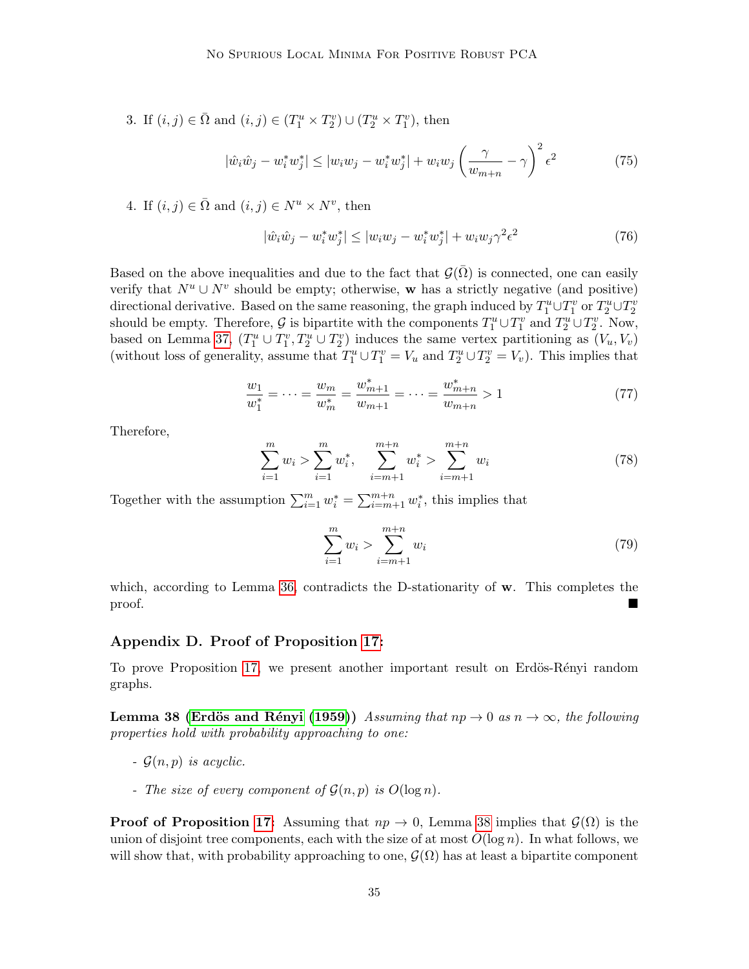3. If  $(i, j) \in \overline{\Omega}$  and  $(i, j) \in (T_1^u \times T_2^v) \cup (T_2^u \times T_1^v)$ , then

$$
|\hat{w}_i \hat{w}_j - w_i^* w_j^*| \le |w_i w_j - w_i^* w_j^*| + w_i w_j \left(\frac{\gamma}{w_{m+n}} - \gamma\right)^2 \epsilon^2
$$
 (75)

4. If  $(i, j) \in \overline{\Omega}$  and  $(i, j) \in N^u \times N^v$ , then

$$
|\hat{w}_i \hat{w}_j - w_i^* w_j^*| \le |w_i w_j - w_i^* w_j^*| + w_i w_j \gamma^2 \epsilon^2
$$
\n(76)

Based on the above inequalities and due to the fact that  $\mathcal{G}(\bar{\Omega})$  is connected, one can easily verify that  $N^u \cup N^v$  should be empty; otherwise, w has a strictly negative (and positive) directional derivative. Based on the same reasoning, the graph induced by  $T_1^u \cup T_1^v$  or  $T_2^u \cup T_2^v$ should be empty. Therefore,  $\mathcal G$  is bipartite with the components  $T_1^u \cup T_1^v$  and  $T_2^u \cup T_2^v$ . Now, based on Lemma [37,](#page-31-3)  $(T_1^u \cup T_1^v, T_2^u \cup T_2^v)$  induces the same vertex partitioning as  $(V_u, V_v)$ (without loss of generality, assume that  $T_1^u \cup T_1^v = V_u$  and  $T_2^u \cup T_2^v = V_v$ ). This implies that

$$
\frac{w_1}{w_1^*} = \dots = \frac{w_m}{w_m^*} = \frac{w_{m+1}^*}{w_{m+1}} = \dots = \frac{w_{m+n}^*}{w_{m+n}} > 1
$$
\n<sup>(77)</sup>

Therefore,

$$
\sum_{i=1}^{m} w_i > \sum_{i=1}^{m} w_i^*, \quad \sum_{i=m+1}^{m+n} w_i^* > \sum_{i=m+1}^{m+n} w_i \tag{78}
$$

Together with the assumption  $\sum_{i=1}^{m} w_i^* = \sum_{i=m+1}^{m+n} w_i^*$ , this implies that

$$
\sum_{i=1}^{m} w_i > \sum_{i=m+1}^{m+n} w_i
$$
\n(79)

which, according to Lemma [36,](#page-31-2) contradicts the D-stationarity of  $\bf{w}$ . This completes the proof.

# <span id="page-34-0"></span>Appendix D. Proof of Proposition [17:](#page-16-0)

To prove Proposition [17,](#page-16-0) we present another important result on Erdös-Rényi random graphs.

<span id="page-34-1"></span>**Lemma 38 (Erdös and Rényi [\(1959\)](#page-28-12))** Assuming that  $np \to 0$  as  $n \to \infty$ , the following properties hold with probability approaching to one:

- $\mathcal{G}(n, p)$  is acyclic.
- The size of every component of  $\mathcal{G}(n, p)$  is  $O(\log n)$ .

**Proof of Proposition [17:](#page-16-0)** Assuming that  $np \to 0$ , Lemma [38](#page-34-1) implies that  $\mathcal{G}(\Omega)$  is the union of disjoint tree components, each with the size of at most  $O(\log n)$ . In what follows, we will show that, with probability approaching to one,  $\mathcal{G}(\Omega)$  has at least a bipartite component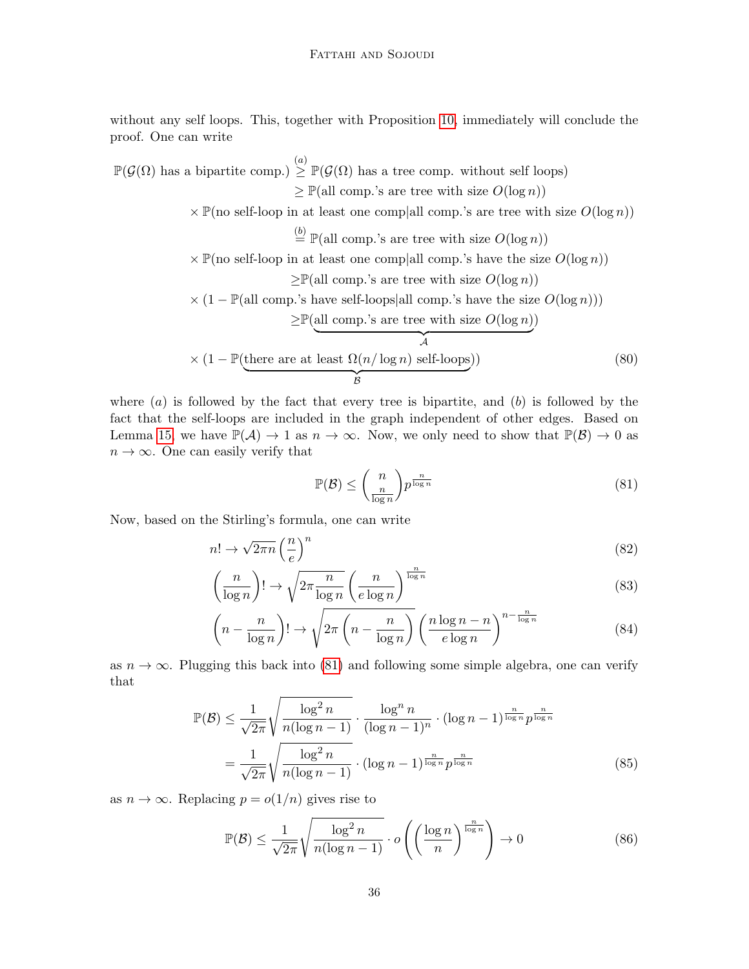without any self loops. This, together with Proposition [10,](#page-14-0) immediately will conclude the proof. One can write

 $\mathbb{P}(\mathcal{G}(\Omega))$  has a bipartite comp.)  $\geq \mathbb{P}(\mathcal{G}(\Omega))$  has a tree comp. without self loops)  $\geq \mathbb{P}(\text{all comp.'s are tree with size } O(\log n))$  $\times \mathbb{P}(\text{no self-loop in at least one comp}\text{all comp.'s are tree with size } O(\log n))$  $\stackrel{(b)}{=} \mathbb{P}(\text{all comp.'s are tree with size } O(\log n))$  $\times \mathbb{P}(\text{no self-loop in at least one comp}\text{all comp.'s have the size } O(\log n))$  $\geq \mathbb{P}(\text{all comp.'s are tree with size } O(\log n))$  $\times (1 - \mathbb{P}(\text{all comp.'s have self-loops}|\text{all comp.'s have the size } O(\log n))$  $\geq \mathbb{P}(\text{all comp.'s are tree with size } O(\log n))$  $\overbrace{A}$  $\mathcal{A}_{0}^{(n)}$  $\times$  (1 – P(there are at least  $\Omega(n/\log n)$  self-loops  ${\displaystyle\sum\limits_{\mathcal{B}}}$ )) (80)

where  $(a)$  is followed by the fact that every tree is bipartite, and  $(b)$  is followed by the fact that the self-loops are included in the graph independent of other edges. Based on Lemma [15,](#page-15-3) we have  $\mathbb{P}(\mathcal{A}) \to 1$  as  $n \to \infty$ . Now, we only need to show that  $\mathbb{P}(\mathcal{B}) \to 0$  as  $n \to \infty$ . One can easily verify that

<span id="page-35-1"></span><span id="page-35-0"></span>
$$
\mathbb{P}(\mathcal{B}) \le \binom{n}{\frac{n}{\log n}} p^{\frac{n}{\log n}} \tag{81}
$$

Now, based on the Stirling's formula, one can write

$$
n! \to \sqrt{2\pi n} \left(\frac{n}{e}\right)^n \tag{82}
$$

$$
\left(\frac{n}{\log n}\right)! \to \sqrt{2\pi \frac{n}{\log n}} \left(\frac{n}{e \log n}\right)^{\frac{n}{\log n}}
$$
\n(83)

$$
\left(n - \frac{n}{\log n}\right)! \to \sqrt{2\pi \left(n - \frac{n}{\log n}\right)} \left(\frac{n \log n - n}{e \log n}\right)^{n - \frac{n}{\log n}}\tag{84}
$$

as  $n \to \infty$ . Plugging this back into [\(81\)](#page-35-0) and following some simple algebra, one can verify that

$$
\mathbb{P}(\mathcal{B}) \le \frac{1}{\sqrt{2\pi}} \sqrt{\frac{\log^2 n}{n(\log n - 1)}} \cdot \frac{\log^n n}{(\log n - 1)^n} \cdot (\log n - 1)^{\frac{n}{\log n}} p^{\frac{n}{\log n}}
$$

$$
= \frac{1}{\sqrt{2\pi}} \sqrt{\frac{\log^2 n}{n(\log n - 1)}} \cdot (\log n - 1)^{\frac{n}{\log n}} p^{\frac{n}{\log n}}
$$
(85)

as  $n \to \infty$ . Replacing  $p = o(1/n)$  gives rise to

$$
\mathbb{P}(\mathcal{B}) \le \frac{1}{\sqrt{2\pi}} \sqrt{\frac{\log^2 n}{n(\log n - 1)}} \cdot o\left(\left(\frac{\log n}{n}\right)^{\frac{n}{\log n}}\right) \to 0 \tag{86}
$$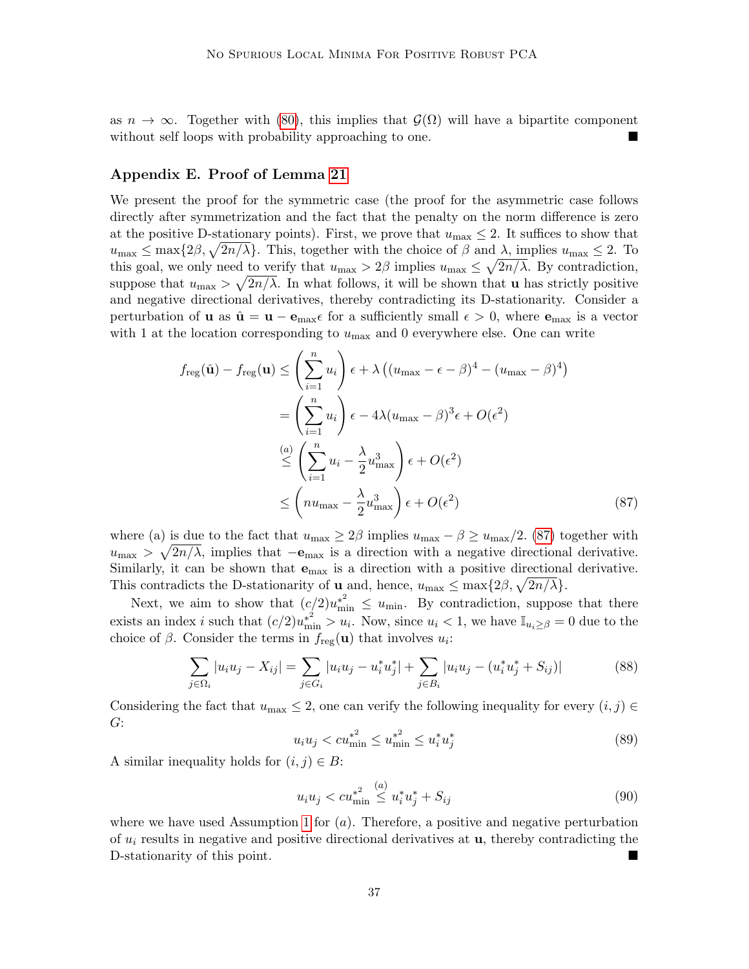as  $n \to \infty$ . Together with [\(80\)](#page-35-1), this implies that  $\mathcal{G}(\Omega)$  will have a bipartite component without self loops with probability approaching to one.

# <span id="page-36-0"></span>Appendix E. Proof of Lemma [21](#page-19-2)

We present the proof for the symmetric case (the proof for the asymmetric case follows directly after symmetrization and the fact that the penalty on the norm difference is zero at the positive D-stationary points). First, we prove that  $u_{\text{max}} \leq 2$ . It suffices to show that  $u_{\text{max}} \leq \max\{2\beta, \sqrt{2n/\lambda}\}.$  This, together with the choice of  $\beta$  and  $\lambda$ , implies  $u_{\text{max}} \leq 2$ . To this goal, we only need to verify that  $u_{\text{max}} > 2\beta$  implies  $u_{\text{max}} \leq \sqrt{2n/\lambda}$ . By contradiction, suppose that  $u_{\text{max}} > \sqrt{2n/\lambda}$ . In what follows, it will be shown that **u** has strictly positive and negative directional derivatives, thereby contradicting its D-stationarity. Consider a perturbation of **u** as  $\hat{\mathbf{u}} = \mathbf{u} - \mathbf{e}_{\text{max}} \epsilon$  for a sufficiently small  $\epsilon > 0$ , where  $\mathbf{e}_{\text{max}}$  is a vector with 1 at the location corresponding to  $u_{\text{max}}$  and 0 everywhere else. One can write

$$
f_{\text{reg}}(\hat{\mathbf{u}}) - f_{\text{reg}}(\mathbf{u}) \leq \left(\sum_{i=1}^{n} u_i\right) \epsilon + \lambda \left((u_{\text{max}} - \epsilon - \beta)^4 - (u_{\text{max}} - \beta)^4\right)
$$
  
\n
$$
= \left(\sum_{i=1}^{n} u_i\right) \epsilon - 4\lambda (u_{\text{max}} - \beta)^3 \epsilon + O(\epsilon^2)
$$
  
\n
$$
\leq \left(\sum_{i=1}^{n} u_i - \frac{\lambda}{2} u_{\text{max}}^3\right) \epsilon + O(\epsilon^2)
$$
  
\n
$$
\leq \left(nu_{\text{max}} - \frac{\lambda}{2} u_{\text{max}}^3\right) \epsilon + O(\epsilon^2)
$$
\n(87)

where (a) is due to the fact that  $u_{\text{max}} \geq 2\beta$  implies  $u_{\text{max}} - \beta \geq u_{\text{max}}/2$ . [\(87\)](#page-36-1) together with  $u_{\text{max}} > \sqrt{2n/\lambda}$ , implies that  $-\mathbf{e}_{\text{max}}$  is a direction with a negative directional derivative. Similarly, it can be shown that  $e_{\text{max}}$  is a direction with a positive directional derivative. This contradicts the D-stationarity of **u** and, hence,  $u_{\text{max}} \leq \max\{2\beta, \sqrt{2n/\lambda}\}.$ 

Next, we aim to show that  $(c/2)u_{\min}^{*^2} \le u_{\min}$ . By contradiction, suppose that there exists an index *i* such that  $(c/2)u_{\min}^* > u_i$ . Now, since  $u_i < 1$ , we have  $\mathbb{I}_{u_i \geq \beta} = 0$  due to the choice of  $\beta$ . Consider the terms in  $f_{\text{reg}}(\mathbf{u})$  that involves  $u_i$ :

$$
\sum_{j \in \Omega_i} |u_i u_j - X_{ij}| = \sum_{j \in G_i} |u_i u_j - u_i^* u_j^*| + \sum_{j \in B_i} |u_i u_j - (u_i^* u_j^* + S_{ij})| \tag{88}
$$

Considering the fact that  $u_{\text{max}} \leq 2$ , one can verify the following inequality for every  $(i, j) \in$ G:

<span id="page-36-1"></span>
$$
u_i u_j < c u_{\min}^{*^2} \le u_{\min}^{*^2} \le u_i^* u_j^* \tag{89}
$$

A similar inequality holds for  $(i, j) \in B$ :

$$
u_i u_j < c u_{\min}^{*^2} \stackrel{(a)}{\leq} u_i^* u_j^* + S_{ij}
$$
\n(90)

where we have used Assumption [1](#page-18-0) for  $(a)$ . Therefore, a positive and negative perturbation of  $u_i$  results in negative and positive directional derivatives at  $u$ , thereby contradicting the D-stationarity of this point.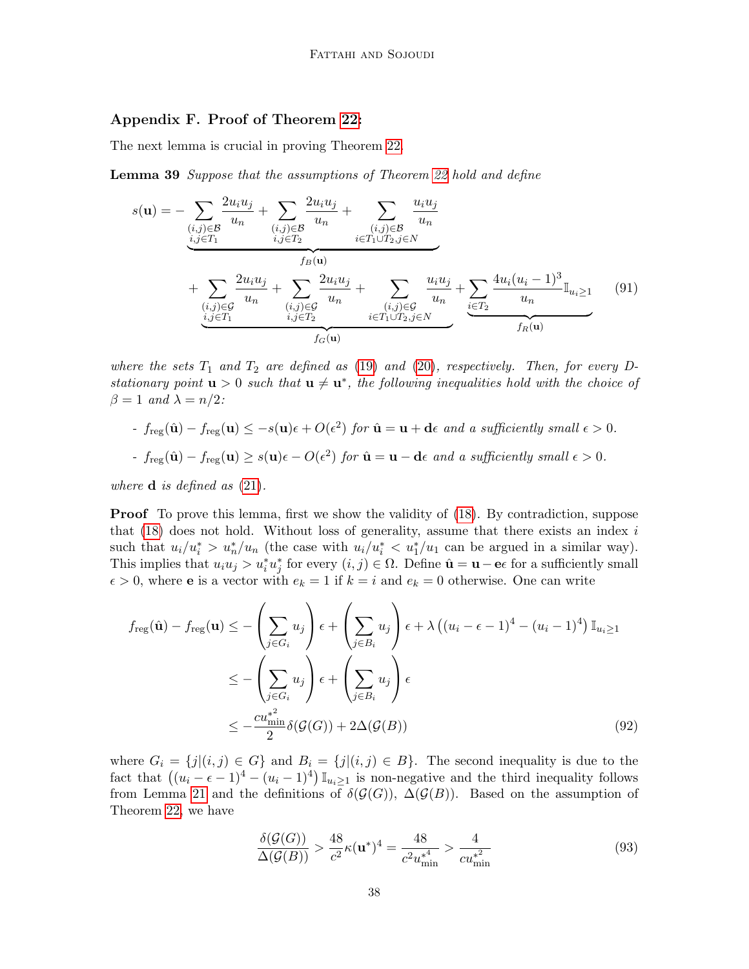# <span id="page-37-0"></span>Appendix F. Proof of Theorem [22:](#page-19-1)

The next lemma is crucial in proving Theorem [22.](#page-19-1)

**Lemma 39** Suppose that the assumptions of Theorem [22](#page-19-1) hold and define

<span id="page-37-1"></span>
$$
s(\mathbf{u}) = -\sum_{\substack{(i,j)\in\mathcal{B} \\ i,j\in T_1}} \frac{2u_i u_j}{u_n} + \sum_{\substack{(i,j)\in\mathcal{B} \\ i,j\in T_2}} \frac{2u_i u_j}{u_n} + \sum_{\substack{(i,j)\in\mathcal{B} \\ i\in T_1 \cup T_2, j\in N}} \frac{u_i u_j}{u_n} + \sum_{\substack{(i,j)\in\mathcal{G} \\ i,j\in T_1}} \frac{2u_i u_j}{u_n} + \sum_{\substack{(i,j)\in\mathcal{G} \\ i,j\in T_2}} \frac{2u_i u_j}{u_n} + \sum_{\substack{(i,j)\in\mathcal{G} \\ i\in T_1 \cup T_2, j\in N}} \frac{u_i u_j}{u_n} + \sum_{\substack{(i,j)\in\mathcal{G} \\ i\in T_1 \cup T_2, j\in N}} \frac{u_i u_j}{u_n} + \sum_{\substack{(i,j)\in\mathcal{G} \\ i\in T_2}} \frac{4u_i (u_i - 1)^3}{u_n} \mathbb{I}_{u_i \ge 1}
$$
(91)

where the sets  $T_1$  and  $T_2$  are defined as [\(19\)](#page-12-2) and [\(20\)](#page-12-3), respectively. Then, for every Dstationary point  $u > 0$  such that  $u \neq u^*$ , the following inequalities hold with the choice of  $\beta = 1$  and  $\lambda = n/2$ :

- 
$$
f_{reg}(\hat{\mathbf{u}}) - f_{reg}(\mathbf{u}) \leq -s(\mathbf{u})\epsilon + O(\epsilon^2)
$$
 for  $\hat{\mathbf{u}} = \mathbf{u} + \mathbf{d}\epsilon$  and a sufficiently small  $\epsilon > 0$ .

- 
$$
f_{reg}(\hat{\mathbf{u}}) - f_{reg}(\mathbf{u}) \geq s(\mathbf{u})\epsilon - O(\epsilon^2)
$$
 for  $\hat{\mathbf{u}} = \mathbf{u} - \mathbf{d}\epsilon$  and a sufficiently small  $\epsilon > 0$ .

where  $\bf{d}$  is defined as [\(21\)](#page-12-4).

**Proof** To prove this lemma, first we show the validity of [\(18\)](#page-12-1). By contradiction, suppose that  $(18)$  does not hold. Without loss of generality, assume that there exists an index i such that  $u_i/u_i^* > u_n^*/u_n$  (the case with  $u_i/u_i^* < u_1^*/u_1$  can be argued in a similar way). This implies that  $u_i u_j > u_i^* u_j^*$  for every  $(i, j) \in \Omega$ . Define  $\hat{\mathbf{u}} = \mathbf{u} - \mathbf{e} \epsilon$  for a sufficiently small  $\epsilon > 0$ , where **e** is a vector with  $e_k = 1$  if  $k = i$  and  $e_k = 0$  otherwise. One can write

$$
f_{\text{reg}}(\hat{\mathbf{u}}) - f_{\text{reg}}(\mathbf{u}) \leq -\left(\sum_{j \in G_i} u_j\right) \epsilon + \left(\sum_{j \in B_i} u_j\right) \epsilon + \lambda \left((u_i - \epsilon - 1)^4 - (u_i - 1)^4\right) \mathbb{I}_{u_i \geq 1}
$$

$$
\leq -\left(\sum_{j \in G_i} u_j\right) \epsilon + \left(\sum_{j \in B_i} u_j\right) \epsilon
$$

$$
\leq -\frac{cu_{\min}^{*2}}{2} \delta(\mathcal{G}(G)) + 2\Delta(\mathcal{G}(B)) \tag{92}
$$

where  $G_i = \{j|(i,j) \in G\}$  and  $B_i = \{j|(i,j) \in B\}$ . The second inequality is due to the fact that  $((u_i - \epsilon - 1)^4 - (u_i - 1)^4) \mathbb{I}_{u_i \ge 1}$  is non-negative and the third inequality follows from Lemma [21](#page-19-2) and the definitions of  $\delta(\mathcal{G}(G))$ ,  $\Delta(\mathcal{G}(B))$ . Based on the assumption of Theorem [22,](#page-19-1) we have

$$
\frac{\delta(\mathcal{G}(G))}{\Delta(\mathcal{G}(B))} > \frac{48}{c^2} \kappa(\mathbf{u}^*)^4 = \frac{48}{c^2 u_{\min}^{*4}} > \frac{4}{c u_{\min}^{*2}}
$$
(93)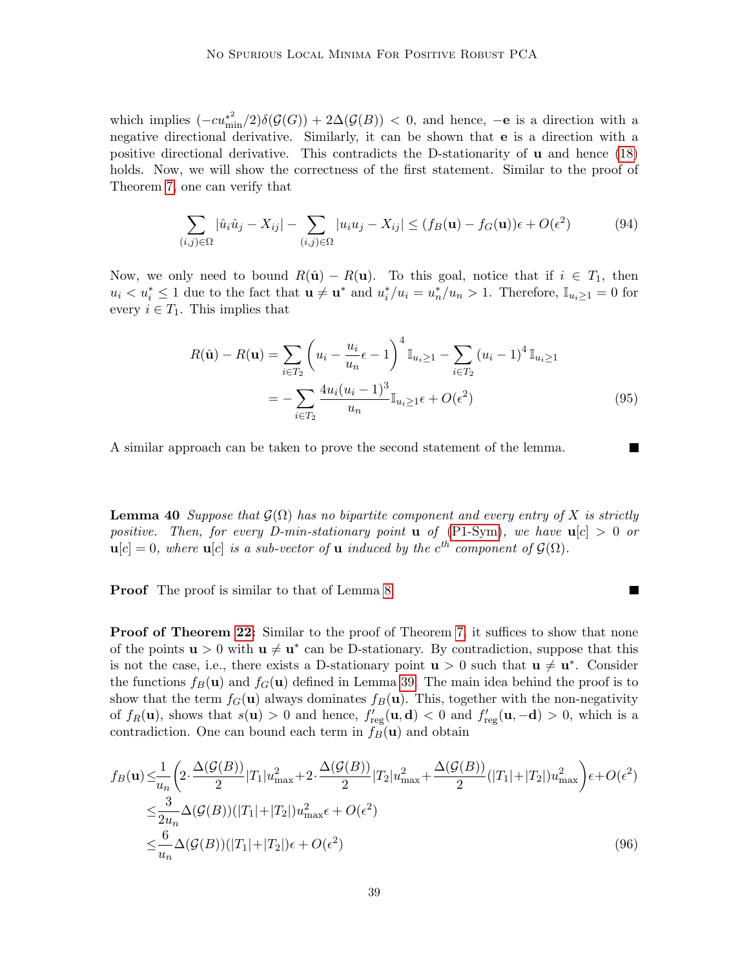which implies  $(-cu_{\min}^{*2})\delta(\mathcal{G}(G)) + 2\Delta(\mathcal{G}(B)) < 0$ , and hence,  $-e$  is a direction with a negative directional derivative. Similarly, it can be shown that e is a direction with a positive directional derivative. This contradicts the D-stationarity of u and hence [\(18\)](#page-12-1) holds. Now, we will show the correctness of the first statement. Similar to the proof of Theorem [7,](#page-11-0) one can verify that

$$
\sum_{(i,j)\in\Omega} |\hat{u}_i\hat{u}_j - X_{ij}| - \sum_{(i,j)\in\Omega} |u_i u_j - X_{ij}| \le (f_B(\mathbf{u}) - f_G(\mathbf{u}))\epsilon + O(\epsilon^2)
$$
(94)

Now, we only need to bound  $R(\hat{\mathbf{u}}) - R(\mathbf{u})$ . To this goal, notice that if  $i \in T_1$ , then  $u_i < u_i^* \leq 1$  due to the fact that  $\mathbf{u} \neq \mathbf{u}^*$  and  $u_i^*/u_i = u_n^*/u_n > 1$ . Therefore,  $\mathbb{I}_{u_i \geq 1} = 0$  for every  $i \in T_1$ . This implies that

$$
R(\hat{\mathbf{u}}) - R(\mathbf{u}) = \sum_{i \in T_2} \left( u_i - \frac{u_i}{u_n} \epsilon - 1 \right)^4 \mathbb{I}_{u_i \ge 1} - \sum_{i \in T_2} (u_i - 1)^4 \mathbb{I}_{u_i \ge 1}
$$
  
= 
$$
- \sum_{i \in T_2} \frac{4u_i(u_i - 1)^3}{u_n} \mathbb{I}_{u_i \ge 1} \epsilon + O(\epsilon^2)
$$
(95)

 $\blacksquare$ 

A similar approach can be taken to prove the second statement of the lemma.

**Lemma 40** Suppose that  $\mathcal{G}(\Omega)$  has no bipartite component and every entry of X is strictly positive. Then, for every D-min-stationary point **u** of [\(P1-Sym\)](#page-10-3), we have  $u[c] > 0$  or  $\mathbf{u}[c] = 0$ , where  $\mathbf{u}[c]$  is a sub-vector of  $\mathbf{u}$  induced by the  $c^{th}$  component of  $\mathcal{G}(\Omega)$ .

**Proof** The proof is similar to that of Lemma [8.](#page-11-1)

**Proof of Theorem [22:](#page-19-1)** Similar to the proof of Theorem [7,](#page-11-0) it suffices to show that none of the points  $\mathbf{u} > 0$  with  $\mathbf{u} \neq \mathbf{u}^*$  can be D-stationary. By contradiction, suppose that this is not the case, i.e., there exists a D-stationary point  $u > 0$  such that  $u \neq u^*$ . Consider the functions  $f_B(\mathbf{u})$  and  $f_G(\mathbf{u})$  defined in Lemma [39.](#page-37-1) The main idea behind the proof is to show that the term  $f_G(\mathbf{u})$  always dominates  $f_B(\mathbf{u})$ . This, together with the non-negativity of  $f_R(\mathbf{u})$ , shows that  $s(\mathbf{u}) > 0$  and hence,  $f'_{reg}(\mathbf{u}, \mathbf{d}) < 0$  and  $f'_{reg}(\mathbf{u}, -\mathbf{d}) > 0$ , which is a contradiction. One can bound each term in  $f_B(\mathbf{u})$  and obtain

$$
f_B(\mathbf{u}) \leq \frac{1}{u_n} \left( 2 \cdot \frac{\Delta(\mathcal{G}(B))}{2} |T_1| u_{\max}^2 + 2 \cdot \frac{\Delta(\mathcal{G}(B))}{2} |T_2| u_{\max}^2 + \frac{\Delta(\mathcal{G}(B))}{2} (|T_1| + |T_2|) u_{\max}^2 \right) \epsilon + O(\epsilon^2)
$$
  

$$
\leq \frac{3}{2u_n} \Delta(\mathcal{G}(B)) (|T_1| + |T_2|) u_{\max}^2 \epsilon + O(\epsilon^2)
$$
  

$$
\leq \frac{6}{u_n} \Delta(\mathcal{G}(B)) (|T_1| + |T_2|) \epsilon + O(\epsilon^2)
$$
(96)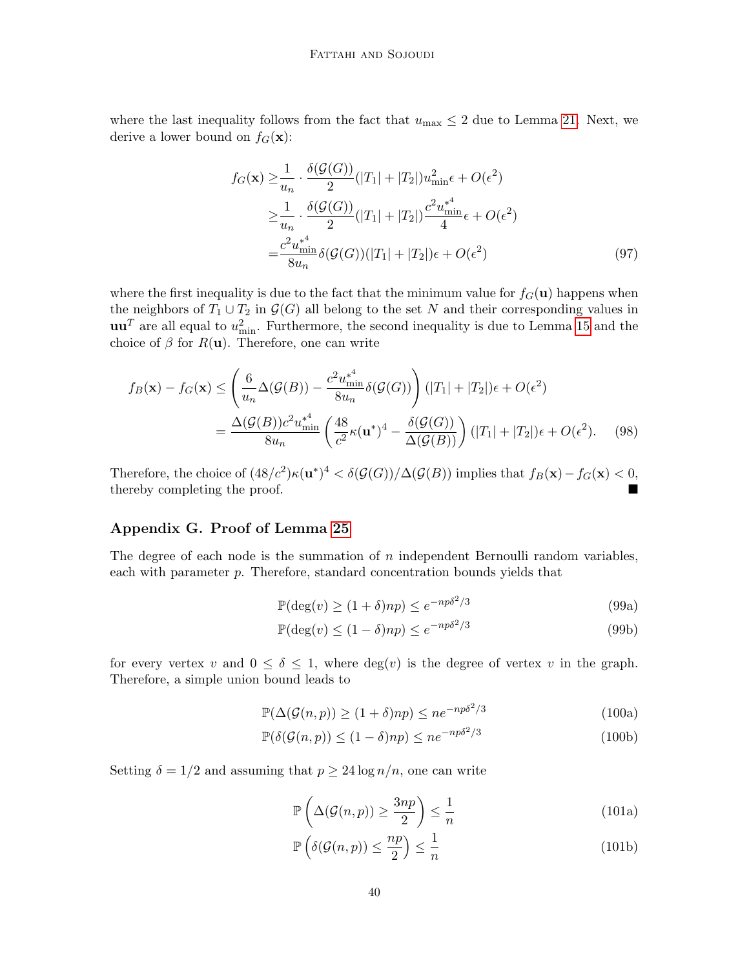where the last inequality follows from the fact that  $u_{\text{max}} \leq 2$  due to Lemma [21.](#page-19-2) Next, we derive a lower bound on  $f_G(\mathbf{x})$ :

$$
f_G(\mathbf{x}) \geq \frac{1}{u_n} \cdot \frac{\delta(\mathcal{G}(G))}{2} (|T_1| + |T_2|) u_{\min}^2 \epsilon + O(\epsilon^2)
$$
  
\n
$$
\geq \frac{1}{u_n} \cdot \frac{\delta(\mathcal{G}(G))}{2} (|T_1| + |T_2|) \frac{c^2 u_{\min}^*}{4} \epsilon + O(\epsilon^2)
$$
  
\n
$$
= \frac{c^2 u_{\min}^*}{8u_n} \delta(\mathcal{G}(G)) (|T_1| + |T_2|) \epsilon + O(\epsilon^2)
$$
 (97)

where the first inequality is due to the fact that the minimum value for  $f<sub>G</sub>(u)$  happens when the neighbors of  $T_1 \cup T_2$  in  $\mathcal{G}(G)$  all belong to the set N and their corresponding values in  $\mathbf{u}\mathbf{u}^T$  are all equal to  $u_{\min}^2$ . Furthermore, the second inequality is due to Lemma [15](#page-15-3) and the choice of  $\beta$  for  $R(\mathbf{u})$ . Therefore, one can write

$$
f_B(\mathbf{x}) - f_G(\mathbf{x}) \le \left(\frac{6}{u_n} \Delta(\mathcal{G}(B)) - \frac{c^2 u_{\min}^{*4}}{8u_n} \delta(\mathcal{G}(G))\right) (|T_1| + |T_2|)\epsilon + O(\epsilon^2)
$$
  
= 
$$
\frac{\Delta(\mathcal{G}(B))c^2 u_{\min}^{*4}}{8u_n} \left(\frac{48}{c^2} \kappa(\mathbf{u}^*)^4 - \frac{\delta(\mathcal{G}(G))}{\Delta(\mathcal{G}(B))}\right) (|T_1| + |T_2|)\epsilon + O(\epsilon^2).
$$
 (98)

Therefore, the choice of  $(48/c^2)\kappa(\mathbf{u}^*)^4 < \delta(\mathcal{G}(G))/\Delta(\mathcal{G}(B))$  implies that  $f_B(\mathbf{x}) - f_G(\mathbf{x}) < 0$ , thereby completing the proof.

# <span id="page-39-0"></span>Appendix G. Proof of Lemma [25](#page-21-2)

The degree of each node is the summation of  $n$  independent Bernoulli random variables, each with parameter p. Therefore, standard concentration bounds yields that

$$
\mathbb{P}(\deg(v) \ge (1+\delta)np) \le e^{-np\delta^2/3} \tag{99a}
$$

$$
\mathbb{P}(\deg(v) \le (1 - \delta)np) \le e^{-np\delta^2/3} \tag{99b}
$$

for every vertex v and  $0 \le \delta \le 1$ , where  $deg(v)$  is the degree of vertex v in the graph. Therefore, a simple union bound leads to

$$
\mathbb{P}(\Delta(\mathcal{G}(n, p)) \ge (1 + \delta)np) \le ne^{-np\delta^2/3}
$$
\n(100a)

$$
\mathbb{P}(\delta(\mathcal{G}(n, p)) \le (1 - \delta)np) \le ne^{-np\delta^2/3} \tag{100b}
$$

Setting  $\delta = 1/2$  and assuming that  $p \geq 24 \log n/n$ , one can write

$$
\mathbb{P}\left(\Delta(\mathcal{G}(n,p)) \ge \frac{3np}{2}\right) \le \frac{1}{n} \tag{101a}
$$

<span id="page-39-2"></span><span id="page-39-1"></span>
$$
\mathbb{P}\left(\delta(\mathcal{G}(n,p)) \le \frac{np}{2}\right) \le \frac{1}{n} \tag{101b}
$$